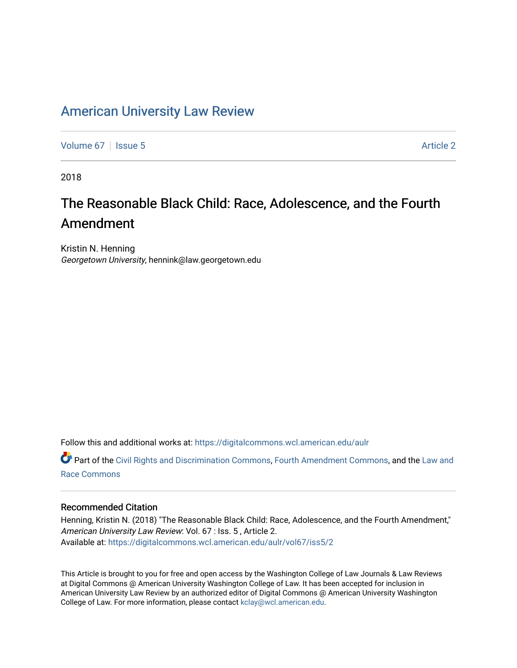## American University Law Review

Volume 67 | Issue 5 Article 2

2018

# The Reasonable Black Child: Race, Adolescence, and the Fourth Amendment

Kristin N. Henning Georgetown University, hennink@law.georgetown.edu

Follow this and additional works at: https://digitalcommons.wcl.american.edu/aulr

Part of the Civil Rights and Discrimination Commons, Fourth Amendment Commons, and the Law and Race Commons

## Recommended Citation

Henning, Kristin N. (2018) "The Reasonable Black Child: Race, Adolescence, and the Fourth Amendment," American University Law Review: Vol. 67 : Iss. 5 , Article 2. Available at: https://digitalcommons.wcl.american.edu/aulr/vol67/iss5/2

This Article is brought to you for free and open access by the Washington College of Law Journals & Law Reviews at Digital Commons @ American University Washington College of Law. It has been accepted for inclusion in American University Law Review by an authorized editor of Digital Commons @ American University Washington College of Law. For more information, please contact kclay@wcl.american.edu.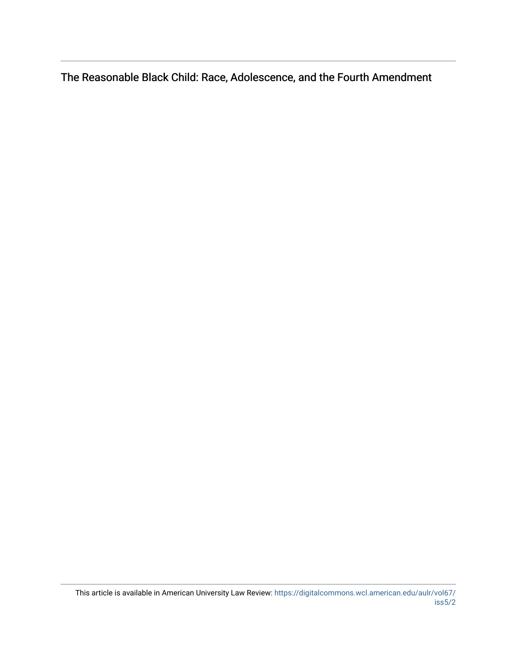The Reasonable Black Child: Race, Adolescence, and the Fourth Amendment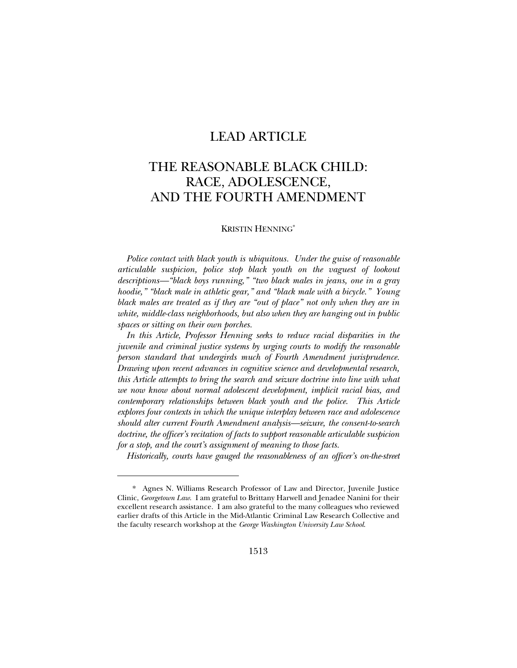## LEAD ARTICLE

## THE REASONABLE BLACK CHILD: RACE, ADOLESCENCE, AND THE FOURTH AMENDMENT

## KRISTIN HENNING\*

*Police contact with black youth is ubiquitous. Under the guise of reasonable articulable suspicion, police stop black youth on the vaguest of lookout descriptions—"black boys running," "two black males in jeans, one in a gray hoodie," "black male in athletic gear," and "black male with a bicycle." Young black males are treated as if they are "out of place" not only when they are in white, middle-class neighborhoods, but also when they are hanging out in public spaces or sitting on their own porches.* 

*In this Article, Professor Henning seeks to reduce racial disparities in the juvenile and criminal justice systems by urging courts to modify the reasonable person standard that undergirds much of Fourth Amendment jurisprudence. Drawing upon recent advances in cognitive science and developmental research, this Article attempts to bring the search and seizure doctrine into line with what we now know about normal adolescent development, implicit racial bias, and contemporary relationships between black youth and the police. This Article explores four contexts in which the unique interplay between race and adolescence should alter current Fourth Amendment analysis—seizure, the consent-to-search doctrine, the officer's recitation of facts to support reasonable articulable suspicion for a stop, and the court's assignment of meaning to those facts.* 

*Historically, courts have gauged the reasonableness of an officer's on-the-street* 

 <sup>\*</sup> Agnes N. Williams Research Professor of Law and Director, Juvenile Justice Clinic, *Georgetown Law*. I am grateful to Brittany Harwell and Jenadee Nanini for their excellent research assistance. I am also grateful to the many colleagues who reviewed earlier drafts of this Article in the Mid-Atlantic Criminal Law Research Collective and the faculty research workshop at the *George Washington University Law School*.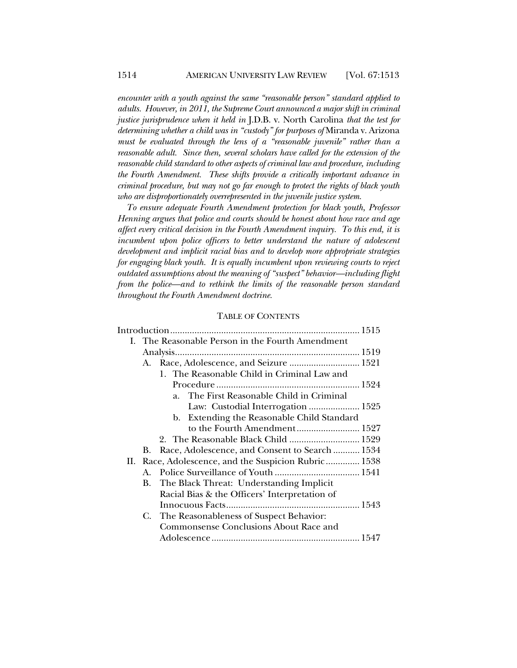*encounter with a youth against the same "reasonable person" standard applied to adults. However, in 2011, the Supreme Court announced a major shift in criminal justice jurisprudence when it held in* J.D.B. v. North Carolina *that the test for determining whether a child was in "custody" for purposes of* Miranda v. Arizona *must be evaluated through the lens of a "reasonable juvenile" rather than a reasonable adult. Since then, several scholars have called for the extension of the reasonable child standard to other aspects of criminal law and procedure, including the Fourth Amendment. These shifts provide a critically important advance in criminal procedure, but may not go far enough to protect the rights of black youth who are disproportionately overrepresented in the juvenile justice system.* 

*To ensure adequate Fourth Amendment protection for black youth, Professor Henning argues that police and courts should be honest about how race and age affect every critical decision in the Fourth Amendment inquiry. To this end, it is*  incumbent upon police officers to better understand the nature of adolescent *development and implicit racial bias and to develop more appropriate strategies*  for engaging black youth. It is equally incumbent upon reviewing courts to reject *outdated assumptions about the meaning of "suspect" behavior—including flight from the police—and to rethink the limits of the reasonable person standard throughout the Fourth Amendment doctrine.* 

## TABLE OF CONTENTS

|     | I. The Reasonable Person in the Fourth Amendment |                                                  |  |  |  |
|-----|--------------------------------------------------|--------------------------------------------------|--|--|--|
|     |                                                  |                                                  |  |  |  |
|     | А.                                               |                                                  |  |  |  |
|     |                                                  | 1. The Reasonable Child in Criminal Law and      |  |  |  |
|     |                                                  |                                                  |  |  |  |
|     |                                                  | a. The First Reasonable Child in Criminal        |  |  |  |
|     |                                                  | Law: Custodial Interrogation  1525               |  |  |  |
|     |                                                  | b. Extending the Reasonable Child Standard       |  |  |  |
|     |                                                  | to the Fourth Amendment 1527                     |  |  |  |
|     |                                                  | 2. The Reasonable Black Child  1529              |  |  |  |
|     | В.                                               | Race, Adolescence, and Consent to Search  1534   |  |  |  |
| II. |                                                  | Race, Adolescence, and the Suspicion Rubric 1538 |  |  |  |
|     | A.                                               |                                                  |  |  |  |
|     | В.                                               | The Black Threat: Understanding Implicit         |  |  |  |
|     |                                                  | Racial Bias & the Officers' Interpretation of    |  |  |  |
|     |                                                  |                                                  |  |  |  |
|     |                                                  | C. The Reasonableness of Suspect Behavior:       |  |  |  |
|     |                                                  | Commonsense Conclusions About Race and           |  |  |  |
|     |                                                  |                                                  |  |  |  |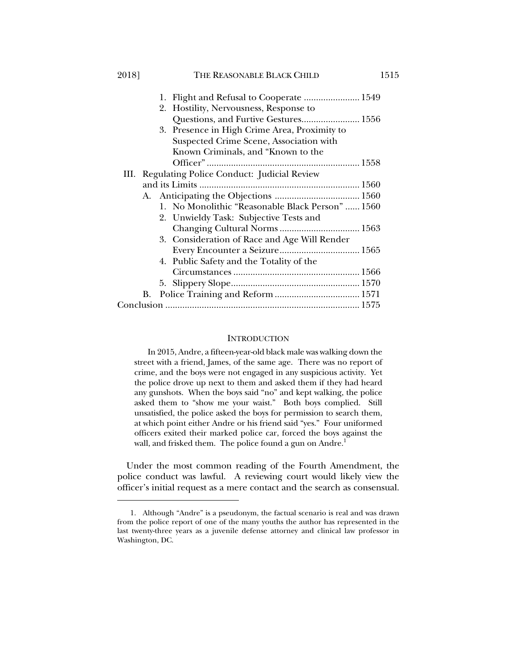| 2018] |    | THE REASONABLE BLACK CHILD                       | 1515 |
|-------|----|--------------------------------------------------|------|
|       |    |                                                  |      |
|       |    | 2. Hostility, Nervousness, Response to           |      |
|       |    | Questions, and Furtive Gestures 1556             |      |
|       |    | 3. Presence in High Crime Area, Proximity to     |      |
|       |    | Suspected Crime Scene, Association with          |      |
|       |    | Known Criminals, and "Known to the               |      |
|       |    |                                                  |      |
|       |    | III. Regulating Police Conduct: Judicial Review  |      |
|       |    |                                                  |      |
|       |    |                                                  |      |
|       |    | 1. No Monolithic "Reasonable Black Person"  1560 |      |
|       |    | 2. Unwieldy Task: Subjective Tests and           |      |
|       |    | Changing Cultural Norms  1563                    |      |
|       |    | 3. Consideration of Race and Age Will Render     |      |
|       |    | Every Encounter a Seizure 1565                   |      |
|       |    | 4. Public Safety and the Totality of the         |      |
|       |    |                                                  |      |
|       |    |                                                  |      |
|       | В. |                                                  |      |
|       |    |                                                  |      |

#### **INTRODUCTION**

In 2015, Andre, a fifteen-year-old black male was walking down the street with a friend, James, of the same age. There was no report of crime, and the boys were not engaged in any suspicious activity. Yet the police drove up next to them and asked them if they had heard any gunshots. When the boys said "no" and kept walking, the police asked them to "show me your waist." Both boys complied. Still unsatisfied, the police asked the boys for permission to search them, at which point either Andre or his friend said "yes." Four uniformed officers exited their marked police car, forced the boys against the wall, and frisked them. The police found a gun on Andre.<sup>1</sup>

Under the most common reading of the Fourth Amendment, the police conduct was lawful. A reviewing court would likely view the officer's initial request as a mere contact and the search as consensual.

 <sup>1.</sup> Although "Andre" is a pseudonym, the factual scenario is real and was drawn from the police report of one of the many youths the author has represented in the last twenty-three years as a juvenile defense attorney and clinical law professor in Washington, DC.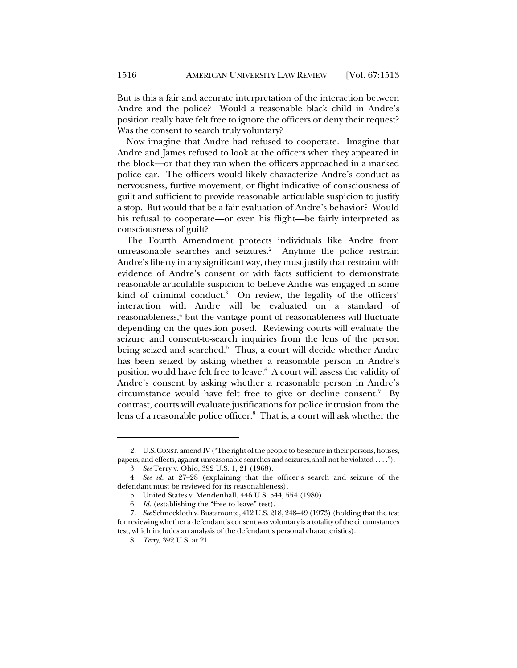But is this a fair and accurate interpretation of the interaction between Andre and the police? Would a reasonable black child in Andre's position really have felt free to ignore the officers or deny their request? Was the consent to search truly voluntary?

Now imagine that Andre had refused to cooperate. Imagine that Andre and James refused to look at the officers when they appeared in the block—or that they ran when the officers approached in a marked police car. The officers would likely characterize Andre's conduct as nervousness, furtive movement, or flight indicative of consciousness of guilt and sufficient to provide reasonable articulable suspicion to justify a stop. But would that be a fair evaluation of Andre's behavior? Would his refusal to cooperate—or even his flight—be fairly interpreted as consciousness of guilt?

The Fourth Amendment protects individuals like Andre from unreasonable searches and seizures.<sup>2</sup> Anytime the police restrain Andre's liberty in any significant way, they must justify that restraint with evidence of Andre's consent or with facts sufficient to demonstrate reasonable articulable suspicion to believe Andre was engaged in some kind of criminal conduct.<sup>3</sup> On review, the legality of the officers' interaction with Andre will be evaluated on a standard of reasonableness,<sup>4</sup> but the vantage point of reasonableness will fluctuate depending on the question posed. Reviewing courts will evaluate the seizure and consent-to-search inquiries from the lens of the person being seized and searched.<sup>5</sup> Thus, a court will decide whether Andre has been seized by asking whether a reasonable person in Andre's position would have felt free to leave. $6\,$  A court will assess the validity of Andre's consent by asking whether a reasonable person in Andre's circumstance would have felt free to give or decline consent.<sup>7</sup> By contrast, courts will evaluate justifications for police intrusion from the lens of a reasonable police officer.8 That is, a court will ask whether the

 <sup>2.</sup> U.S.CONST. amend IV ("The right of the people to be secure in their persons, houses, papers, and effects, against unreasonable searches and seizures, shall not be violated . . . .").

<sup>3</sup>*. See* Terry v. Ohio, 392 U.S. 1, 21 (1968).

<sup>4</sup>*. See id.* at 27–28 (explaining that the officer's search and seizure of the defendant must be reviewed for its reasonableness).

 <sup>5.</sup> United States v. Mendenhall, 446 U.S. 544, 554 (1980).

<sup>6</sup>*. Id.* (establishing the "free to leave" test).

<sup>7</sup>*. See* Schneckloth v. Bustamonte, 412 U.S. 218, 248–49 (1973) (holding that the test for reviewing whether a defendant's consent was voluntary is a totality of the circumstances test, which includes an analysis of the defendant's personal characteristics).

<sup>8</sup>*. Terry*, 392 U.S. at 21.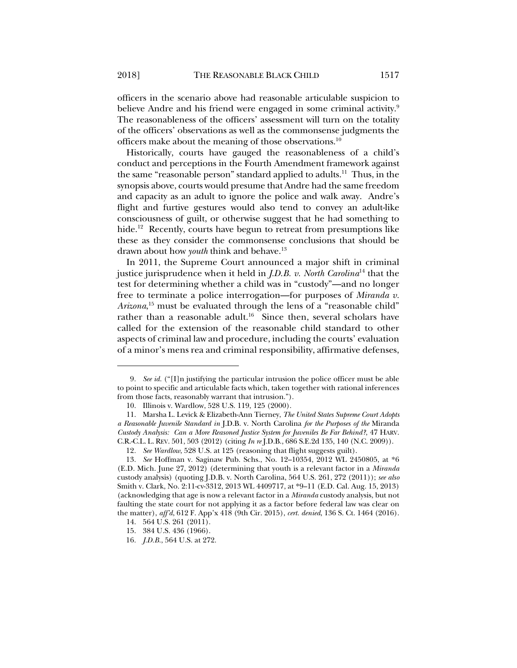officers in the scenario above had reasonable articulable suspicion to believe Andre and his friend were engaged in some criminal activity.<sup>9</sup> The reasonableness of the officers' assessment will turn on the totality of the officers' observations as well as the commonsense judgments the officers make about the meaning of those observations.<sup>10</sup>

Historically, courts have gauged the reasonableness of a child's conduct and perceptions in the Fourth Amendment framework against the same "reasonable person" standard applied to adults.<sup>11</sup> Thus, in the synopsis above, courts would presume that Andre had the same freedom and capacity as an adult to ignore the police and walk away. Andre's flight and furtive gestures would also tend to convey an adult-like consciousness of guilt, or otherwise suggest that he had something to hide.<sup>12</sup> Recently, courts have begun to retreat from presumptions like these as they consider the commonsense conclusions that should be drawn about how *youth* think and behave.<sup>13</sup>

In 2011, the Supreme Court announced a major shift in criminal justice jurisprudence when it held in *J.D.B. v. North Carolina*14 that the test for determining whether a child was in "custody"—and no longer free to terminate a police interrogation—for purposes of *Miranda v. Arizona*, 15 must be evaluated through the lens of a "reasonable child" rather than a reasonable adult.<sup>16</sup> Since then, several scholars have called for the extension of the reasonable child standard to other aspects of criminal law and procedure, including the courts' evaluation of a minor's mens rea and criminal responsibility, affirmative defenses,

<sup>9</sup>*. See id.* ("[I]n justifying the particular intrusion the police officer must be able to point to specific and articulable facts which, taken together with rational inferences from those facts, reasonably warrant that intrusion.").

 <sup>10.</sup> Illinois v. Wardlow, 528 U.S. 119, 125 (2000).

 <sup>11.</sup> Marsha L. Levick & Elizabeth-Ann Tierney, *The United States Supreme Court Adopts a Reasonable Juvenile Standard in* J.D.B. v. North Carolina *for the Purposes of the* Miranda *Custody Analysis: Can a More Reasoned Justice System for Juveniles Be Far Behind?*, 47 HARV. C.R.-C.L. L. REV. 501, 503 (2012) (citing *In re* J.D.B., 686 S.E.2d 135, 140 (N.C. 2009)).

<sup>12</sup>*. See Wardlow*, 528 U.S. at 125 (reasoning that flight suggests guilt).

<sup>13</sup>*. See* Hoffman v. Saginaw Pub. Schs., No. 12–10354, 2012 WL 2450805, at \*6 (E.D. Mich. June 27, 2012) (determining that youth is a relevant factor in a *Miranda* custody analysis) (quoting J.D.B. v. North Carolina, 564 U.S. 261, 272 (2011)); *see also* Smith v. Clark, No. 2:11-cv-3312, 2013 WL 4409717, at \*9–11 (E.D. Cal. Aug. 15, 2013) (acknowledging that age is now a relevant factor in a *Miranda* custody analysis, but not faulting the state court for not applying it as a factor before federal law was clear on the matter), *aff'd*, 612 F. App'x 418 (9th Cir. 2015), *cert. denied*, 136 S. Ct. 1464 (2016).

 <sup>14. 564</sup> U.S. 261 (2011).

 <sup>15. 384</sup> U.S. 436 (1966).

<sup>16</sup>*. J.D.B.*, 564 U.S. at 272.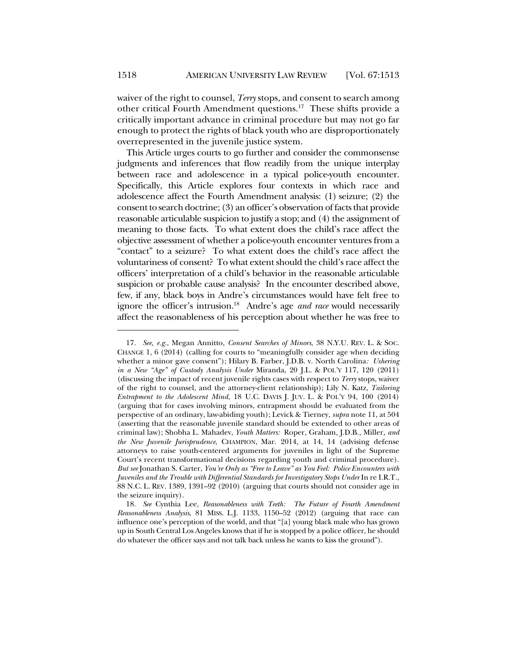waiver of the right to counsel, *Terry* stops, and consent to search among other critical Fourth Amendment questions.17 These shifts provide a critically important advance in criminal procedure but may not go far enough to protect the rights of black youth who are disproportionately overrepresented in the juvenile justice system.

This Article urges courts to go further and consider the commonsense judgments and inferences that flow readily from the unique interplay between race and adolescence in a typical police-youth encounter. Specifically, this Article explores four contexts in which race and adolescence affect the Fourth Amendment analysis: (1) seizure; (2) the consent to search doctrine; (3) an officer's observation of facts that provide reasonable articulable suspicion to justify a stop; and (4) the assignment of meaning to those facts. To what extent does the child's race affect the objective assessment of whether a police-youth encounter ventures from a "contact" to a seizure? To what extent does the child's race affect the voluntariness of consent? To what extent should the child's race affect the officers' interpretation of a child's behavior in the reasonable articulable suspicion or probable cause analysis? In the encounter described above, few, if any, black boys in Andre's circumstances would have felt free to ignore the officer's intrusion.<sup>18</sup> Andre's age *and race* would necessarily affect the reasonableness of his perception about whether he was free to

<sup>17</sup>*. See, e.g.*, Megan Annitto, *Consent Searches of Minors*, 38 N.Y.U. REV. L. & SOC. CHANGE 1, 6 (2014) (calling for courts to "meaningfully consider age when deciding whether a minor gave consent"); Hilary B. Farber, J.D.B. v. North Carolina*: Ushering in a New "Age" of Custody Analysis Under* Miranda, 20 J.L. & POL'Y 117, 120 (2011) (discussing the impact of recent juvenile rights cases with respect to *Terry* stops, waiver of the right to counsel, and the attorney-client relationship); Lily N. Katz, *Tailoring Entrapment to the Adolescent Mind*, 18 U.C. DAVIS J. JUV. L. & POL'Y 94, 100 (2014) (arguing that for cases involving minors, entrapment should be evaluated from the perspective of an ordinary, law-abiding youth); Levick & Tierney, *supra* note 11, at 504 (asserting that the reasonable juvenile standard should be extended to other areas of criminal law); Shobha L. Mahadev, *Youth Matters:* Roper*,* Graham*,* J.D.B.*,* Miller*, and the New Juvenile Jurisprudence*, CHAMPION, Mar. 2014, at 14, 14 (advising defense attorneys to raise youth-centered arguments for juveniles in light of the Supreme Court's recent transformational decisions regarding youth and criminal procedure). *But see* Jonathan S. Carter, *You're Only as "Free to Leave" as You Feel: Police Encounters with Juveniles and the Trouble with Differential Standards for Investigatory Stops Under* In re I.R.T., 88 N.C. L. REV. 1389, 1391–92 (2010) (arguing that courts should not consider age in the seizure inquiry).

<sup>18</sup>*. See* Cynthia Lee, *Reasonableness with Teeth: The Future of Fourth Amendment Reasonableness Analysis*, 81 MISS. L.J. 1133, 1150–52 (2012) (arguing that race can influence one's perception of the world, and that "[a] young black male who has grown up in South Central Los Angeles knows that if he is stopped by a police officer, he should do whatever the officer says and not talk back unless he wants to kiss the ground").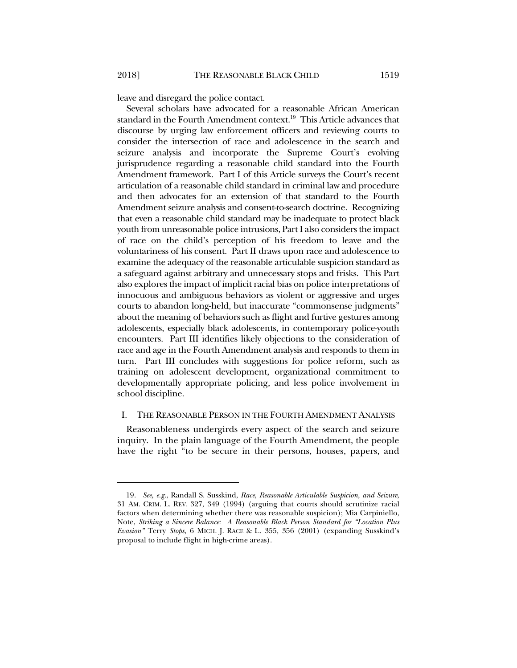-

leave and disregard the police contact.

Several scholars have advocated for a reasonable African American standard in the Fourth Amendment context.<sup>19</sup> This Article advances that discourse by urging law enforcement officers and reviewing courts to consider the intersection of race and adolescence in the search and seizure analysis and incorporate the Supreme Court's evolving jurisprudence regarding a reasonable child standard into the Fourth Amendment framework. Part I of this Article surveys the Court's recent articulation of a reasonable child standard in criminal law and procedure and then advocates for an extension of that standard to the Fourth Amendment seizure analysis and consent-to-search doctrine. Recognizing that even a reasonable child standard may be inadequate to protect black youth from unreasonable police intrusions, Part I also considers the impact of race on the child's perception of his freedom to leave and the voluntariness of his consent. Part II draws upon race and adolescence to examine the adequacy of the reasonable articulable suspicion standard as a safeguard against arbitrary and unnecessary stops and frisks. This Part also explores the impact of implicit racial bias on police interpretations of innocuous and ambiguous behaviors as violent or aggressive and urges courts to abandon long-held, but inaccurate "commonsense judgments" about the meaning of behaviors such as flight and furtive gestures among adolescents, especially black adolescents, in contemporary police-youth encounters. Part III identifies likely objections to the consideration of race and age in the Fourth Amendment analysis and responds to them in turn. Part III concludes with suggestions for police reform, such as training on adolescent development, organizational commitment to developmentally appropriate policing, and less police involvement in school discipline.

## I. THE REASONABLE PERSON IN THE FOURTH AMENDMENT ANALYSIS

Reasonableness undergirds every aspect of the search and seizure inquiry. In the plain language of the Fourth Amendment, the people have the right "to be secure in their persons, houses, papers, and

<sup>19</sup>*. See, e.g.*, Randall S. Susskind, *Race, Reasonable Articulable Suspicion, and Seizure*, 31 AM. CRIM. L. REV. 327, 349 (1994) (arguing that courts should scrutinize racial factors when determining whether there was reasonable suspicion); Mia Carpiniello, Note, *Striking a Sincere Balance: A Reasonable Black Person Standard for "Location Plus Evasion"* Terry *Stops*, 6 MICH. J. RACE & L. 355, 356 (2001) (expanding Susskind's proposal to include flight in high-crime areas).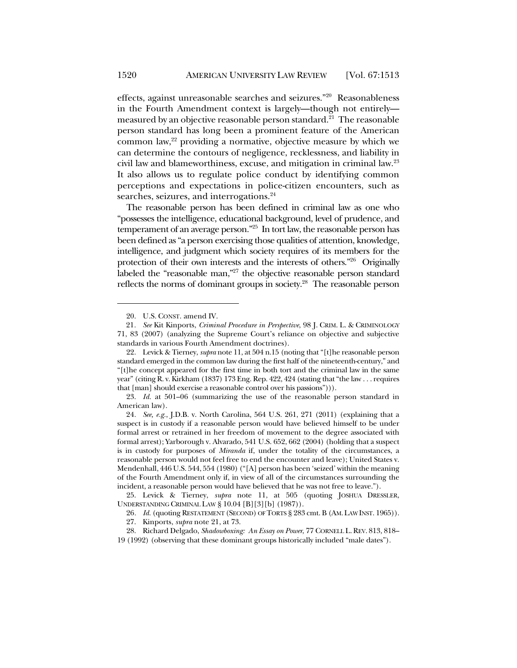effects, against unreasonable searches and seizures."20 Reasonableness in the Fourth Amendment context is largely—though not entirely measured by an objective reasonable person standard.<sup>21</sup> The reasonable person standard has long been a prominent feature of the American common law, $^{22}$  providing a normative, objective measure by which we can determine the contours of negligence, recklessness, and liability in civil law and blameworthiness, excuse, and mitigation in criminal law.23 It also allows us to regulate police conduct by identifying common perceptions and expectations in police-citizen encounters, such as searches, seizures, and interrogations.<sup>24</sup>

The reasonable person has been defined in criminal law as one who "possesses the intelligence, educational background, level of prudence, and temperament of an average person."25 In tort law, the reasonable person has been defined as "a person exercising those qualities of attention, knowledge, intelligence, and judgment which society requires of its members for the protection of their own interests and the interests of others."26 Originally labeled the "reasonable man,"<sup>27</sup> the objective reasonable person standard reflects the norms of dominant groups in society.<sup>28</sup> The reasonable person

 23. *Id.* at 501–06 (summarizing the use of the reasonable person standard in American law).

24*. See, e.g.*, J.D.B. v. North Carolina, 564 U.S. 261, 271 (2011) (explaining that a suspect is in custody if a reasonable person would have believed himself to be under formal arrest or retrained in her freedom of movement to the degree associated with formal arrest); Yarborough v. Alvarado, 541 U.S. 652, 662 (2004) (holding that a suspect is in custody for purposes of *Miranda* if, under the totality of the circumstances, a reasonable person would not feel free to end the encounter and leave); United States v. Mendenhall, 446 U.S. 544, 554 (1980) ("[A] person has been 'seized' within the meaning of the Fourth Amendment only if, in view of all of the circumstances surrounding the incident, a reasonable person would have believed that he was not free to leave.").

 25. Levick & Tierney, *supra* note 11, at 505 (quoting JOSHUA DRESSLER, UNDERSTANDING CRIMINAL LAW § 10.04 [B][3][b] (1987)).

26*. Id.* (quoting RESTATEMENT (SECOND) OF TORTS § 283 cmt. B (AM.LAW INST. 1965)).

 <sup>20.</sup> U.S. CONST. amend IV.

<sup>21</sup>*. See* Kit Kinports, *Criminal Procedure in Perspective*, 98 J. CRIM. L. & CRIMINOLOGY 71, 83 (2007) (analyzing the Supreme Court's reliance on objective and subjective standards in various Fourth Amendment doctrines).

 <sup>22.</sup> Levick & Tierney, *supra* note 11, at 504 n.15 (noting that "[t]he reasonable person standard emerged in the common law during the first half of the nineteenth-century," and "[t]he concept appeared for the first time in both tort and the criminal law in the same year" (citing R. v. Kirkham (1837) 173 Eng. Rep. 422, 424 (stating that "the law . . . requires that [man] should exercise a reasonable control over his passions"))).

 <sup>27.</sup> Kinports, *supra* note 21, at 73.

 <sup>28.</sup> Richard Delgado, *Shadowboxing: An Essay on Power*, 77 CORNELL L.REV. 813, 818– 19 (1992) (observing that these dominant groups historically included "male dates").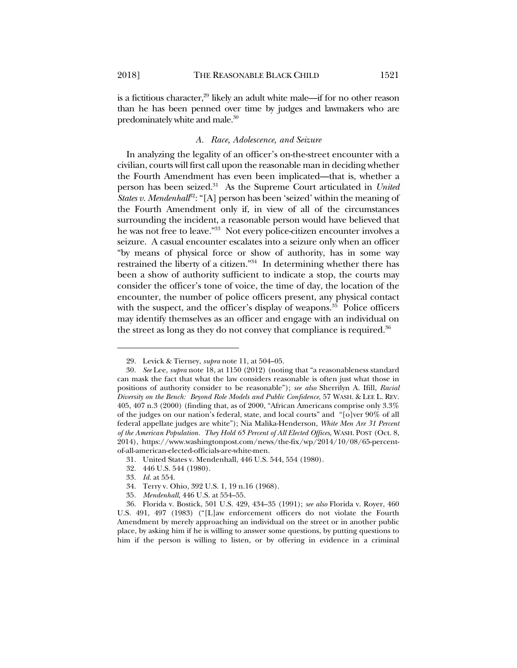is a fictitious character,<sup>29</sup> likely an adult white male—if for no other reason than he has been penned over time by judges and lawmakers who are predominately white and male.30

## *A. Race, Adolescence, and Seizure*

In analyzing the legality of an officer's on-the-street encounter with a civilian, courts will first call upon the reasonable man in deciding whether the Fourth Amendment has even been implicated—that is, whether a person has been seized.<sup>31</sup> As the Supreme Court articulated in *United States v. Mendenhall*<sup>82</sup>: "[A] person has been 'seized' within the meaning of the Fourth Amendment only if, in view of all of the circumstances surrounding the incident, a reasonable person would have believed that he was not free to leave."<sup>33</sup> Not every police-citizen encounter involves a seizure. A casual encounter escalates into a seizure only when an officer "by means of physical force or show of authority, has in some way restrained the liberty of a citizen."34 In determining whether there has been a show of authority sufficient to indicate a stop, the courts may consider the officer's tone of voice, the time of day, the location of the encounter, the number of police officers present, any physical contact with the suspect, and the officer's display of weapons.<sup>35</sup> Police officers may identify themselves as an officer and engage with an individual on the street as long as they do not convey that compliance is required.<sup>36</sup>

 <sup>29.</sup> Levick & Tierney, *supra* note 11, at 504–05.

<sup>30</sup>*. See* Lee, *supra* note 18, at 1150 (2012) (noting that "a reasonableness standard can mask the fact that what the law considers reasonable is often just what those in positions of authority consider to be reasonable"); *see also* Sherrilyn A. Ifill, *Racial Diversity on the Bench: Beyond Role Models and Public Confidence*, 57 WASH. & LEE L. REV. 405, 407 n.3 (2000) (finding that, as of 2000, "African Americans comprise only 3.3% of the judges on our nation's federal, state, and local courts" and "[o]ver 90% of all federal appellate judges are white"); Nia Malika-Henderson, *White Men Are 31 Percent of the American Population. They Hold 65 Percent of All Elected Offices*, WASH. POST (Oct. 8, 2014), https://www.washingtonpost.com/news/the-fix/wp/2014/10/08/65-percentof-all-american-elected-officials-are-white-men.

 <sup>31.</sup> United States v. Mendenhall, 446 U.S. 544, 554 (1980).

 <sup>32. 446</sup> U.S. 544 (1980).

<sup>33</sup>*. Id.* at 554.

 <sup>34.</sup> Terry v. Ohio, 392 U.S. 1, 19 n.16 (1968).

<sup>35</sup>*. Mendenhall*, 446 U.S. at 554–55.

 <sup>36.</sup> Florida v. Bostick, 501 U.S. 429, 434–35 (1991); *see also* Florida v. Royer, 460 U.S. 491, 497 (1983) ("[L]aw enforcement officers do not violate the Fourth Amendment by merely approaching an individual on the street or in another public place, by asking him if he is willing to answer some questions, by putting questions to him if the person is willing to listen, or by offering in evidence in a criminal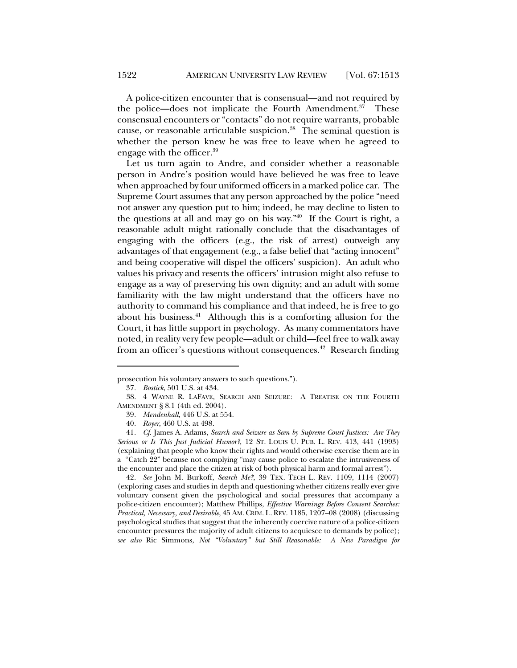A police-citizen encounter that is consensual—and not required by the police—does not implicate the Fourth Amendment. $37$  These consensual encounters or "contacts" do not require warrants, probable cause, or reasonable articulable suspicion.<sup>38</sup> The seminal question is whether the person knew he was free to leave when he agreed to engage with the officer.<sup>39</sup>

Let us turn again to Andre, and consider whether a reasonable person in Andre's position would have believed he was free to leave when approached by four uniformed officers in a marked police car. The Supreme Court assumes that any person approached by the police "need not answer any question put to him; indeed, he may decline to listen to the questions at all and may go on his way."40 If the Court is right, a reasonable adult might rationally conclude that the disadvantages of engaging with the officers (e.g., the risk of arrest) outweigh any advantages of that engagement (e.g., a false belief that "acting innocent" and being cooperative will dispel the officers' suspicion). An adult who values his privacy and resents the officers' intrusion might also refuse to engage as a way of preserving his own dignity; and an adult with some familiarity with the law might understand that the officers have no authority to command his compliance and that indeed, he is free to go about his business.<sup>41</sup> Although this is a comforting allusion for the Court, it has little support in psychology. As many commentators have noted, in reality very few people—adult or child—feel free to walk away from an officer's questions without consequences.<sup>42</sup> Research finding

-

42*. See* John M. Burkoff, *Search Me?*, 39 TEX. TECH L. REV. 1109, 1114 (2007) (exploring cases and studies in depth and questioning whether citizens really ever give voluntary consent given the psychological and social pressures that accompany a police-citizen encounter); Matthew Phillips, *Effective Warnings Before Consent Searches: Practical, Necessary, and Desirable*, 45 AM. CRIM. L. REV. 1185, 1207–08 (2008) (discussing psychological studies that suggest that the inherently coercive nature of a police-citizen encounter pressures the majority of adult citizens to acquiesce to demands by police); *see also* Ric Simmons, *Not "Voluntary" but Still Reasonable: A New Paradigm for* 

prosecution his voluntary answers to such questions.").

<sup>37</sup>*. Bostick*, 501 U.S. at 434.

 <sup>38. 4</sup> WAYNE R. LAFAVE, SEARCH AND SEIZURE: A TREATISE ON THE FOURTH AMENDMENT § 8.1 (4th ed. 2004).

<sup>39</sup>*. Mendenhall*, 446 U.S. at 554.

<sup>40</sup>*. Royer*, 460 U.S. at 498.

<sup>41</sup>*. Cf.* James A. Adams, *Search and Seizure as Seen by Supreme Court Justices: Are They Serious or Is This Just Judicial Humor?*, 12 ST. LOUIS U. PUB. L. REV. 413, 441 (1993) (explaining that people who know their rights and would otherwise exercise them are in a "Catch 22" because not complying "may cause police to escalate the intrusiveness of the encounter and place the citizen at risk of both physical harm and formal arrest").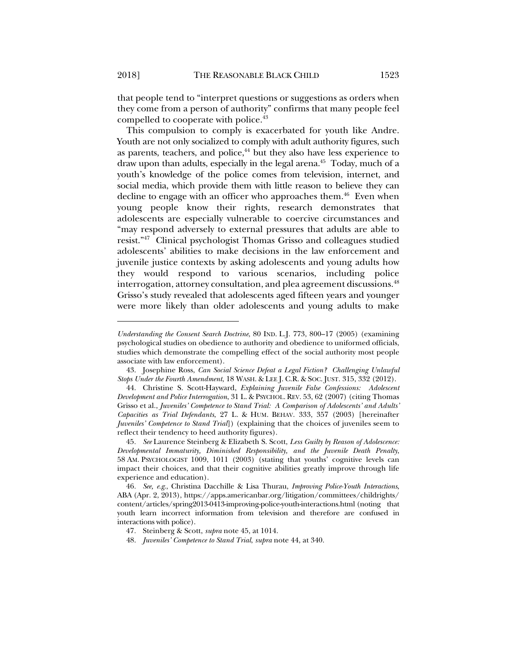that people tend to "interpret questions or suggestions as orders when they come from a person of authority" confirms that many people feel compelled to cooperate with police.<sup>43</sup>

This compulsion to comply is exacerbated for youth like Andre. Youth are not only socialized to comply with adult authority figures, such as parents, teachers, and police,<sup>44</sup> but they also have less experience to draw upon than adults, especially in the legal arena.<sup>45</sup> Today, much of a youth's knowledge of the police comes from television, internet, and social media, which provide them with little reason to believe they can decline to engage with an officer who approaches them.<sup>46</sup> Even when young people know their rights, research demonstrates that adolescents are especially vulnerable to coercive circumstances and "may respond adversely to external pressures that adults are able to resist."47 Clinical psychologist Thomas Grisso and colleagues studied adolescents' abilities to make decisions in the law enforcement and juvenile justice contexts by asking adolescents and young adults how they would respond to various scenarios, including police interrogation, attorney consultation, and plea agreement discussions.<sup>48</sup> Grisso's study revealed that adolescents aged fifteen years and younger were more likely than older adolescents and young adults to make

48. *Juveniles' Competence to Stand Trial*, *supra* note 44, at 340.

*Understanding the Consent Search Doctrine*, 80 IND. L.J. 773, 800–17 (2005) (examining psychological studies on obedience to authority and obedience to uniformed officials, studies which demonstrate the compelling effect of the social authority most people associate with law enforcement).

 <sup>43.</sup> Josephine Ross, *Can Social Science Defeat a Legal Fiction? Challenging Unlawful Stops Under the Fourth Amendment*, 18 WASH. & LEE J. C.R. & SOC. JUST. 315, 332 (2012).

 <sup>44.</sup> Christine S. Scott-Hayward, *Explaining Juvenile False Confessions: Adolescent Development and Police Interrogation*, 31 L. & PSYCHOL. REV. 53, 62 (2007) (citing Thomas Grisso et al., *Juveniles' Competence to Stand Trial: A Comparison of Adolescents' and Adults' Capacities as Trial Defendants*, 27 L. & HUM. BEHAV. 333, 357 (2003) [hereinafter *Juveniles' Competence to Stand Trial*]) (explaining that the choices of juveniles seem to reflect their tendency to heed authority figures).

<sup>45</sup>*. See* Laurence Steinberg & Elizabeth S. Scott, *Less Guilty by Reason of Adolescence: Developmental Immaturity, Diminished Responsibility, and the Juvenile Death Penalty*, 58 AM. PSYCHOLOGIST 1009, 1011 (2003) (stating that youths' cognitive levels can impact their choices, and that their cognitive abilities greatly improve through life experience and education).

<sup>46</sup>*. See, e.g*., Christina Dacchille & Lisa Thurau, *Improving Police-Youth Interactions*, ABA (Apr. 2, 2013), https://apps.americanbar.org/litigation/committees/childrights/ content/articles/spring2013-0413-improving-police-youth-interactions.html (noting that youth learn incorrect information from television and therefore are confused in interactions with police).

<sup>47</sup>*.* Steinberg & Scott, *supra* note 45, at 1014.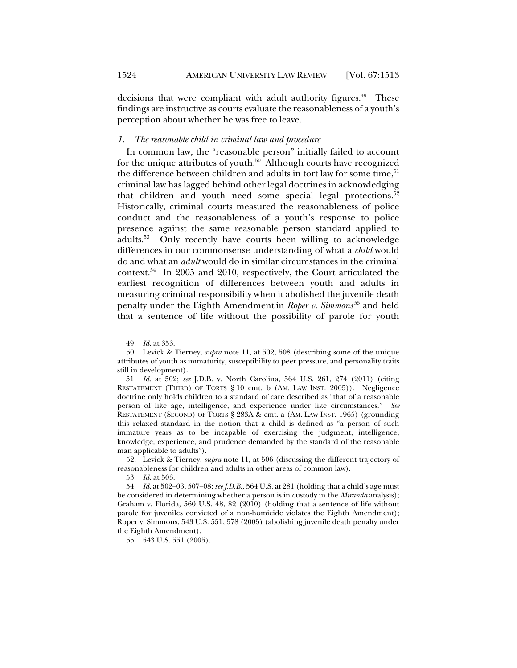decisions that were compliant with adult authority figures.<sup>49</sup> These findings are instructive as courts evaluate the reasonableness of a youth's perception about whether he was free to leave.

## *1. The reasonable child in criminal law and procedure*

In common law, the "reasonable person" initially failed to account for the unique attributes of youth. $50$  Although courts have recognized the difference between children and adults in tort law for some time,<sup>51</sup> criminal law has lagged behind other legal doctrines in acknowledging that children and youth need some special legal protections.<sup>52</sup> Historically, criminal courts measured the reasonableness of police conduct and the reasonableness of a youth's response to police presence against the same reasonable person standard applied to adults.53 Only recently have courts been willing to acknowledge differences in our commonsense understanding of what a *child* would do and what an *adult* would do in similar circumstances in the criminal context.<sup>54</sup> In 2005 and 2010, respectively, the Court articulated the earliest recognition of differences between youth and adults in measuring criminal responsibility when it abolished the juvenile death penalty under the Eighth Amendment in *Roper v. Simmons* 55 and held that a sentence of life without the possibility of parole for youth

-

 52. Levick & Tierney, *supra* note 11, at 506 (discussing the different trajectory of reasonableness for children and adults in other areas of common law).

53*. Id.* at 503.

55. 543 U.S. 551 (2005).

<sup>49</sup>*. Id.* at 353.

 <sup>50.</sup> Levick & Tierney, *supra* note 11, at 502, 508 (describing some of the unique attributes of youth as immaturity, susceptibility to peer pressure, and personality traits still in development).

<sup>51</sup>*. Id.* at 502; *see* J.D.B. v. North Carolina, 564 U.S. 261, 274 (2011) (citing RESTATEMENT (THIRD) OF TORTS § 10 cmt. b (AM. LAW INST. 2005)). Negligence doctrine only holds children to a standard of care described as "that of a reasonable person of like age, intelligence, and experience under like circumstances." *See* RESTATEMENT (SECOND) OF TORTS § 283A & cmt. a (AM. LAW INST. 1965) (grounding this relaxed standard in the notion that a child is defined as "a person of such immature years as to be incapable of exercising the judgment, intelligence, knowledge, experience, and prudence demanded by the standard of the reasonable man applicable to adults").

<sup>54</sup>*. Id.* at 502–03, 507–08; *see J.D.B.*, 564 U.S. at 281 (holding that a child's age must be considered in determining whether a person is in custody in the *Miranda* analysis); Graham v. Florida, 560 U.S. 48, 82 (2010) (holding that a sentence of life without parole for juveniles convicted of a non-homicide violates the Eighth Amendment); Roper v. Simmons, 543 U.S. 551, 578 (2005) (abolishing juvenile death penalty under the Eighth Amendment).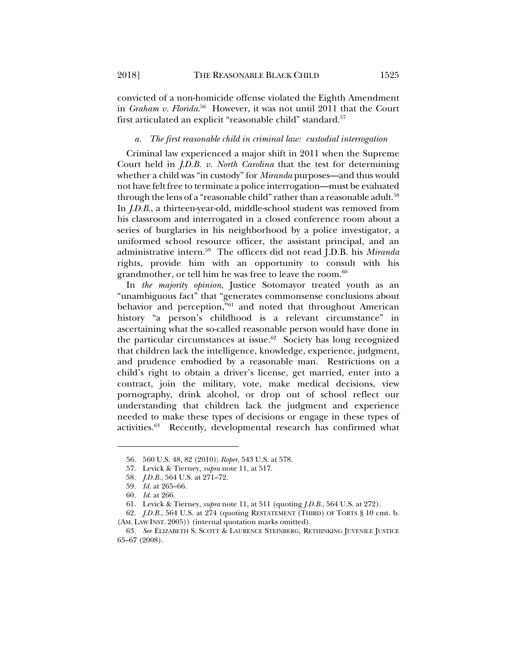convicted of a non-homicide offense violated the Eighth Amendment in *Graham v. Florida*. 56 However, it was not until 2011 that the Court first articulated an explicit "reasonable child" standard.<sup>57</sup>

## *a. The first reasonable child in criminal law: custodial interrogation*

Criminal law experienced a major shift in 2011 when the Supreme Court held in *J.D.B. v. North Carolina* that the test for determining whether a child was "in custody" for *Miranda* purposes—and thus would not have felt free to terminate a police interrogation—must be evaluated through the lens of a "reasonable child" rather than a reasonable adult.<sup>58</sup> In *J.D.B.*, a thirteen-year-old, middle-school student was removed from his classroom and interrogated in a closed conference room about a series of burglaries in his neighborhood by a police investigator, a uniformed school resource officer, the assistant principal, and an administrative intern.59 The officers did not read J.D.B. his *Miranda* rights, provide him with an opportunity to consult with his grandmother, or tell him he was free to leave the room. $60$ 

In *the majority opinion*, Justice Sotomayor treated youth as an "unambiguous fact" that "generates commonsense conclusions about behavior and perception,<sup>"61</sup> and noted that throughout American history "a person's childhood is a relevant circumstance" in ascertaining what the so-called reasonable person would have done in the particular circumstances at issue.<sup>62</sup> Society has long recognized that children lack the intelligence, knowledge, experience, judgment, and prudence embodied by a reasonable man. Restrictions on a child's right to obtain a driver's license, get married, enter into a contract, join the military, vote, make medical decisions, view pornography, drink alcohol, or drop out of school reflect our understanding that children lack the judgment and experience needed to make these types of decisions or engage in these types of activities.63 Recently, developmental research has confirmed what

 <sup>56. 560</sup> U.S. 48, 82 (2010); *Roper*, 543 U.S. at 578.

 <sup>57.</sup> Levick & Tierney, *supra* note 11, at 517.

<sup>58</sup>*. J.D.B.*, 564 U.S. at 271–72.

<sup>59</sup>*. Id.* at 265–66.

<sup>60</sup>*. Id.* at 266.

 <sup>61.</sup> Levick & Tierney, *supra* note 11, at 511 (quoting *J.D.B.*, 564 U.S. at 272).

<sup>62</sup>*. J.D.B.*, 564 U.S. at 274 (quoting RESTATEMENT (THIRD) OF TORTS § 10 cmt. b. (AM. LAW INST. 2005)) (internal quotation marks omitted).

<sup>63</sup>*. See* ELIZABETH S. SCOTT & LAURENCE STEINBERG, RETHINKING JUVENILE JUSTICE 65–67 (2008).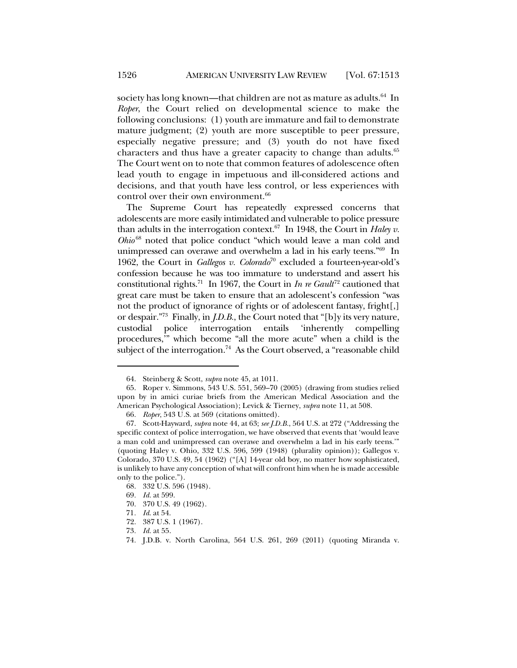society has long known—that children are not as mature as adults.<sup>64</sup> In *Roper*, the Court relied on developmental science to make the following conclusions: (1) youth are immature and fail to demonstrate mature judgment; (2) youth are more susceptible to peer pressure, especially negative pressure; and (3) youth do not have fixed characters and thus have a greater capacity to change than adults.<sup>65</sup> The Court went on to note that common features of adolescence often lead youth to engage in impetuous and ill-considered actions and decisions, and that youth have less control, or less experiences with control over their own environment.<sup>66</sup>

The Supreme Court has repeatedly expressed concerns that adolescents are more easily intimidated and vulnerable to police pressure than adults in the interrogation context.<sup>67</sup> In 1948, the Court in *Haley v. Ohio*<sup>68</sup> noted that police conduct "which would leave a man cold and unimpressed can overawe and overwhelm a lad in his early teens."69 In 1962, the Court in *Gallegos v. Colorado*70 excluded a fourteen-year-old's confession because he was too immature to understand and assert his constitutional rights.<sup>71</sup> In 1967, the Court in *In re Gault*<sup>72</sup> cautioned that great care must be taken to ensure that an adolescent's confession "was not the product of ignorance of rights or of adolescent fantasy, fright[,] or despair."73 Finally, in *J.D.B.*, the Court noted that "[b]y its very nature, custodial police interrogation entails 'inherently compelling procedures,'" which become "all the more acute" when a child is the subject of the interrogation.<sup>74</sup> As the Court observed, a "reasonable child

 <sup>64.</sup> Steinberg & Scott, *supra* note 45, at 1011.

 <sup>65.</sup> Roper v. Simmons, 543 U.S. 551, 569–70 (2005) (drawing from studies relied upon by in amici curiae briefs from the American Medical Association and the American Psychological Association); Levick & Tierney, *supra* note 11, at 508.

<sup>66</sup>*. Roper*, 543 U*.*S. at 569 (citations omitted).

 <sup>67.</sup> Scott-Hayward, *supra* note 44, at 63; *see J.D.B.*, 564 U.S. at 272 ("Addressing the specific context of police interrogation, we have observed that events that 'would leave a man cold and unimpressed can overawe and overwhelm a lad in his early teens.'" (quoting Haley v. Ohio, 332 U.S. 596, 599 (1948) (plurality opinion)); Gallegos v. Colorado, 370 U.S. 49, 54 (1962) ("[A] 14-year old boy, no matter how sophisticated, is unlikely to have any conception of what will confront him when he is made accessible only to the police.").

 <sup>68. 332</sup> U.S. 596 (1948).

<sup>69</sup>*. Id.* at 599.

 <sup>70. 370</sup> U.S. 49 (1962).

<sup>71</sup>*. Id*. at 54.

 <sup>72. 387</sup> U.S. 1 (1967).

<sup>73</sup>*. Id.* at 55.

<sup>74</sup>*.* J.D.B. v. North Carolina, 564 U.S. 261, 269 (2011) (quoting Miranda v.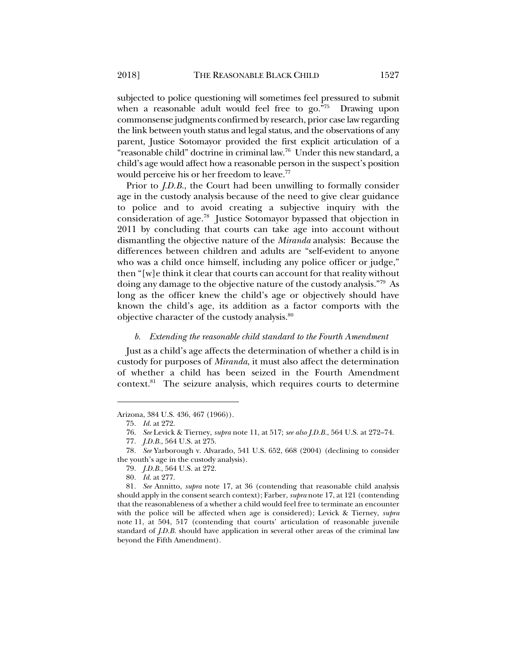subjected to police questioning will sometimes feel pressured to submit when a reasonable adult would feel free to go."<sup>75</sup> Drawing upon commonsense judgments confirmed by research, prior case law regarding the link between youth status and legal status, and the observations of any parent, Justice Sotomayor provided the first explicit articulation of a "reasonable child" doctrine in criminal law.76 Under this new standard, a child's age would affect how a reasonable person in the suspect's position would perceive his or her freedom to leave.<sup>77</sup>

Prior to *J.D.B.*, the Court had been unwilling to formally consider age in the custody analysis because of the need to give clear guidance to police and to avoid creating a subjective inquiry with the consideration of age.78 Justice Sotomayor bypassed that objection in 2011 by concluding that courts can take age into account without dismantling the objective nature of the *Miranda* analysis: Because the differences between children and adults are "self-evident to anyone who was a child once himself, including any police officer or judge," then "[w]e think it clear that courts can account for that reality without doing any damage to the objective nature of the custody analysis."79 As long as the officer knew the child's age or objectively should have known the child's age, its addition as a factor comports with the objective character of the custody analysis.80

#### *b. Extending the reasonable child standard to the Fourth Amendment*

Just as a child's age affects the determination of whether a child is in custody for purposes of *Miranda*, it must also affect the determination of whether a child has been seized in the Fourth Amendment context. $81$  The seizure analysis, which requires courts to determine

Arizona, 384 U.S. 436, 467 (1966)).

<sup>75</sup>*. Id.* at 272.

 <sup>76.</sup> *See* Levick & Tierney, *supra* note 11, at 517; *see also J.D.B.*, 564 U.S. at 272–74.

<sup>77</sup>*. J.D.B.*, 564 U.S. at 275.

<sup>78</sup>*. See* Yarborough v. Alvarado, 541 U.S. 652, 668 (2004) (declining to consider the youth's age in the custody analysis).

<sup>79</sup>*. J.D.B.*, 564 U.S. at 272.

<sup>80</sup>*. Id.* at 277.

<sup>81</sup>*. See* Annitto, *supra* note 17, at 36 (contending that reasonable child analysis should apply in the consent search context); Farber, *supra* note 17, at 121 (contending that the reasonableness of a whether a child would feel free to terminate an encounter with the police will be affected when age is considered); Levick & Tierney, *supra* note 11, at 504, 517 (contending that courts' articulation of reasonable juvenile standard of *J.D.B.* should have application in several other areas of the criminal law beyond the Fifth Amendment).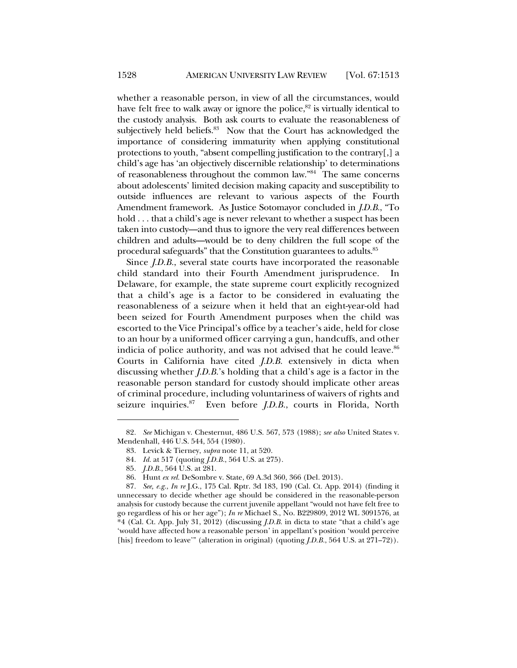whether a reasonable person, in view of all the circumstances, would have felt free to walk away or ignore the police, $82$  is virtually identical to the custody analysis. Both ask courts to evaluate the reasonableness of subjectively held beliefs.<sup>83</sup> Now that the Court has acknowledged the importance of considering immaturity when applying constitutional protections to youth, "absent compelling justification to the contrary[,] a child's age has 'an objectively discernible relationship' to determinations of reasonableness throughout the common law."84 The same concerns about adolescents' limited decision making capacity and susceptibility to outside influences are relevant to various aspects of the Fourth Amendment framework. As Justice Sotomayor concluded in *J.D.B.*, "To hold . . . that a child's age is never relevant to whether a suspect has been taken into custody—and thus to ignore the very real differences between children and adults—would be to deny children the full scope of the procedural safeguards" that the Constitution guarantees to adults.85

Since *J.D.B.*, several state courts have incorporated the reasonable child standard into their Fourth Amendment jurisprudence. In Delaware, for example, the state supreme court explicitly recognized that a child's age is a factor to be considered in evaluating the reasonableness of a seizure when it held that an eight-year-old had been seized for Fourth Amendment purposes when the child was escorted to the Vice Principal's office by a teacher's aide, held for close to an hour by a uniformed officer carrying a gun, handcuffs, and other indicia of police authority, and was not advised that he could leave.  $86$ Courts in California have cited *J.D.B.* extensively in dicta when discussing whether *J.D.B.*'s holding that a child's age is a factor in the reasonable person standard for custody should implicate other areas of criminal procedure, including voluntariness of waivers of rights and seizure inquiries.<sup>87</sup> Even before *J.D.B.*, courts in Florida, North

<sup>82</sup>*. See* Michigan v. Chesternut, 486 U.S. 567, 573 (1988); *see also* United States v. Mendenhall, 446 U.S. 544, 554 (1980).

 <sup>83.</sup> Levick & Tierney, *supra* note 11, at 520.

<sup>84</sup>*. Id.* at 517 (quoting *J.D.B.*, 564 U.S. at 275).

<sup>85</sup>*. J.D.B.*, 564 U.S. at 281.

 <sup>86.</sup> Hunt *ex rel.* DeSombre v. State, 69 A.3d 360, 366 (Del. 2013).

<sup>87</sup>*. See, e.g.*, *In re* J.G., 175 Cal. Rptr. 3d 183, 190 (Cal. Ct. App. 2014) (finding it unnecessary to decide whether age should be considered in the reasonable-person analysis for custody because the current juvenile appellant "would not have felt free to go regardless of his or her age"); *In re* Michael S., No. B229809, 2012 WL 3091576, at \*4 (Cal. Ct. App. July 31, 2012) (discussing *J.D.B.* in dicta to state "that a child's age 'would have affected how a reasonable person' in appellant's position 'would perceive [his] freedom to leave'" (alteration in original) (quoting *J.D.B.*, 564 U.S. at 271–72)).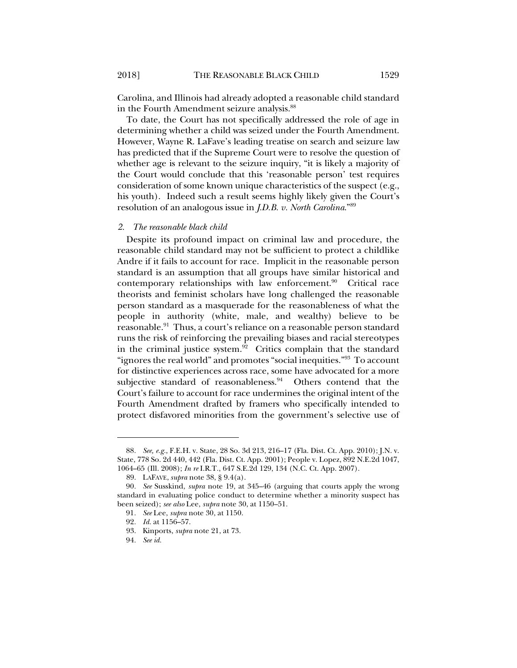Carolina, and Illinois had already adopted a reasonable child standard in the Fourth Amendment seizure analysis.<sup>88</sup>

To date, the Court has not specifically addressed the role of age in determining whether a child was seized under the Fourth Amendment. However, Wayne R. LaFave's leading treatise on search and seizure law has predicted that if the Supreme Court were to resolve the question of whether age is relevant to the seizure inquiry, "it is likely a majority of the Court would conclude that this 'reasonable person' test requires consideration of some known unique characteristics of the suspect (e.g., his youth). Indeed such a result seems highly likely given the Court's resolution of an analogous issue in *J.D.B. v. North Carolina*."89

#### *2. The reasonable black child*

Despite its profound impact on criminal law and procedure, the reasonable child standard may not be sufficient to protect a childlike Andre if it fails to account for race. Implicit in the reasonable person standard is an assumption that all groups have similar historical and contemporary relationships with law enforcement. $90$  Critical race theorists and feminist scholars have long challenged the reasonable person standard as a masquerade for the reasonableness of what the people in authority (white, male, and wealthy) believe to be reasonable.<sup>91</sup> Thus, a court's reliance on a reasonable person standard runs the risk of reinforcing the prevailing biases and racial stereotypes in the criminal justice system. $92$  Critics complain that the standard "ignores the real world" and promotes "social inequities."<sup>93</sup> To account for distinctive experiences across race, some have advocated for a more subjective standard of reasonableness.<sup>94</sup> Others contend that the Court's failure to account for race undermines the original intent of the Fourth Amendment drafted by framers who specifically intended to protect disfavored minorities from the government's selective use of

<sup>88</sup>*. See, e.g.*, F.E.H. v. State, 28 So. 3d 213, 216–17 (Fla. Dist. Ct. App. 2010); J.N. v. State, 778 So. 2d 440, 442 (Fla. Dist. Ct. App. 2001); People v. Lopez, 892 N.E.2d 1047, 1064–65 (Ill. 2008); *In re* I.R.T., 647 S.E.2d 129, 134 (N.C. Ct. App. 2007).

 <sup>89.</sup> LAFAVE, *supra* note 38, § 9.4(a).

<sup>90</sup>*. See* Susskind, *supra* note 19, at 345–46 (arguing that courts apply the wrong standard in evaluating police conduct to determine whether a minority suspect has been seized); *see also* Lee, *supra* note 30, at 1150–51.

<sup>91</sup>*. See* Lee, *supra* note 30, at 1150.

<sup>92</sup>*. Id.* at 1156–57.

 <sup>93.</sup> Kinports, *supra* note 21, at 73.

<sup>94</sup>*. See id.*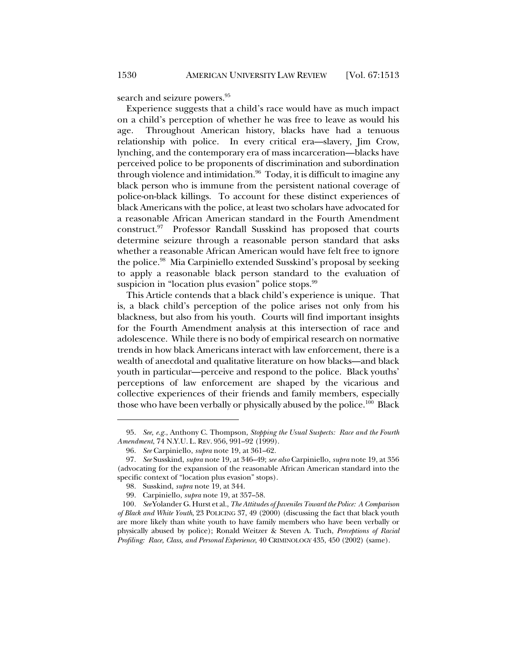search and seizure powers.<sup>95</sup>

Experience suggests that a child's race would have as much impact on a child's perception of whether he was free to leave as would his age. Throughout American history, blacks have had a tenuous relationship with police. In every critical era—slavery, Jim Crow, lynching, and the contemporary era of mass incarceration—blacks have perceived police to be proponents of discrimination and subordination through violence and intimidation. $96$  Today, it is difficult to imagine any black person who is immune from the persistent national coverage of police-on-black killings. To account for these distinct experiences of black Americans with the police, at least two scholars have advocated for a reasonable African American standard in the Fourth Amendment construct.97 Professor Randall Susskind has proposed that courts determine seizure through a reasonable person standard that asks whether a reasonable African American would have felt free to ignore the police.98 Mia Carpiniello extended Susskind's proposal by seeking to apply a reasonable black person standard to the evaluation of suspicion in "location plus evasion" police stops.<sup>99</sup>

This Article contends that a black child's experience is unique. That is, a black child's perception of the police arises not only from his blackness, but also from his youth. Courts will find important insights for the Fourth Amendment analysis at this intersection of race and adolescence. While there is no body of empirical research on normative trends in how black Americans interact with law enforcement, there is a wealth of anecdotal and qualitative literature on how blacks—and black youth in particular—perceive and respond to the police. Black youths' perceptions of law enforcement are shaped by the vicarious and collective experiences of their friends and family members, especially those who have been verbally or physically abused by the police.<sup>100</sup> Black

 <sup>95.</sup> *See, e.g.*, Anthony C. Thompson, *Stopping the Usual Suspects: Race and the Fourth Amendment*, 74 N.Y.U. L. REV. 956, 991–92 (1999).

<sup>96</sup>*. See* Carpiniello, *supra* note 19, at 361–62.

<sup>97</sup>*. See* Susskind, *supra* note 19, at 346–49; *see also* Carpiniello, *supra* note 19, at 356 (advocating for the expansion of the reasonable African American standard into the specific context of "location plus evasion" stops).

 <sup>98.</sup> Susskind, *supra* note 19, at 344.

 <sup>99.</sup> Carpiniello, *supra* note 19, at 357–58.

<sup>100</sup>*. See* Yolander G. Hurst et al., *The Attitudes of Juveniles Toward the Police: A Comparison of Black and White Youth*, 23 POLICING 37, 49 (2000) (discussing the fact that black youth are more likely than white youth to have family members who have been verbally or physically abused by police); Ronald Weitzer & Steven A. Tuch, *Perceptions of Racial Profiling: Race, Class, and Personal Experience*, 40 CRIMINOLOGY 435, 450 (2002) (same).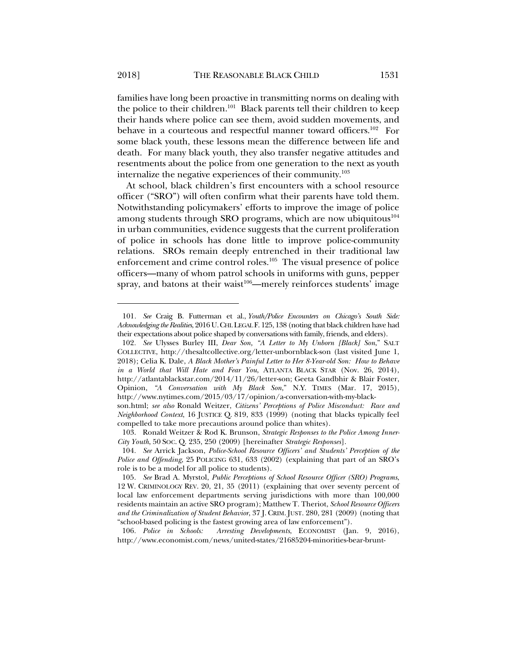families have long been proactive in transmitting norms on dealing with the police to their children.<sup>101</sup> Black parents tell their children to keep their hands where police can see them, avoid sudden movements, and behave in a courteous and respectful manner toward officers.<sup>102</sup> For some black youth, these lessons mean the difference between life and death. For many black youth, they also transfer negative attitudes and resentments about the police from one generation to the next as youth internalize the negative experiences of their community.<sup>103</sup>

At school, black children's first encounters with a school resource officer ("SRO") will often confirm what their parents have told them. Notwithstanding policymakers' efforts to improve the image of police among students through SRO programs, which are now ubiquitous $104$ in urban communities, evidence suggests that the current proliferation of police in schools has done little to improve police-community relations. SROs remain deeply entrenched in their traditional law enforcement and crime control roles.105 The visual presence of police officers—many of whom patrol schools in uniforms with guns, pepper spray, and batons at their waist<sup>106</sup>—merely reinforces students' image

106*. Police in Schools: Arresting Developments*, ECONOMIST (Jan. 9, 2016), http://www.economist.com/news/united-states/21685204-minorities-bear-brunt-

<sup>101</sup>*. See* Craig B. Futterman et al., *Youth/Police Encounters on Chicago's South Side: Acknowledging the Realities*, 2016 U.CHI.LEGAL F. 125, 138 (noting that black children have had their expectations about police shaped by conversations with family, friends, and elders).

<sup>102</sup>*. See* Ulysses Burley III, *Dear Son, "A Letter to My Unborn [Black] Son*," SALT COLLECTIVE, http://thesaltcollective.org/letter-unbornblack-son (last visited June 1, 2018); Celia K. Dale, *A Black Mother's Painful Letter to Her 8-Year-old Son: How to Behave in a World that Will Hate and Fear You*, ATLANTA BLACK STAR (Nov. 26, 2014), http://atlantablackstar.com/2014/11/26/letter-son; Geeta Gandbhir & Blair Foster, Opinion, *"A Conversation with My Black Son*," N.Y. TIMES (Mar. 17, 2015), http://www.nytimes.com/2015/03/17/opinion/a-conversation-with-my-black-

son.html; *see also* Ronald Weitzer, *Citizens' Perceptions of Police Misconduct: Race and Neighborhood Context*, 16 JUSTICE Q. 819, 833 (1999) (noting that blacks typically feel compelled to take more precautions around police than whites).

 <sup>103.</sup> Ronald Weitzer & Rod K. Brunson, *Strategic Responses to the Police Among Inner-City Youth*, 50 SOC. Q. 235, 250 (2009) [hereinafter *Strategic Responses*].

<sup>104</sup>*. See* Arrick Jackson, *Police-School Resource Officers' and Students' Perception of the Police and Offending*, 25 POLICING 631, 633 (2002) (explaining that part of an SRO's role is to be a model for all police to students).

<sup>105</sup>*. See* Brad A. Myrstol, *Public Perceptions of School Resource Officer (SRO) Programs*, 12 W. CRIMINOLOGY REV. 20, 21, 35 (2011) (explaining that over seventy percent of local law enforcement departments serving jurisdictions with more than 100,000 residents maintain an active SRO program); Matthew T. Theriot, *School Resource Officers and the Criminalization of Student Behavior*, 37 J. CRIM. JUST. 280, 281 (2009) (noting that "school-based policing is the fastest growing area of law enforcement").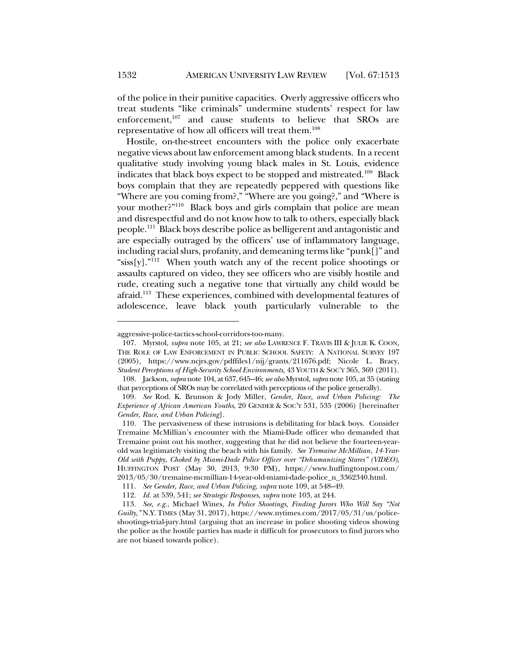of the police in their punitive capacities. Overly aggressive officers who treat students "like criminals" undermine students' respect for law enforcement,<sup>107</sup> and cause students to believe that SROs are representative of how all officers will treat them.108

Hostile, on-the-street encounters with the police only exacerbate negative views about law enforcement among black students. In a recent qualitative study involving young black males in St. Louis, evidence indicates that black boys expect to be stopped and mistreated.<sup>109</sup> Black boys complain that they are repeatedly peppered with questions like "Where are you coming from?," "Where are you going?," and "Where is your mother?"<sup>110</sup> Black boys and girls complain that police are mean and disrespectful and do not know how to talk to others, especially black people.111 Black boys describe police as belligerent and antagonistic and are especially outraged by the officers' use of inflammatory language, including racial slurs, profanity, and demeaning terms like "punk[]" and "siss[y]."112 When youth watch any of the recent police shootings or assaults captured on video, they see officers who are visibly hostile and rude, creating such a negative tone that virtually any child would be afraid.113 These experiences, combined with developmental features of adolescence, leave black youth particularly vulnerable to the

aggressive-police-tactics-school-corridors-too-many.

 <sup>107.</sup> Myrstol, *supra* note 105, at 21; *see also* LAWRENCE F. TRAVIS III & JULIE K. COON, THE ROLE OF LAW ENFORCEMENT IN PUBLIC SCHOOL SAFETY: A NATIONAL SURVEY 197 (2005), https://www.ncjrs.gov/pdffiles1/nij/grants/211676.pdf; Nicole L. Bracy, *Student Perceptions of High-Security School Environments*, 43 YOUTH & SOC'Y 365, 369 (2011).

 <sup>108.</sup> Jackson, *supra* note 104, at 637, 645–46; *see also* Myrstol, *supra* note 105, at 35 (stating that perceptions of SROs may be correlated with perceptions of the police generally).

<sup>109</sup>*. See* Rod. K. Brunson & Jody Miller, *Gender, Race, and Urban Policing: The Experience of African American Youths*, 20 GENDER & SOC'Y 531, 535 (2006) [hereinafter *Gender, Race, and Urban Policing*].

 <sup>110.</sup> The pervasiveness of these intrusions is debilitating for black boys. Consider Tremaine McMillian's encounter with the Miami-Dade officer who demanded that Tremaine point out his mother, suggesting that he did not believe the fourteen-yearold was legitimately visiting the beach with his family. *See Tremaine McMillian*, *14-Year-Old with Puppy, Choked by Miami-Dade Police Officer over "Dehumanizing Stares" (VIDEO)*, HUFFINGTON POST (May 30, 2013, 9:30 PM), https://www.huffingtonpost.com/ 2013/05/30/tremaine-mcmillian-14-year-old-miami-dade-police\_n\_3362340.html.

<sup>111</sup>*. See Gender, Race, and Urban Policing*, *supra* note 109, at 548–49.

 <sup>112.</sup> *Id.* at 539, 541; *see Strategic Responses*, *supra* note 103, at 244.

<sup>113</sup>*. See, e.g.*, Michael Wines, *In Police Shootings, Finding Jurors Who Will Say "Not Guilty*,*"* N.Y. TIMES (May 31, 2017), https://www.nytimes.com/2017/05/31/us/policeshootings-trial-jury.html (arguing that an increase in police shooting videos showing the police as the hostile parties has made it difficult for prosecutors to find jurors who are not biased towards police).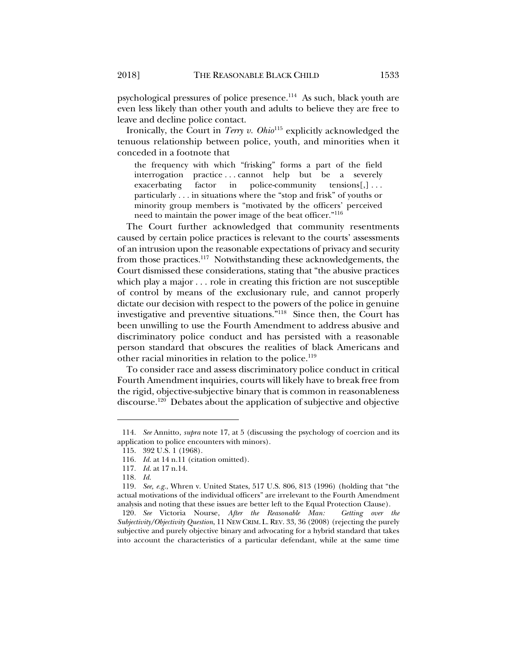psychological pressures of police presence.114 As such, black youth are even less likely than other youth and adults to believe they are free to leave and decline police contact.

Ironically, the Court in *Terry v. Ohio*115 explicitly acknowledged the tenuous relationship between police, youth, and minorities when it conceded in a footnote that

the frequency with which "frisking" forms a part of the field interrogation practice . . . cannot help but be a severely exacerbating factor in police-community tensions[,]... particularly . . . in situations where the "stop and frisk" of youths or minority group members is "motivated by the officers' perceived need to maintain the power image of the beat officer."<sup>116</sup>

The Court further acknowledged that community resentments caused by certain police practices is relevant to the courts' assessments of an intrusion upon the reasonable expectations of privacy and security from those practices.117 Notwithstanding these acknowledgements, the Court dismissed these considerations, stating that "the abusive practices which play a major . . . role in creating this friction are not susceptible of control by means of the exclusionary rule, and cannot properly dictate our decision with respect to the powers of the police in genuine investigative and preventive situations."118 Since then, the Court has been unwilling to use the Fourth Amendment to address abusive and discriminatory police conduct and has persisted with a reasonable person standard that obscures the realities of black Americans and other racial minorities in relation to the police.<sup>119</sup>

To consider race and assess discriminatory police conduct in critical Fourth Amendment inquiries, courts will likely have to break free from the rigid, objective-subjective binary that is common in reasonableness discourse.120 Debates about the application of subjective and objective

<sup>114</sup>*. See* Annitto, *supra* note 17, at 5 (discussing the psychology of coercion and its application to police encounters with minors).

 <sup>115. 392</sup> U.S. 1 (1968).

<sup>116</sup>*. Id.* at 14 n.11 (citation omitted).

<sup>117</sup>*. Id.* at 17 n.14.

<sup>118</sup>*. Id.*

<sup>119</sup>*. See, e.g.*, Whren v. United States, 517 U.S. 806, 813 (1996) (holding that "the actual motivations of the individual officers" are irrelevant to the Fourth Amendment analysis and noting that these issues are better left to the Equal Protection Clause).

<sup>120</sup>*. See* Victoria Nourse, *After the Reasonable Man: Getting over the Subjectivity/Objectivity Question*, 11 NEW CRIM. L. REV. 33, 36 (2008) (rejecting the purely subjective and purely objective binary and advocating for a hybrid standard that takes into account the characteristics of a particular defendant, while at the same time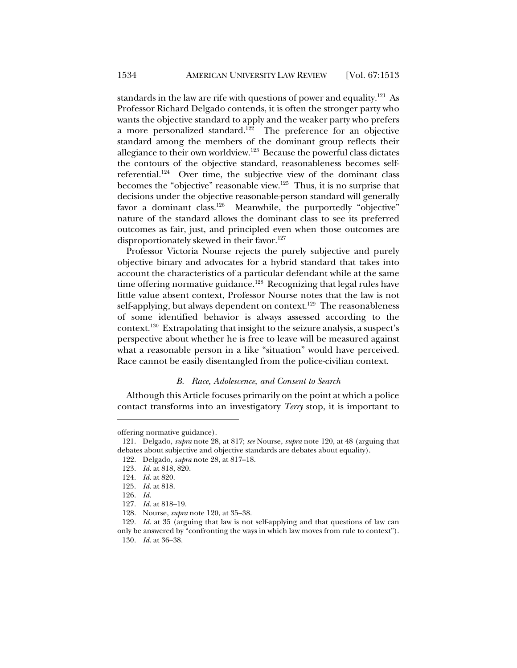standards in the law are rife with questions of power and equality.<sup>121</sup> As Professor Richard Delgado contends, it is often the stronger party who wants the objective standard to apply and the weaker party who prefers a more personalized standard.<sup>122</sup> The preference for an objective standard among the members of the dominant group reflects their allegiance to their own worldview.<sup>123</sup> Because the powerful class dictates the contours of the objective standard, reasonableness becomes selfreferential.<sup>124</sup> Over time, the subjective view of the dominant class becomes the "objective" reasonable view. $125$  Thus, it is no surprise that decisions under the objective reasonable-person standard will generally favor a dominant class.<sup>126</sup> Meanwhile, the purportedly "objective" nature of the standard allows the dominant class to see its preferred outcomes as fair, just, and principled even when those outcomes are disproportionately skewed in their favor.<sup>127</sup>

Professor Victoria Nourse rejects the purely subjective and purely objective binary and advocates for a hybrid standard that takes into account the characteristics of a particular defendant while at the same time offering normative guidance.<sup>128</sup> Recognizing that legal rules have little value absent context, Professor Nourse notes that the law is not self-applying, but always dependent on context.<sup>129</sup> The reasonableness of some identified behavior is always assessed according to the context.130 Extrapolating that insight to the seizure analysis, a suspect's perspective about whether he is free to leave will be measured against what a reasonable person in a like "situation" would have perceived. Race cannot be easily disentangled from the police-civilian context.

## *B. Race, Adolescence, and Consent to Search*

Although this Article focuses primarily on the point at which a police contact transforms into an investigatory *Terry* stop, it is important to

offering normative guidance).

 <sup>121.</sup> Delgado, *supra* note 28, at 817; *see* Nourse, *supra* note 120, at 48 (arguing that debates about subjective and objective standards are debates about equality).

 <sup>122.</sup> Delgado, *supra* note 28, at 817–18.

<sup>123</sup>*. Id.* at 818, 820.

<sup>124</sup>*. Id.* at 820.

<sup>125</sup>*. Id.* at 818.

<sup>126</sup>*. Id.*

<sup>127</sup>*. Id.* at 818–19.

 <sup>128.</sup> Nourse, *supra* note 120, at 35–38.

<sup>129</sup>*. Id.* at 35 (arguing that law is not self-applying and that questions of law can only be answered by "confronting the ways in which law moves from rule to context").

<sup>130</sup>*. Id.* at 36–38.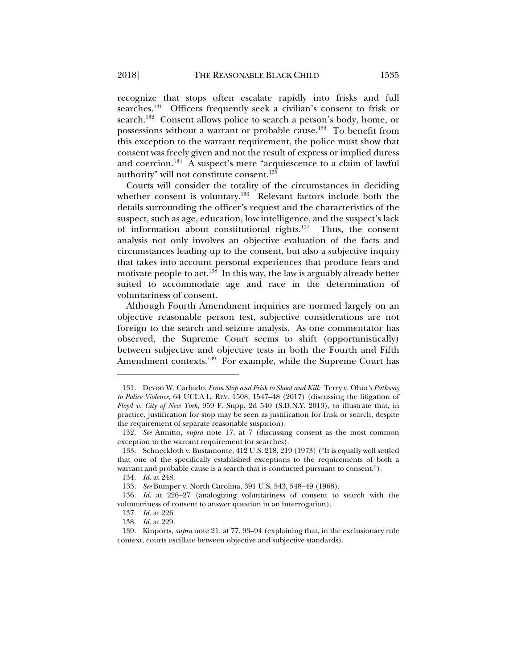recognize that stops often escalate rapidly into frisks and full searches.<sup>131</sup> Officers frequently seek a civilian's consent to frisk or search.<sup>132</sup> Consent allows police to search a person's body, home, or possessions without a warrant or probable cause.133 To benefit from this exception to the warrant requirement, the police must show that consent was freely given and not the result of express or implied duress and coercion.<sup>134</sup> A suspect's mere "acquiescence to a claim of lawful authority" will not constitute consent.<sup>135</sup>

Courts will consider the totality of the circumstances in deciding whether consent is voluntary.<sup>136</sup> Relevant factors include both the details surrounding the officer's request and the characteristics of the suspect, such as age, education, low intelligence, and the suspect's lack of information about constitutional rights.137 Thus, the consent analysis not only involves an objective evaluation of the facts and circumstances leading up to the consent, but also a subjective inquiry that takes into account personal experiences that produce fears and motivate people to act.<sup>138</sup> In this way, the law is arguably already better suited to accommodate age and race in the determination of voluntariness of consent.

Although Fourth Amendment inquiries are normed largely on an objective reasonable person test, subjective considerations are not foreign to the search and seizure analysis. As one commentator has observed, the Supreme Court seems to shift (opportunistically) between subjective and objective tests in both the Fourth and Fifth Amendment contexts.<sup>139</sup> For example, while the Supreme Court has

 <sup>131.</sup> Devon W. Carbado, *From Stop and Frisk to Shoot and Kill:* Terry v. Ohio*'s Pathway to Police Violence*, 64 UCLA L. REV. 1508, 1547–48 (2017) (discussing the litigation of *Floyd v. City of New York*, 959 F. Supp. 2d 540 (S.D.N.Y. 2013), to illustrate that, in practice, justification for stop may be seen as justification for frisk or search, despite the requirement of separate reasonable suspicion).

<sup>132</sup>*. See* Annitto, *supra* note 17, at 7 (discussing consent as the most common exception to the warrant requirement for searches).

 <sup>133.</sup> Schneckloth v. Bustamonte, 412 U.S. 218, 219 (1973) ("It is equally well settled that one of the specifically established exceptions to the requirements of both a warrant and probable cause is a search that is conducted pursuant to consent.").

<sup>134</sup>*. Id.* at 248.

 <sup>135.</sup> *See* Bumper v. North Carolina, 391 U.S. 543, 548–49 (1968).

<sup>136</sup>*. Id.* at 226–27 (analogizing voluntariness of consent to search with the voluntariness of consent to answer question in an interrogation).

<sup>137</sup>*. Id.* at 226.

<sup>138</sup>*. Id.* at 229.

 <sup>139.</sup> Kinports, *supra* note 21, at 77, 93–94 (explaining that, in the exclusionary rule context, courts oscillate between objective and subjective standards).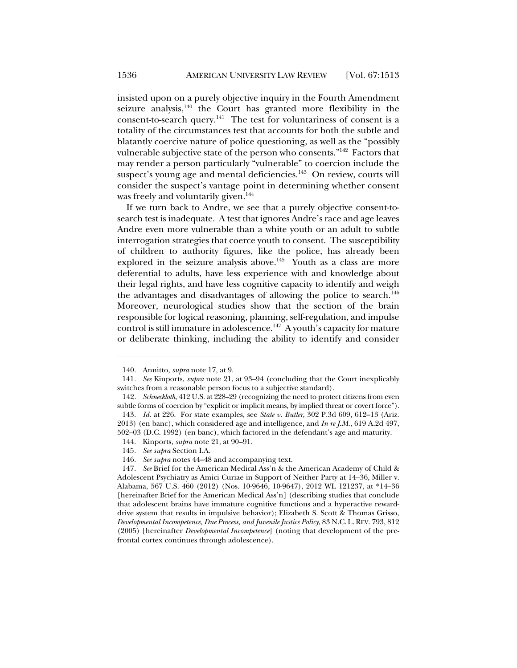insisted upon on a purely objective inquiry in the Fourth Amendment seizure analysis, $140$  the Court has granted more flexibility in the consent-to-search query.141 The test for voluntariness of consent is a totality of the circumstances test that accounts for both the subtle and blatantly coercive nature of police questioning, as well as the "possibly vulnerable subjective state of the person who consents."<sup>142</sup> Factors that may render a person particularly "vulnerable" to coercion include the suspect's young age and mental deficiencies.<sup>143</sup> On review, courts will consider the suspect's vantage point in determining whether consent was freely and voluntarily given.<sup>144</sup>

If we turn back to Andre, we see that a purely objective consent-tosearch test is inadequate. A test that ignores Andre's race and age leaves Andre even more vulnerable than a white youth or an adult to subtle interrogation strategies that coerce youth to consent. The susceptibility of children to authority figures, like the police, has already been explored in the seizure analysis above.<sup>145</sup> Youth as a class are more deferential to adults, have less experience with and knowledge about their legal rights, and have less cognitive capacity to identify and weigh the advantages and disadvantages of allowing the police to search.<sup>146</sup> Moreover, neurological studies show that the section of the brain responsible for logical reasoning, planning, self-regulation, and impulse control is still immature in adolescence.<sup>147</sup> A youth's capacity for mature or deliberate thinking, including the ability to identify and consider

 <sup>140.</sup> Annitto, *supra* note 17, at 9.

<sup>141</sup>*. See* Kinports, *supra* note 21, at 93–94 (concluding that the Court inexplicably switches from a reasonable person focus to a subjective standard).

<sup>142</sup>*. Schneckloth*, 412 U.S. at 228–29 (recognizing the need to protect citizens from even subtle forms of coercion by "explicit or implicit means, by implied threat or covert force"). 143*. Id.* at 226. For state examples, see *State v. Butler*, 302 P.3d 609, 612–13 (Ariz.

<sup>2013) (</sup>en banc), which considered age and intelligence, and *In re J.M.*, 619 A.2d 497, 502–03 (D.C. 1992) (en banc), which factored in the defendant's age and maturity.

 <sup>144.</sup> Kinports, *supra* note 21, at 90–91.

<sup>145</sup>*. See supra* Section I.A.

<sup>146</sup>*. See supra* notes 44–48 and accompanying text.

<sup>147</sup>*. See* Brief for the American Medical Ass'n & the American Academy of Child & Adolescent Psychiatry as Amici Curiae in Support of Neither Party at 14–36, Miller v. Alabama, 567 U.S. 460 (2012) (Nos. 10-9646, 10-9647), 2012 WL 121237, at \*14–36 [hereinafter Brief for the American Medical Ass'n] (describing studies that conclude that adolescent brains have immature cognitive functions and a hyperactive rewarddrive system that results in impulsive behavior); Elizabeth S. Scott & Thomas Grisso, *Developmental Incompetence, Due Process, and Juvenile Justice Policy*, 83 N.C. L. REV. 793, 812 (2005) [hereinafter *Developmental Incompetence*] (noting that development of the prefrontal cortex continues through adolescence).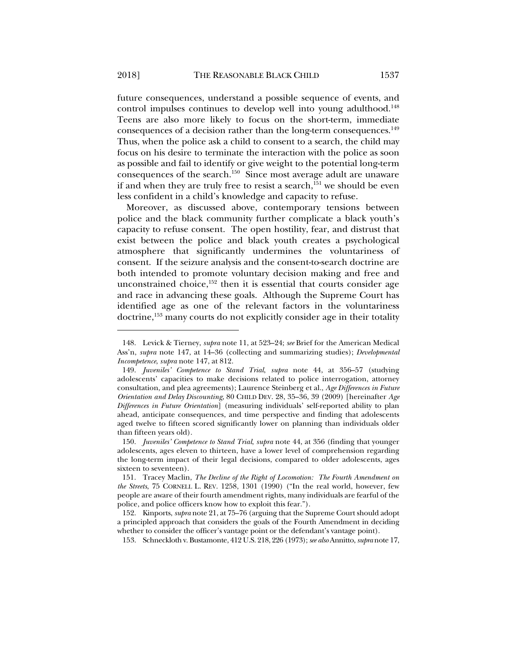future consequences, understand a possible sequence of events, and control impulses continues to develop well into young adulthood.<sup>148</sup> Teens are also more likely to focus on the short-term, immediate consequences of a decision rather than the long-term consequences.<sup>149</sup> Thus, when the police ask a child to consent to a search, the child may focus on his desire to terminate the interaction with the police as soon as possible and fail to identify or give weight to the potential long-term consequences of the search.<sup>150</sup> Since most average adult are unaware if and when they are truly free to resist a search, $151$  we should be even less confident in a child's knowledge and capacity to refuse.

Moreover, as discussed above, contemporary tensions between police and the black community further complicate a black youth's capacity to refuse consent. The open hostility, fear, and distrust that exist between the police and black youth creates a psychological atmosphere that significantly undermines the voluntariness of consent. If the seizure analysis and the consent-to-search doctrine are both intended to promote voluntary decision making and free and unconstrained choice, $152$  then it is essential that courts consider age and race in advancing these goals. Although the Supreme Court has identified age as one of the relevant factors in the voluntariness doctrine,153 many courts do not explicitly consider age in their totality

 <sup>148.</sup> Levick & Tierney, *supra* note 11, at 523–24; *see* Brief for the American Medical Ass'n, *supra* note 147, at 14–36 (collecting and summarizing studies); *Developmental Incompetence*, *supra* note 147, at 812.

 <sup>149.</sup> *Juveniles' Competence to Stand Trial*, *supra* note 44, at 356–57 (studying adolescents' capacities to make decisions related to police interrogation, attorney consultation, and plea agreements); Laurence Steinberg et al., *Age Differences in Future Orientation and Delay Discounting*, 80 CHILD DEV. 28, 35–36, 39 (2009) [hereinafter *Age Differences in Future Orientation*] (measuring individuals' self-reported ability to plan ahead, anticipate consequences, and time perspective and finding that adolescents aged twelve to fifteen scored significantly lower on planning than individuals older than fifteen years old).

 <sup>150.</sup> *Juveniles' Competence to Stand Trial*, *supra* note 44, at 356 (finding that younger adolescents, ages eleven to thirteen, have a lower level of comprehension regarding the long-term impact of their legal decisions, compared to older adolescents, ages sixteen to seventeen).

 <sup>151.</sup> Tracey Maclin, *The Decline of the Right of Locomotion: The Fourth Amendment on the Streets*, 75 CORNELL L. REV. 1258, 1301 (1990) ("In the real world, however, few people are aware of their fourth amendment rights, many individuals are fearful of the police, and police officers know how to exploit this fear.").

 <sup>152.</sup> Kinports, *supra* note 21, at 75–76 (arguing that the Supreme Court should adopt a principled approach that considers the goals of the Fourth Amendment in deciding whether to consider the officer's vantage point or the defendant's vantage point).

 <sup>153.</sup> Schneckloth v. Bustamonte, 412 U.S. 218, 226 (1973); *see also* Annitto, *supra* note 17,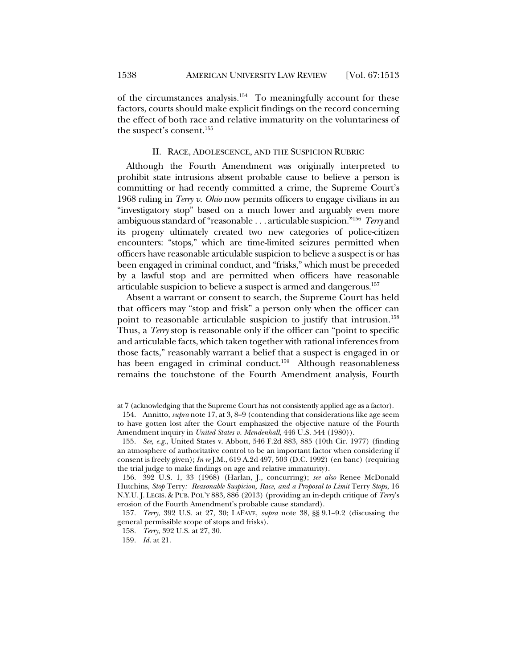of the circumstances analysis.154 To meaningfully account for these factors, courts should make explicit findings on the record concerning the effect of both race and relative immaturity on the voluntariness of the suspect's consent.155

### II. RACE, ADOLESCENCE, AND THE SUSPICION RUBRIC

Although the Fourth Amendment was originally interpreted to prohibit state intrusions absent probable cause to believe a person is committing or had recently committed a crime, the Supreme Court's 1968 ruling in *Terry v. Ohio* now permits officers to engage civilians in an "investigatory stop" based on a much lower and arguably even more ambiguous standard of "reasonable . . . articulable suspicion."156 *Terry* and its progeny ultimately created two new categories of police-citizen encounters: "stops," which are time-limited seizures permitted when officers have reasonable articulable suspicion to believe a suspect is or has been engaged in criminal conduct, and "frisks," which must be preceded by a lawful stop and are permitted when officers have reasonable articulable suspicion to believe a suspect is armed and dangerous.157

Absent a warrant or consent to search, the Supreme Court has held that officers may "stop and frisk" a person only when the officer can point to reasonable articulable suspicion to justify that intrusion.<sup>158</sup> Thus, a *Terry* stop is reasonable only if the officer can "point to specific and articulable facts, which taken together with rational inferences from those facts," reasonably warrant a belief that a suspect is engaged in or has been engaged in criminal conduct.<sup>159</sup> Although reasonableness remains the touchstone of the Fourth Amendment analysis, Fourth

at 7 (acknowledging that the Supreme Court has not consistently applied age as a factor).

 <sup>154.</sup> Annitto, *supra* note 17, at 3, 8–9 (contending that considerations like age seem to have gotten lost after the Court emphasized the objective nature of the Fourth Amendment inquiry in *United States v. Mendenhall*, 446 U.S. 544 (1980)).

<sup>155</sup>*. See, e.g.*, United States v. Abbott, 546 F.2d 883, 885 (10th Cir. 1977) (finding an atmosphere of authoritative control to be an important factor when considering if consent is freely given); *In re* J.M., 619 A.2d 497, 503 (D.C. 1992) (en banc) (requiring the trial judge to make findings on age and relative immaturity).

 <sup>156. 392</sup> U.S. 1, 33 (1968) (Harlan, J., concurring); *see also* Renee McDonald Hutchins, *Stop* Terry*: Reasonable Suspicion, Race, and a Proposal to Limit* Terry *Stops*, 16 N.Y.U. J. LEGIS. & PUB. POL'Y 883, 886 (2013) (providing an in-depth critique of *Terry*'s erosion of the Fourth Amendment's probable cause standard).

<sup>157</sup>*. Terry*, 392 U.S. at 27, 30; LAFAVE, *supra* note 38, §§ 9.1–9.2 (discussing the general permissible scope of stops and frisks).

<sup>158</sup>*. Terry*, 392 U.S. at 27, 30.

<sup>159</sup>*. Id.* at 21.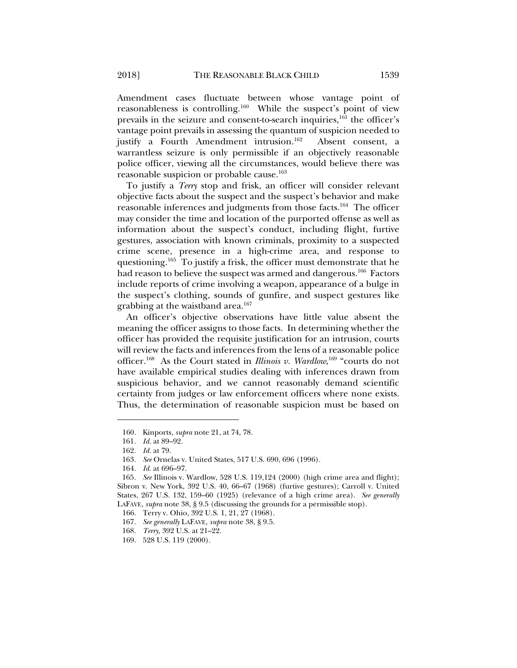Amendment cases fluctuate between whose vantage point of reasonableness is controlling.160 While the suspect's point of view prevails in the seizure and consent-to-search inquiries,<sup>161</sup> the officer's vantage point prevails in assessing the quantum of suspicion needed to justify a Fourth Amendment intrusion.<sup>162</sup> Absent consent, a warrantless seizure is only permissible if an objectively reasonable police officer, viewing all the circumstances, would believe there was reasonable suspicion or probable cause.<sup>163</sup>

To justify a *Terry* stop and frisk, an officer will consider relevant objective facts about the suspect and the suspect's behavior and make reasonable inferences and judgments from those facts.<sup>164</sup> The officer may consider the time and location of the purported offense as well as information about the suspect's conduct, including flight, furtive gestures, association with known criminals, proximity to a suspected crime scene, presence in a high-crime area, and response to questioning.165 To justify a frisk, the officer must demonstrate that he had reason to believe the suspect was armed and dangerous.<sup>166</sup> Factors include reports of crime involving a weapon, appearance of a bulge in the suspect's clothing, sounds of gunfire, and suspect gestures like grabbing at the waistband area.<sup>167</sup>

An officer's objective observations have little value absent the meaning the officer assigns to those facts. In determining whether the officer has provided the requisite justification for an intrusion, courts will review the facts and inferences from the lens of a reasonable police officer.168 As the Court stated in *Illinois v. Wardlow*, 169 "courts do not have available empirical studies dealing with inferences drawn from suspicious behavior, and we cannot reasonably demand scientific certainty from judges or law enforcement officers where none exists. Thus, the determination of reasonable suspicion must be based on

 <sup>160.</sup> Kinports, *supra* note 21, at 74, 78.

<sup>161</sup>*. Id.* at 89–92.

<sup>162</sup>*. Id.* at 79.

<sup>163</sup>*. See* Ornelas v. United States, 517 U.S. 690, 696 (1996).

<sup>164</sup>*. Id.* at 696–97.

<sup>165</sup>*. See* Illinois v. Wardlow, 528 U.S. 119,124 (2000) (high crime area and flight); Sibron v. New York, 392 U.S. 40, 66–67 (1968) (furtive gestures); Carroll v. United States, 267 U.S. 132, 159–60 (1925) (relevance of a high crime area). *See generally* LAFAVE, *supra* note 38, § 9.5 (discussing the grounds for a permissible stop).

 <sup>166.</sup> Terry v. Ohio, 392 U.S. 1, 21, 27 (1968).

<sup>167</sup>*. See generally* LAFAVE, *supra* note 38, § 9.5.

<sup>168</sup>*. Terry*, 392 U.S. at 21–22.

 <sup>169. 528</sup> U.S. 119 (2000).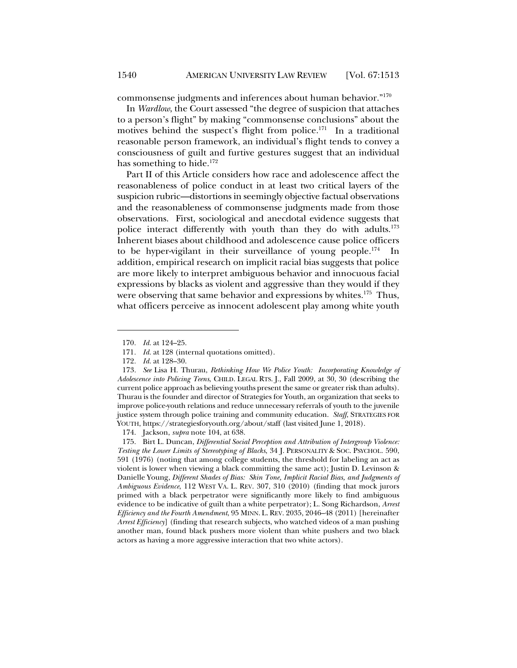commonsense judgments and inferences about human behavior."170

In *Wardlow*, the Court assessed "the degree of suspicion that attaches to a person's flight" by making "commonsense conclusions" about the motives behind the suspect's flight from police.<sup>171</sup> In a traditional reasonable person framework, an individual's flight tends to convey a consciousness of guilt and furtive gestures suggest that an individual has something to hide. $172$ 

Part II of this Article considers how race and adolescence affect the reasonableness of police conduct in at least two critical layers of the suspicion rubric—distortions in seemingly objective factual observations and the reasonableness of commonsense judgments made from those observations. First, sociological and anecdotal evidence suggests that police interact differently with youth than they do with adults.<sup>173</sup> Inherent biases about childhood and adolescence cause police officers to be hyper-vigilant in their surveillance of young people.<sup>174</sup> In addition, empirical research on implicit racial bias suggests that police are more likely to interpret ambiguous behavior and innocuous facial expressions by blacks as violent and aggressive than they would if they were observing that same behavior and expressions by whites.<sup>175</sup> Thus, what officers perceive as innocent adolescent play among white youth

<sup>170</sup>*. Id.* at 124–25.

<sup>171</sup>*. Id.* at 128 (internal quotations omitted).

<sup>172</sup>*. Id.* at 128–30.

<sup>173</sup>*. See* Lisa H. Thurau, *Rethinking How We Police Youth: Incorporating Knowledge of Adolescence into Policing Teens*, CHILD. LEGAL RTS. J., Fall 2009, at 30, 30 (describing the current police approach as believing youths present the same or greater risk than adults). Thurau is the founder and director of Strategies for Youth, an organization that seeks to improve police-youth relations and reduce unnecessary referrals of youth to the juvenile justice system through police training and community education. *Staff*, STRATEGIES FOR YOUTH, https://strategiesforyouth.org/about/staff (last visited June 1, 2018).

 <sup>174.</sup> Jackson, *supra* note 104, at 638.

 <sup>175.</sup> Birt L. Duncan, *Differential Social Perception and Attribution of Intergroup Violence: Testing the Lower Limits of Stereotyping of Blacks*, 34 J. PERSONALITY & SOC. PSYCHOL. 590, 591 (1976) (noting that among college students, the threshold for labeling an act as violent is lower when viewing a black committing the same act); Justin D. Levinson & Danielle Young, *Different Shades of Bias: Skin Tone, Implicit Racial Bias, and Judgments of Ambiguous Evidence*, 112 WEST VA. L. REV. 307, 310 (2010) (finding that mock jurors primed with a black perpetrator were significantly more likely to find ambiguous evidence to be indicative of guilt than a white perpetrator); L. Song Richardson, *Arrest Efficiency and the Fourth Amendment*, 95 MINN. L. REV. 2035, 2046–48 (2011) [hereinafter *Arrest Efficiency*] (finding that research subjects, who watched videos of a man pushing another man, found black pushers more violent than white pushers and two black actors as having a more aggressive interaction that two white actors).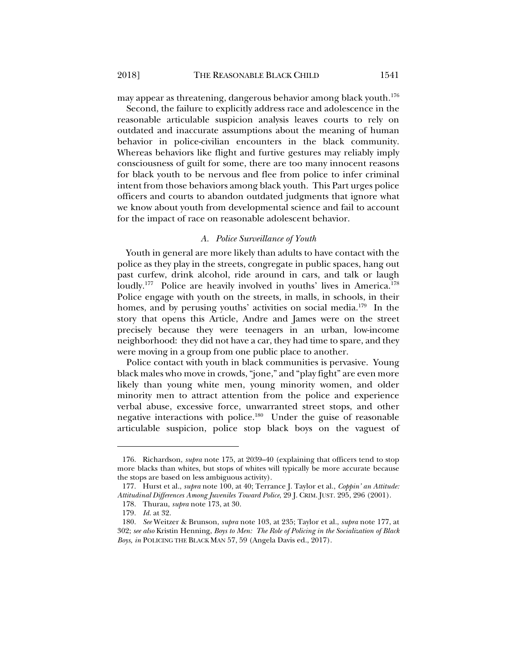may appear as threatening, dangerous behavior among black youth.176

Second, the failure to explicitly address race and adolescence in the reasonable articulable suspicion analysis leaves courts to rely on outdated and inaccurate assumptions about the meaning of human behavior in police-civilian encounters in the black community. Whereas behaviors like flight and furtive gestures may reliably imply consciousness of guilt for some, there are too many innocent reasons for black youth to be nervous and flee from police to infer criminal intent from those behaviors among black youth. This Part urges police officers and courts to abandon outdated judgments that ignore what we know about youth from developmental science and fail to account for the impact of race on reasonable adolescent behavior.

## *A. Police Surveillance of Youth*

Youth in general are more likely than adults to have contact with the police as they play in the streets, congregate in public spaces, hang out past curfew, drink alcohol, ride around in cars, and talk or laugh loudly.<sup>177</sup> Police are heavily involved in youths' lives in America.<sup>178</sup> Police engage with youth on the streets, in malls, in schools, in their homes, and by perusing youths' activities on social media.<sup>179</sup> In the story that opens this Article, Andre and James were on the street precisely because they were teenagers in an urban, low-income neighborhood: they did not have a car, they had time to spare, and they were moving in a group from one public place to another.

Police contact with youth in black communities is pervasive. Young black males who move in crowds, "jone," and "play fight" are even more likely than young white men, young minority women, and older minority men to attract attention from the police and experience verbal abuse, excessive force, unwarranted street stops, and other negative interactions with police.<sup>180</sup> Under the guise of reasonable articulable suspicion, police stop black boys on the vaguest of

 <sup>176.</sup> Richardson, *supra* note 175, at 2039–40 (explaining that officers tend to stop more blacks than whites, but stops of whites will typically be more accurate because the stops are based on less ambiguous activity).

 <sup>177.</sup> Hurst et al., *supra* note 100, at 40; Terrance J. Taylor et al., *Coppin' an Attitude: Attitudinal Differences Among Juveniles Toward Police*, 29 J. CRIM. JUST. 295, 296 (2001).

 <sup>178.</sup> Thurau, *supra* note 173, at 30.

<sup>179</sup>*. Id.* at 32.

 <sup>180.</sup> *See* Weitzer & Brunson, *supra* note 103, at 235; Taylor et al., *supra* note 177, at 302; *see also* Kristin Henning, *Boys to Men: The Role of Policing in the Socialization of Black Boys, in* POLICING THE BLACK MAN 57, 59 (Angela Davis ed., 2017).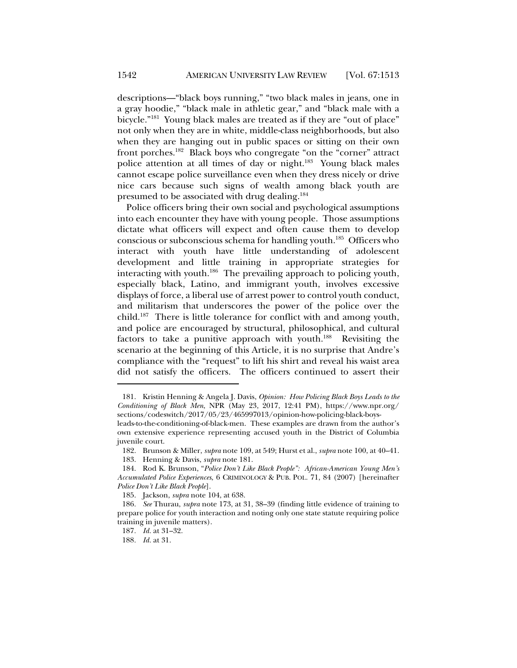descriptions—"black boys running," "two black males in jeans, one in a gray hoodie," "black male in athletic gear," and "black male with a bicycle."181 Young black males are treated as if they are "out of place" not only when they are in white, middle-class neighborhoods, but also when they are hanging out in public spaces or sitting on their own front porches.182 Black boys who congregate "on the "corner" attract police attention at all times of day or night.<sup>183</sup> Young black males cannot escape police surveillance even when they dress nicely or drive nice cars because such signs of wealth among black youth are presumed to be associated with drug dealing.<sup>184</sup>

Police officers bring their own social and psychological assumptions into each encounter they have with young people. Those assumptions dictate what officers will expect and often cause them to develop conscious or subconscious schema for handling youth.<sup>185</sup> Officers who interact with youth have little understanding of adolescent development and little training in appropriate strategies for interacting with youth.<sup>186</sup> The prevailing approach to policing youth, especially black, Latino, and immigrant youth, involves excessive displays of force, a liberal use of arrest power to control youth conduct, and militarism that underscores the power of the police over the child.187 There is little tolerance for conflict with and among youth, and police are encouraged by structural, philosophical, and cultural factors to take a punitive approach with youth.<sup>188</sup> Revisiting the scenario at the beginning of this Article, it is no surprise that Andre's compliance with the "request" to lift his shirt and reveal his waist area did not satisfy the officers. The officers continued to assert their

 <sup>181.</sup> Kristin Henning & Angela J. Davis, *Opinion: How Policing Black Boys Leads to the Conditioning of Black Men*, NPR (May 23, 2017, 12:41 PM), https://www.npr.org/ sections/codeswitch/2017/05/23/465997013/opinion-how-policing-black-boys-

leads-to-the-conditioning-of-black-men. These examples are drawn from the author's own extensive experience representing accused youth in the District of Columbia juvenile court.

 <sup>182.</sup> Brunson & Miller, *supra* note 109, at 549; Hurst et al., *supra* note 100, at 40–41. 183. Henning & Davis, *supra* note 181.

 <sup>184.</sup> Rod K. Brunson, "*Police Don't Like Black People": African-American Young Men's Accumulated Police Experiences*, 6 CRIMINOLOGY & PUB. POL. 71, 84 (2007) [hereinafter *Police Don't Like Black People*].

 <sup>185.</sup> Jackson, *supra* note 104, at 638.

<sup>186</sup>*. See* Thurau, *supra* note 173, at 31, 38–39 (finding little evidence of training to prepare police for youth interaction and noting only one state statute requiring police training in juvenile matters).

<sup>187</sup>*. Id.* at 31–32.

<sup>188</sup>*. Id.* at 31.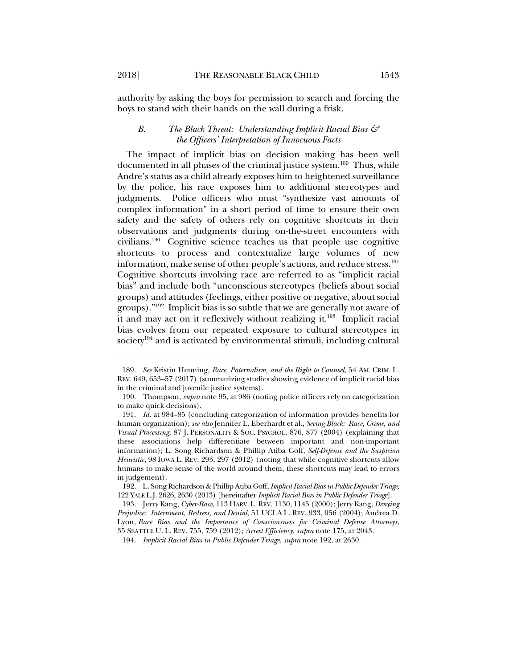-

authority by asking the boys for permission to search and forcing the boys to stand with their hands on the wall during a frisk.

## *B. The Black Threat: Understanding Implicit Racial Bias & the Officers' Interpretation of Innocuous Facts*

The impact of implicit bias on decision making has been well documented in all phases of the criminal justice system.<sup>189</sup> Thus, while Andre's status as a child already exposes him to heightened surveillance by the police, his race exposes him to additional stereotypes and judgments. Police officers who must "synthesize vast amounts of complex information" in a short period of time to ensure their own safety and the safety of others rely on cognitive shortcuts in their observations and judgments during on-the-street encounters with civilians.190 Cognitive science teaches us that people use cognitive shortcuts to process and contextualize large volumes of new information, make sense of other people's actions, and reduce stress.<sup>191</sup> Cognitive shortcuts involving race are referred to as "implicit racial bias" and include both "unconscious stereotypes (beliefs about social groups) and attitudes (feelings, either positive or negative, about social groups)."192 Implicit bias is so subtle that we are generally not aware of it and may act on it reflexively without realizing it.<sup>193</sup> Implicit racial bias evolves from our repeated exposure to cultural stereotypes in society<sup>194</sup> and is activated by environmental stimuli, including cultural

<sup>189</sup>*. See* Kristin Henning, *Race, Paternalism, and the Right to Counsel*, 54 AM. CRIM. L. REV. 649, 653–57 (2017) (summarizing studies showing evidence of implicit racial bias in the criminal and juvenile justice systems).

 <sup>190.</sup> Thompson, *supra* note 95, at 986 (noting police officers rely on categorization to make quick decisions).

<sup>191</sup>*. Id.* at 984–85 (concluding categorization of information provides benefits for human organization); *see also* Jennifer L. Eberhardt et al., *Seeing Black: Race, Crime, and Visual Processing*, 87 J. PERSONALITY & SOC. PSYCHOL. 876, 877 (2004) (explaining that these associations help differentiate between important and non-important information); L. Song Richardson & Phillip Atiba Goff, *Self-Defense and the Suspicion Heuristic*, 98 IOWA L. REV. 293, 297 (2012) (noting that while cognitive shortcuts allow humans to make sense of the world around them, these shortcuts may lead to errors in judgement).

 <sup>192.</sup> L. Song Richardson & Phillip Atiba Goff, *Implicit Racial Bias in Public Defender Triage*, 122 YALE L.J. 2626, 2630 (2013) [hereinafter *Implicit Racial Bias in Public Defender Triage*].

 <sup>193.</sup> Jerry Kang, *Cyber-Race*, 113 HARV.L.REV. 1130, 1145 (2000); Jerry Kang, *Denying Prejudice: Internment, Redress, and Denial*, 51 UCLA L. REV. 933, 956 (2004); Andrea D. Lyon, *Race Bias and the Importance of Consciousness for Criminal Defense Attorneys*, 35 SEATTLE U. L. REV. 755, 759 (2012); *Arrest Efficiency*, *supra* note 175, at 2043.

 <sup>194.</sup> *Implicit Racial Bias in Public Defender Triage*, *supra* note 192, at 2630.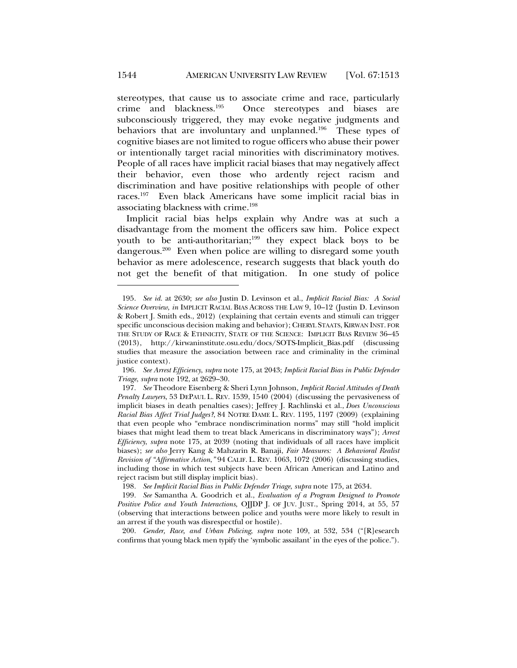stereotypes, that cause us to associate crime and race, particularly crime and blackness.<sup>195</sup> Once stereotypes and biases are Once stereotypes and biases are subconsciously triggered, they may evoke negative judgments and behaviors that are involuntary and unplanned.<sup>196</sup> These types of cognitive biases are not limited to rogue officers who abuse their power or intentionally target racial minorities with discriminatory motives. People of all races have implicit racial biases that may negatively affect their behavior, even those who ardently reject racism and discrimination and have positive relationships with people of other races.197 Even black Americans have some implicit racial bias in associating blackness with crime.<sup>198</sup>

Implicit racial bias helps explain why Andre was at such a disadvantage from the moment the officers saw him. Police expect youth to be anti-authoritarian;<sup>199</sup> they expect black boys to be dangerous.<sup>200</sup> Even when police are willing to disregard some youth behavior as mere adolescence, research suggests that black youth do not get the benefit of that mitigation. In one study of police

 200. *Gender, Race, and Urban Policing*, *supra* note 109, at 532, 534 ("[R]esearch confirms that young black men typify the 'symbolic assailant' in the eyes of the police.").

<sup>195</sup>*. See id.* at 2630; *see also* Justin D. Levinson et al., *Implicit Racial Bias: A Social Science Overview*, *in* IMPLICIT RACIAL BIAS ACROSS THE LAW 9, 10–12 (Justin D. Levinson & Robert J. Smith eds., 2012) (explaining that certain events and stimuli can trigger specific unconscious decision making and behavior); CHERYL STAATS, KIRWAN INST. FOR THE STUDY OF RACE & ETHNICITY, STATE OF THE SCIENCE: IMPLICIT BIAS REVIEW 36–45 (2013), http://kirwaninstitute.osu.edu/docs/SOTS-Implicit\_Bias.pdf (discussing studies that measure the association between race and criminality in the criminal justice context).

<sup>196</sup>*. See Arrest Efficiency*, *supra* note 175, at 2043; *Implicit Racial Bias in Public Defender Triage*, *supra* note 192, at 2629–30.

<sup>197</sup>*. See* Theodore Eisenberg & Sheri Lynn Johnson, *Implicit Racial Attitudes of Death Penalty Lawyers*, 53 DEPAUL L. REV. 1539, 1540 (2004) (discussing the pervasiveness of implicit biases in death penalties cases); Jeffrey J. Rachlinski et al., *Does Unconscious Racial Bias Affect Trial Judges?*, 84 NOTRE DAME L. REV. 1195, 1197 (2009) (explaining that even people who "embrace nondiscrimination norms" may still "hold implicit biases that might lead them to treat black Americans in discriminatory ways"); *Arrest Efficiency*, *supra* note 175, at 2039 (noting that individuals of all races have implicit biases); *see also* Jerry Kang & Mahzarin R. Banaji, *Fair Measures: A Behavioral Realist Revision of "Affirmative Action*,*"* 94 CALIF. L. REV. 1063, 1072 (2006) (discussing studies, including those in which test subjects have been African American and Latino and reject racism but still display implicit bias).

<sup>198</sup>*. See Implicit Racial Bias in Public Defender Triage*, *supra* note 175, at 2634.

<sup>199</sup>*. See* Samantha A. Goodrich et al., *Evaluation of a Program Designed to Promote Positive Police and Youth Interactions*, OJJDP J. OF JUV. JUST., Spring 2014, at 55, 57 (observing that interactions between police and youths were more likely to result in an arrest if the youth was disrespectful or hostile).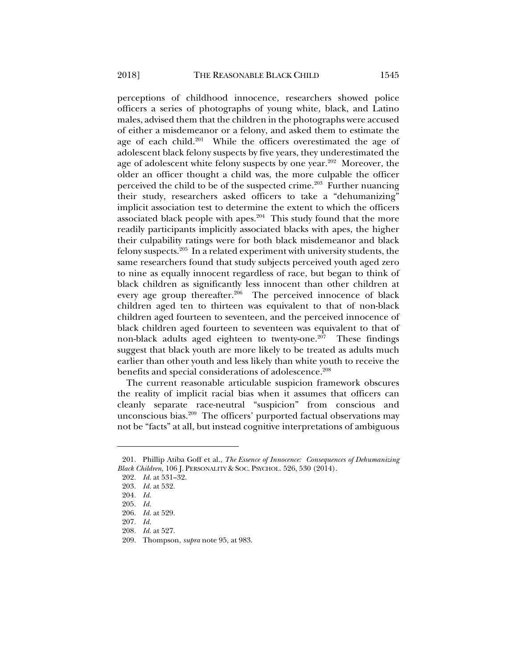perceptions of childhood innocence, researchers showed police officers a series of photographs of young white, black, and Latino males, advised them that the children in the photographs were accused of either a misdemeanor or a felony, and asked them to estimate the age of each child.<sup>201</sup> While the officers overestimated the age of adolescent black felony suspects by five years, they underestimated the age of adolescent white felony suspects by one year.<sup>202</sup> Moreover, the older an officer thought a child was, the more culpable the officer perceived the child to be of the suspected crime.<sup>203</sup> Further nuancing their study, researchers asked officers to take a "dehumanizing" implicit association test to determine the extent to which the officers associated black people with apes. $204$  This study found that the more readily participants implicitly associated blacks with apes, the higher their culpability ratings were for both black misdemeanor and black felony suspects.<sup>205</sup> In a related experiment with university students, the same researchers found that study subjects perceived youth aged zero to nine as equally innocent regardless of race, but began to think of black children as significantly less innocent than other children at every age group thereafter.<sup>206</sup> The perceived innocence of black children aged ten to thirteen was equivalent to that of non-black children aged fourteen to seventeen, and the perceived innocence of black children aged fourteen to seventeen was equivalent to that of non-black adults aged eighteen to twenty-one.<sup>207</sup> These findings suggest that black youth are more likely to be treated as adults much earlier than other youth and less likely than white youth to receive the benefits and special considerations of adolescence.<sup>208</sup>

The current reasonable articulable suspicion framework obscures the reality of implicit racial bias when it assumes that officers can cleanly separate race-neutral "suspicion" from conscious and unconscious bias.<sup>209</sup> The officers' purported factual observations may not be "facts" at all, but instead cognitive interpretations of ambiguous

 <sup>201.</sup> Phillip Atiba Goff et al., *The Essence of Innocence: Consequences of Dehumanizing Black Children*, 106 J. PERSONALITY & SOC. PSYCHOL. 526, 530 (2014).

<sup>202</sup>*. Id.* at 531–32.

<sup>203</sup>*. Id.* at 532.

<sup>204</sup>*. Id.*

<sup>205</sup>*. Id.* 

<sup>206</sup>*. Id.* at 529.

<sup>207</sup>*. Id.* 

<sup>208</sup>*. Id.* at 527.

 <sup>209.</sup> Thompson, *supra* note 95, at 983.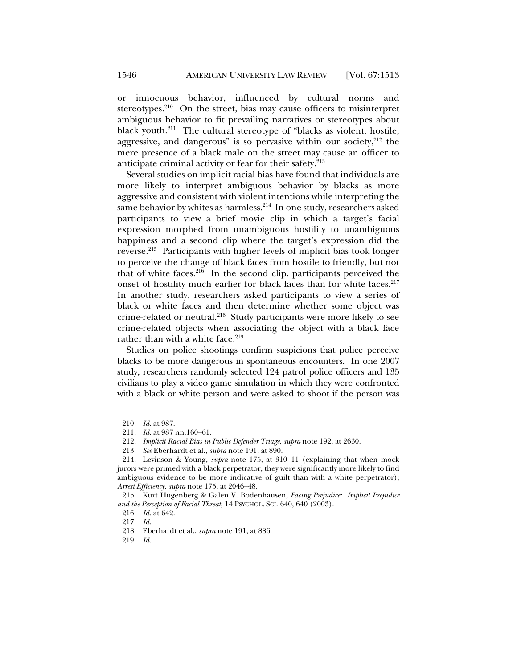or innocuous behavior, influenced by cultural norms and stereotypes. $210$  On the street, bias may cause officers to misinterpret ambiguous behavior to fit prevailing narratives or stereotypes about black youth.211 The cultural stereotype of "blacks as violent, hostile, aggressive, and dangerous" is so pervasive within our society, $2^{12}$  the mere presence of a black male on the street may cause an officer to anticipate criminal activity or fear for their safety.<sup>213</sup>

Several studies on implicit racial bias have found that individuals are more likely to interpret ambiguous behavior by blacks as more aggressive and consistent with violent intentions while interpreting the same behavior by whites as harmless.<sup>214</sup> In one study, researchers asked participants to view a brief movie clip in which a target's facial expression morphed from unambiguous hostility to unambiguous happiness and a second clip where the target's expression did the reverse.215 Participants with higher levels of implicit bias took longer to perceive the change of black faces from hostile to friendly, but not that of white faces. $216$  In the second clip, participants perceived the onset of hostility much earlier for black faces than for white faces.<sup>217</sup> In another study, researchers asked participants to view a series of black or white faces and then determine whether some object was crime-related or neutral.<sup>218</sup> Study participants were more likely to see crime-related objects when associating the object with a black face rather than with a white face.<sup>219</sup>

Studies on police shootings confirm suspicions that police perceive blacks to be more dangerous in spontaneous encounters. In one 2007 study, researchers randomly selected 124 patrol police officers and 135 civilians to play a video game simulation in which they were confronted with a black or white person and were asked to shoot if the person was

<sup>210</sup>*. Id.* at 987.

 <sup>211.</sup> *Id.* at 987 nn.160–61.

 <sup>212.</sup> *Implicit Racial Bias in Public Defender Triage*, *supra* note 192, at 2630.

<sup>213</sup>*. See* Eberhardt et al., *supra* note 191, at 890.

 <sup>214.</sup> Levinson & Young, *supra* note 175, at 310–11 (explaining that when mock jurors were primed with a black perpetrator, they were significantly more likely to find ambiguous evidence to be more indicative of guilt than with a white perpetrator); *Arrest Efficiency*, *supra* note 175, at 2046–48.

 <sup>215.</sup> Kurt Hugenberg & Galen V. Bodenhausen, *Facing Prejudice: Implicit Prejudice and the Perception of Facial Threat*, 14 PSYCHOL. SCI. 640, 640 (2003).

<sup>216</sup>*. Id.* at 642.

<sup>217</sup>*. Id.*

 <sup>218.</sup> Eberhardt et al., *supra* note 191, at 886.

<sup>219</sup>*. Id.*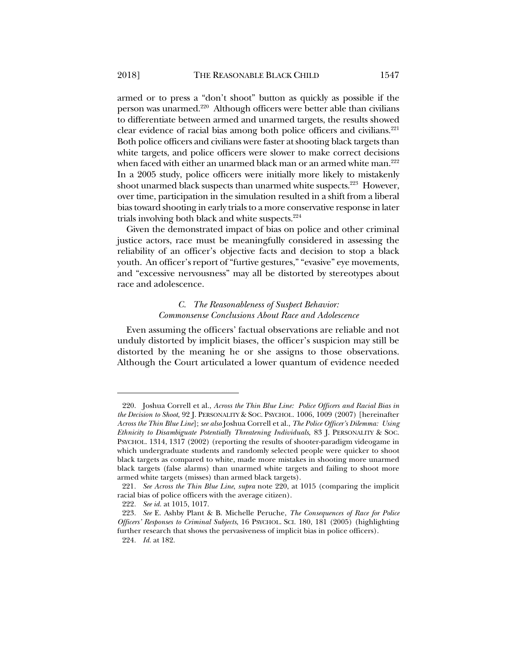armed or to press a "don't shoot" button as quickly as possible if the person was unarmed.220 Although officers were better able than civilians to differentiate between armed and unarmed targets, the results showed clear evidence of racial bias among both police officers and civilians.<sup>221</sup> Both police officers and civilians were faster at shooting black targets than white targets, and police officers were slower to make correct decisions when faced with either an unarmed black man or an armed white man.<sup>222</sup>

In a 2005 study, police officers were initially more likely to mistakenly shoot unarmed black suspects than unarmed white suspects.<sup>223</sup> However, over time, participation in the simulation resulted in a shift from a liberal bias toward shooting in early trials to a more conservative response in later trials involving both black and white suspects. $224$ 

Given the demonstrated impact of bias on police and other criminal justice actors, race must be meaningfully considered in assessing the reliability of an officer's objective facts and decision to stop a black youth. An officer's report of "furtive gestures," "evasive" eye movements, and "excessive nervousness" may all be distorted by stereotypes about race and adolescence.

## *C. The Reasonableness of Suspect Behavior: Commonsense Conclusions About Race and Adolescence*

Even assuming the officers' factual observations are reliable and not unduly distorted by implicit biases, the officer's suspicion may still be distorted by the meaning he or she assigns to those observations. Although the Court articulated a lower quantum of evidence needed

 <sup>220.</sup> Joshua Correll et al., *Across the Thin Blue Line: Police Officers and Racial Bias in the Decision to Shoot*, 92 J. PERSONALITY & SOC. PSYCHOL. 1006, 1009 (2007) [hereinafter *Across the Thin Blue Line*]; *see also* Joshua Correll et al., *The Police Officer's Dilemma: Using Ethnicity to Disambiguate Potentially Threatening Individuals*, 83 J. PERSONALITY & SOC. PSYCHOL. 1314, 1317 (2002) (reporting the results of shooter-paradigm videogame in which undergraduate students and randomly selected people were quicker to shoot black targets as compared to white, made more mistakes in shooting more unarmed black targets (false alarms) than unarmed white targets and failing to shoot more armed white targets (misses) than armed black targets).

<sup>221</sup>*. See Across the Thin Blue Line*, *supra* note 220, at 1015 (comparing the implicit racial bias of police officers with the average citizen).

<sup>222</sup>*. See id.* at 1015, 1017.

<sup>223</sup>*. See* E. Ashby Plant & B. Michelle Peruche, *The Consequences of Race for Police Officers' Responses to Criminal Subjects*, 16 PSYCHOL. SCI. 180, 181 (2005) (highlighting further research that shows the pervasiveness of implicit bias in police officers).

<sup>224</sup>*. Id.* at 182.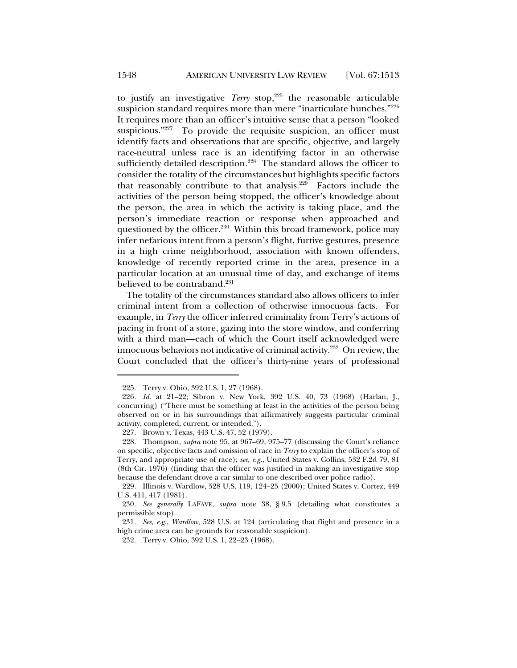to justify an investigative *Terry* stop,<sup>225</sup> the reasonable articulable suspicion standard requires more than mere "inarticulate hunches."226 It requires more than an officer's intuitive sense that a person "looked suspicious." $227$  To provide the requisite suspicion, an officer must identify facts and observations that are specific, objective, and largely race-neutral unless race is an identifying factor in an otherwise sufficiently detailed description.<sup>228</sup> The standard allows the officer to consider the totality of the circumstancesbut highlights specific factors that reasonably contribute to that analysis.<sup>229</sup> Factors include the activities of the person being stopped, the officer's knowledge about the person, the area in which the activity is taking place, and the person's immediate reaction or response when approached and questioned by the officer.<sup>230</sup> Within this broad framework, police may infer nefarious intent from a person's flight, furtive gestures, presence in a high crime neighborhood, association with known offenders, knowledge of recently reported crime in the area, presence in a particular location at an unusual time of day, and exchange of items believed to be contraband. $231$ 

The totality of the circumstances standard also allows officers to infer criminal intent from a collection of otherwise innocuous facts. For example, in *Terry* the officer inferred criminality from Terry's actions of pacing in front of a store, gazing into the store window, and conferring with a third man—each of which the Court itself acknowledged were innocuous behaviors not indicative of criminal activity.232 On review, the Court concluded that the officer's thirty-nine years of professional

232*.* Terry v. Ohio, 392 U.S. 1, 22–23 (1968).

 <sup>225.</sup> Terry v. Ohio, 392 U.S. 1, 27 (1968).

<sup>226</sup>*. Id.* at 21–22; Sibron v. New York, 392 U.S. 40, 73 (1968) (Harlan, J., concurring) ("There must be something at least in the activities of the person being observed on or in his surroundings that affirmatively suggests particular criminal activity, completed, current, or intended.").

 <sup>227.</sup> Brown v. Texas, 443 U.S. 47, 52 (1979).

 <sup>228.</sup> Thompson, *supra* note 95, at 967–69, 975–77 (discussing the Court's reliance on specific, objective facts and omission of race in *Terry* to explain the officer's stop of Terry, and appropriate use of race); *see, e.g.*, United States v. Collins, 532 F.2d 79, 81 (8th Cir. 1976) (finding that the officer was justified in making an investigative stop because the defendant drove a car similar to one described over police radio).

 <sup>229.</sup> Illinois v. Wardlow, 528 U.S. 119, 124–25 (2000); United States v. Cortez, 449 U.S. 411, 417 (1981).

<sup>230</sup>*. See generally* LAFAVE, *supra* note 38, § 9.5 (detailing what constitutes a permissible stop).

<sup>231</sup>*. See, e.g.*, *Wardlow*, 528 U.S. at 124 (articulating that flight and presence in a high crime area can be grounds for reasonable suspicion).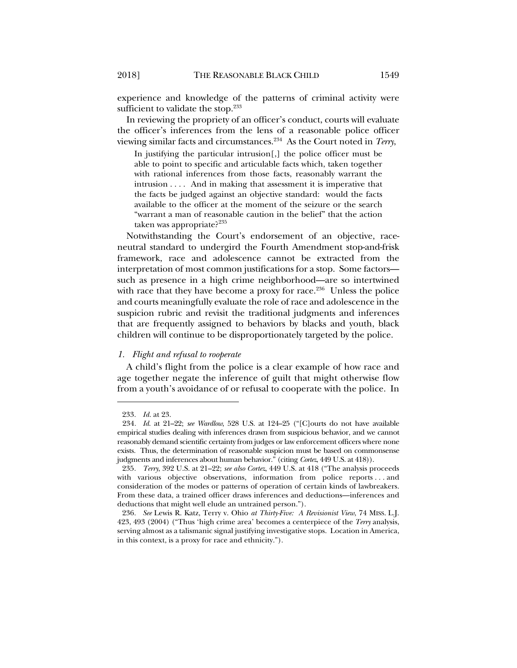experience and knowledge of the patterns of criminal activity were sufficient to validate the stop. $233$ 

In reviewing the propriety of an officer's conduct, courts will evaluate the officer's inferences from the lens of a reasonable police officer viewing similar facts and circumstances.234 As the Court noted in *Terry*,

In justifying the particular intrusion[,] the police officer must be able to point to specific and articulable facts which, taken together with rational inferences from those facts, reasonably warrant the intrusion . . . . And in making that assessment it is imperative that the facts be judged against an objective standard: would the facts available to the officer at the moment of the seizure or the search "warrant a man of reasonable caution in the belief" that the action taken was appropriate? $235$ 

Notwithstanding the Court's endorsement of an objective, raceneutral standard to undergird the Fourth Amendment stop-and-frisk framework, race and adolescence cannot be extracted from the interpretation of most common justifications for a stop. Some factors such as presence in a high crime neighborhood—are so intertwined with race that they have become a proxy for race.<sup>236</sup> Unless the police and courts meaningfully evaluate the role of race and adolescence in the suspicion rubric and revisit the traditional judgments and inferences that are frequently assigned to behaviors by blacks and youth, black children will continue to be disproportionately targeted by the police.

## *1. Flight and refusal to rooperate*

A child's flight from the police is a clear example of how race and age together negate the inference of guilt that might otherwise flow from a youth's avoidance of or refusal to cooperate with the police. In

<sup>233</sup>*. Id.* at 23.

<sup>234</sup>*. Id.* at 21–22; *see Wardlow*, 528 U.S. at 124–25 ("[C]ourts do not have available empirical studies dealing with inferences drawn from suspicious behavior, and we cannot reasonably demand scientific certainty from judges or law enforcement officers where none exists. Thus, the determination of reasonable suspicion must be based on commonsense judgments and inferences about human behavior." (citing *Cortez*, 449 U.S. at 418)).

<sup>235</sup>*. Terry*, 392 U.S. at 21–22; *see also Cortez*, 449 U.S. at 418 ("The analysis proceeds with various objective observations, information from police reports . . . and consideration of the modes or patterns of operation of certain kinds of lawbreakers. From these data, a trained officer draws inferences and deductions—inferences and deductions that might well elude an untrained person.").

<sup>236</sup>*. See* Lewis R. Katz, Terry v. Ohio *at Thirty-Five: A Revisionist View*, 74 MISS. L.J. 423, 493 (2004) ("Thus 'high crime area' becomes a centerpiece of the *Terry* analysis, serving almost as a talismanic signal justifying investigative stops. Location in America, in this context, is a proxy for race and ethnicity.").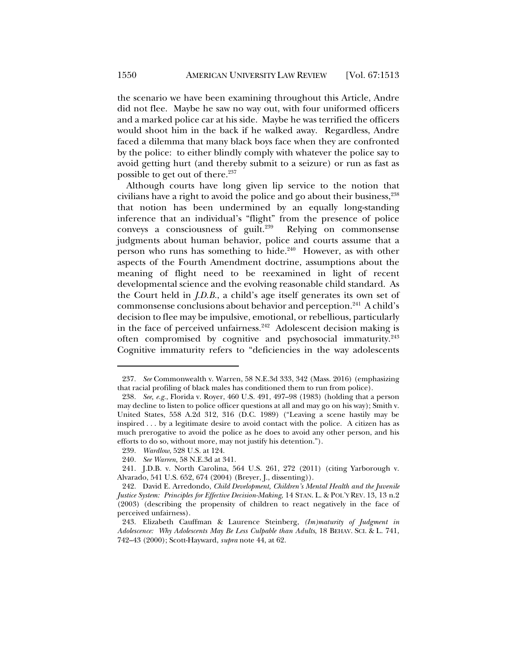the scenario we have been examining throughout this Article, Andre did not flee. Maybe he saw no way out, with four uniformed officers and a marked police car at his side. Maybe he was terrified the officers would shoot him in the back if he walked away. Regardless, Andre faced a dilemma that many black boys face when they are confronted by the police: to either blindly comply with whatever the police say to avoid getting hurt (and thereby submit to a seizure) or run as fast as possible to get out of there.<sup>237</sup>

Although courts have long given lip service to the notion that civilians have a right to avoid the police and go about their business,<sup>238</sup> that notion has been undermined by an equally long-standing inference that an individual's "flight" from the presence of police conveys a consciousness of guilt.239 Relying on commonsense judgments about human behavior, police and courts assume that a person who runs has something to hide.<sup>240</sup> However, as with other aspects of the Fourth Amendment doctrine, assumptions about the meaning of flight need to be reexamined in light of recent developmental science and the evolving reasonable child standard. As the Court held in *J.D.B.*, a child's age itself generates its own set of commonsense conclusions about behavior and perception.<sup>241</sup> A child's decision to flee may be impulsive, emotional, or rebellious, particularly in the face of perceived unfairness.<sup>242</sup> Adolescent decision making is often compromised by cognitive and psychosocial immaturity.<sup>243</sup> Cognitive immaturity refers to "deficiencies in the way adolescents

<sup>237</sup>*. See* Commonwealth v. Warren, 58 N.E.3d 333, 342 (Mass. 2016) (emphasizing that racial profiling of black males has conditioned them to run from police).

<sup>238</sup>*. See, e.g.*, Florida v. Royer, 460 U.S. 491, 497–98 (1983) (holding that a person may decline to listen to police officer questions at all and may go on his way); Smith v. United States, 558 A.2d 312, 316 (D.C. 1989) ("Leaving a scene hastily may be inspired . . . by a legitimate desire to avoid contact with the police. A citizen has as much prerogative to avoid the police as he does to avoid any other person, and his efforts to do so, without more, may not justify his detention.").

<sup>239</sup>*. Wardlow*, 528 U.S. at 124.

<sup>240</sup>*. See Warren*, 58 N.E.3d at 341.

 <sup>241.</sup> J.D.B. v. North Carolina, 564 U.S. 261, 272 (2011) (citing Yarborough v. Alvarado, 541 U.S. 652, 674 (2004) (Breyer, J., dissenting)).

 <sup>242.</sup> David E. Arredondo, *Child Development, Children's Mental Health and the Juvenile Justice System: Principles for Effective Decision-Making*, 14 STAN. L. & POL'Y REV. 13, 13 n.2 (2003) (describing the propensity of children to react negatively in the face of perceived unfairness).

 <sup>243.</sup> Elizabeth Cauffman & Laurence Steinberg, *(Im)maturity of Judgment in Adolescence: Why Adolescents May Be Less Culpable than Adults*, 18 BEHAV. SCI. & L. 741, 742–43 (2000); Scott-Hayward, *supra* note 44, at 62.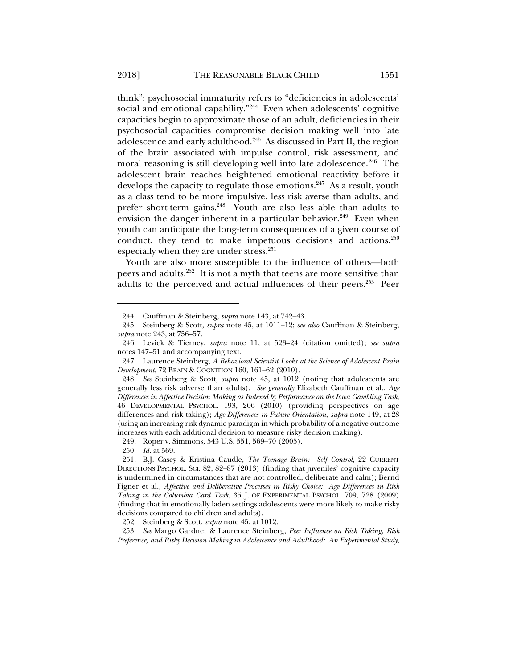think"; psychosocial immaturity refers to "deficiencies in adolescents' social and emotional capability."<sup>244</sup> Even when adolescents' cognitive capacities begin to approximate those of an adult, deficiencies in their psychosocial capacities compromise decision making well into late adolescence and early adulthood.<sup>245</sup> As discussed in Part II, the region of the brain associated with impulse control, risk assessment, and moral reasoning is still developing well into late adolescence.<sup>246</sup> The adolescent brain reaches heightened emotional reactivity before it develops the capacity to regulate those emotions.<sup>247</sup> As a result, youth as a class tend to be more impulsive, less risk averse than adults, and prefer short-term gains.<sup>248</sup> Youth are also less able than adults to envision the danger inherent in a particular behavior.<sup>249</sup> Even when youth can anticipate the long-term consequences of a given course of conduct, they tend to make impetuous decisions and actions,<sup>250</sup> especially when they are under stress.<sup>251</sup>

Youth are also more susceptible to the influence of others—both peers and adults.252 It is not a myth that teens are more sensitive than adults to the perceived and actual influences of their peers.<sup>253</sup> Peer

249. Roper v. Simmons, 543 U.S. 551, 569–70 (2005).

250*. Id.* at 569.

-

252. Steinberg & Scott, *supra* note 45, at 1012.

253*. See* Margo Gardner & Laurence Steinberg, *Peer Influence on Risk Taking, Risk Preference, and Risky Decision Making in Adolescence and Adulthood: An Experimental Study*,

 <sup>244.</sup> Cauffman & Steinberg, *supra* note 143, at 742–43.

 <sup>245.</sup> Steinberg & Scott, *supra* note 45, at 1011–12; *see also* Cauffman & Steinberg, *supra* note 243, at 756–57.

 <sup>246.</sup> Levick & Tierney, *supra* note 11, at 523–24 (citation omitted); *see supra* notes 147–51 and accompanying text.

 <sup>247.</sup> Laurence Steinberg, *A Behavioral Scientist Looks at the Science of Adolescent Brain Development*, 72 BRAIN & COGNITION 160, 161–62 (2010).

<sup>248</sup>*. See* Steinberg & Scott, *supra* note 45, at 1012 (noting that adolescents are generally less risk adverse than adults). *See generally* Elizabeth Cauffman et al., *Age Differences in Affective Decision Making as Indexed by Performance on the Iowa Gambling Task*, 46 DEVELOPMENTAL PSYCHOL. 193, 206 (2010) (providing perspectives on age differences and risk taking); *Age Differences in Future Orientation*, *supra* note 149, at 28 (using an increasing risk dynamic paradigm in which probability of a negative outcome increases with each additional decision to measure risky decision making).

 <sup>251.</sup> B.J. Casey & Kristina Caudle, *The Teenage Brain: Self Control*, 22 CURRENT DIRECTIONS PSYCHOL. SCI. 82, 82–87 (2013) (finding that juveniles' cognitive capacity is undermined in circumstances that are not controlled, deliberate and calm); Bernd Figner et al., *Affective and Deliberative Processes in Risky Choice: Age Differences in Risk Taking in the Columbia Card Task*, 35 J. OF EXPERIMENTAL PSYCHOL. 709, 728 (2009) (finding that in emotionally laden settings adolescents were more likely to make risky decisions compared to children and adults).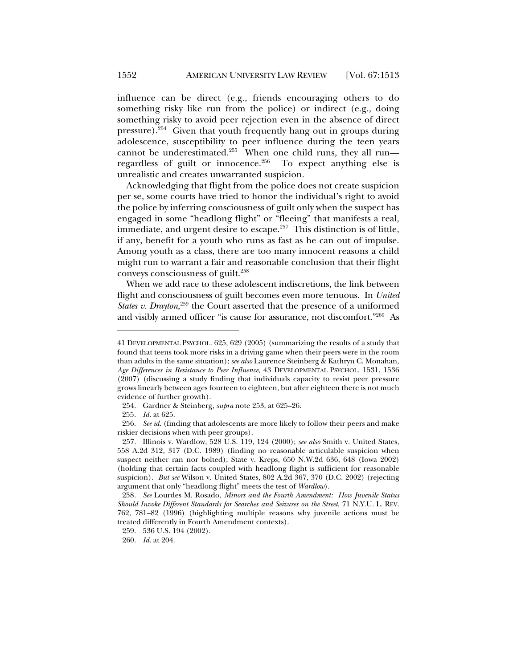influence can be direct (e.g., friends encouraging others to do something risky like run from the police) or indirect (e.g., doing something risky to avoid peer rejection even in the absence of direct pressure).254 Given that youth frequently hang out in groups during adolescence, susceptibility to peer influence during the teen years cannot be underestimated.<sup>255</sup> When one child runs, they all run regardless of guilt or innocence.<sup>256</sup> To expect anything else is unrealistic and creates unwarranted suspicion.

Acknowledging that flight from the police does not create suspicion per se, some courts have tried to honor the individual's right to avoid the police by inferring consciousness of guilt only when the suspect has engaged in some "headlong flight" or "fleeing" that manifests a real, immediate, and urgent desire to escape.<sup>257</sup> This distinction is of little, if any, benefit for a youth who runs as fast as he can out of impulse. Among youth as a class, there are too many innocent reasons a child might run to warrant a fair and reasonable conclusion that their flight conveys consciousness of guilt.258

When we add race to these adolescent indiscretions, the link between flight and consciousness of guilt becomes even more tenuous. In *United States v. Drayton*<sup>259</sup>, the Court asserted that the presence of a uniformed and visibly armed officer "is cause for assurance, not discomfort."260 As

<sup>41</sup> DEVELOPMENTAL PSYCHOL. 625, 629 (2005) (summarizing the results of a study that found that teens took more risks in a driving game when their peers were in the room than adults in the same situation); *see also* Laurence Steinberg & Kathryn C. Monahan, *Age Differences in Resistance to Peer Influence*, 43 DEVELOPMENTAL PSYCHOL. 1531, 1536 (2007) (discussing a study finding that individuals capacity to resist peer pressure grows linearly between ages fourteen to eighteen, but after eighteen there is not much evidence of further growth).

 <sup>254.</sup> Gardner & Steinberg, *supra* note 253, at 625–26.

<sup>255</sup>*. Id.* at 625.

<sup>256</sup>*. See id.* (finding that adolescents are more likely to follow their peers and make riskier decisions when with peer groups).

 <sup>257.</sup> Illinois v. Wardlow, 528 U.S. 119, 124 (2000); *see also* Smith v. United States, 558 A.2d 312, 317 (D.C. 1989) (finding no reasonable articulable suspicion when suspect neither ran nor bolted); State v. Kreps, 650 N.W.2d 636, 648 (Iowa 2002) (holding that certain facts coupled with headlong flight is sufficient for reasonable suspicion). *But see* Wilson v. United States, 802 A.2d 367, 370 (D.C. 2002) (rejecting argument that only "headlong flight" meets the test of *Wardlow*).

<sup>258</sup>*. See* Lourdes M. Rosado, *Minors and the Fourth Amendment: How Juvenile Status Should Invoke Different Standards for Searches and Seizures on the Street*, 71 N.Y.U. L. REV. 762, 781–82 (1996) (highlighting multiple reasons why juvenile actions must be treated differently in Fourth Amendment contexts).

 <sup>259. 536</sup> U.S. 194 (2002).

 <sup>260.</sup> *Id.* at 204.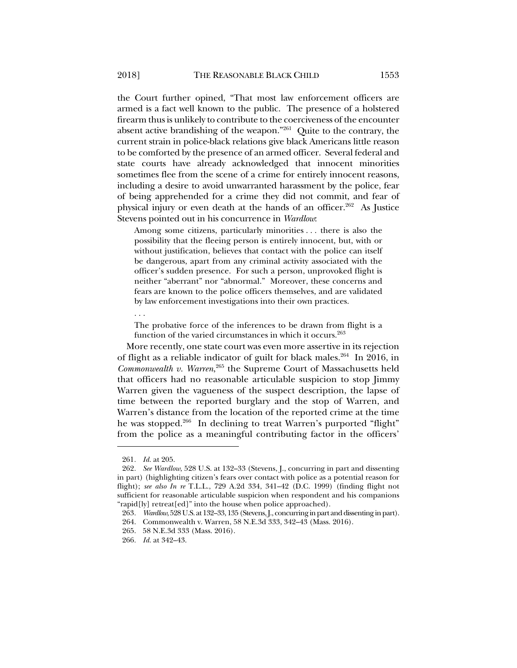the Court further opined, "That most law enforcement officers are armed is a fact well known to the public. The presence of a holstered firearm thus is unlikely to contribute to the coerciveness of the encounter absent active brandishing of the weapon."261 Quite to the contrary, the current strain in police-black relations give black Americans little reason to be comforted by the presence of an armed officer. Several federal and state courts have already acknowledged that innocent minorities sometimes flee from the scene of a crime for entirely innocent reasons, including a desire to avoid unwarranted harassment by the police, fear of being apprehended for a crime they did not commit, and fear of physical injury or even death at the hands of an officer.<sup>262</sup> As Justice Stevens pointed out in his concurrence in *Wardlow*:

Among some citizens, particularly minorities . . . there is also the possibility that the fleeing person is entirely innocent, but, with or without justification, believes that contact with the police can itself be dangerous, apart from any criminal activity associated with the officer's sudden presence. For such a person, unprovoked flight is neither "aberrant" nor "abnormal." Moreover, these concerns and fears are known to the police officers themselves, and are validated by law enforcement investigations into their own practices.

. . .

The probative force of the inferences to be drawn from flight is a function of the varied circumstances in which it occurs.<sup>263</sup>

More recently, one state court was even more assertive in its rejection of flight as a reliable indicator of guilt for black males.<sup>264</sup> In 2016, in *Commonwealth v. Warren*, 265 the Supreme Court of Massachusetts held that officers had no reasonable articulable suspicion to stop Jimmy Warren given the vagueness of the suspect description, the lapse of time between the reported burglary and the stop of Warren, and Warren's distance from the location of the reported crime at the time he was stopped.<sup>266</sup> In declining to treat Warren's purported "flight" from the police as a meaningful contributing factor in the officers'

<sup>261</sup>*. Id.* at 205.

<sup>262</sup>*. See Wardlow*, 528 U.S. at 132–33 (Stevens, J., concurring in part and dissenting in part) (highlighting citizen's fears over contact with police as a potential reason for flight); *see also In re* T.L.L., 729 A.2d 334, 341–42 (D.C. 1999) (finding flight not sufficient for reasonable articulable suspicion when respondent and his companions "rapid[ly] retreat[ed]" into the house when police approached).

<sup>263</sup>*. Wardlow*, 528 U.S. at 132–33, 135 (Stevens, J., concurring in part and dissenting in part).

 <sup>264.</sup> Commonwealth v. Warren, 58 N.E.3d 333, 342–43 (Mass. 2016).

 <sup>265. 58</sup> N.E.3d 333 (Mass. 2016).

<sup>266</sup>*. Id.* at 342–43.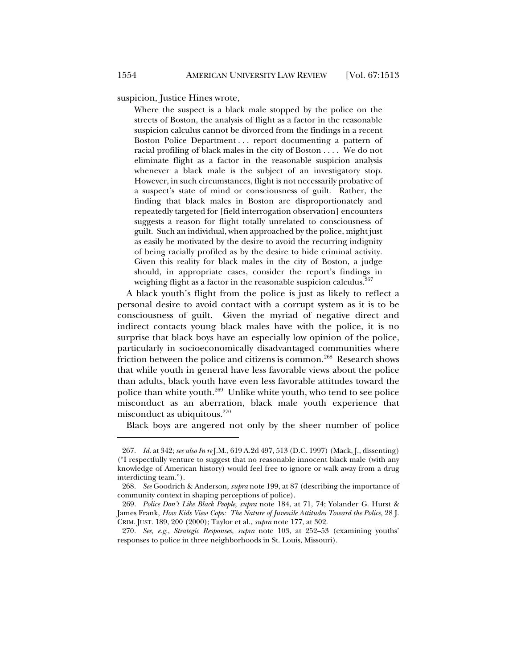suspicion, Justice Hines wrote,

Where the suspect is a black male stopped by the police on the streets of Boston, the analysis of flight as a factor in the reasonable suspicion calculus cannot be divorced from the findings in a recent Boston Police Department . . . report documenting a pattern of racial profiling of black males in the city of Boston . . . . We do not eliminate flight as a factor in the reasonable suspicion analysis whenever a black male is the subject of an investigatory stop. However, in such circumstances, flight is not necessarily probative of a suspect's state of mind or consciousness of guilt. Rather, the finding that black males in Boston are disproportionately and repeatedly targeted for [field interrogation observation] encounters suggests a reason for flight totally unrelated to consciousness of guilt. Such an individual, when approached by the police, might just as easily be motivated by the desire to avoid the recurring indignity of being racially profiled as by the desire to hide criminal activity. Given this reality for black males in the city of Boston, a judge should, in appropriate cases, consider the report's findings in weighing flight as a factor in the reasonable suspicion calculus.<sup>267</sup>

A black youth's flight from the police is just as likely to reflect a personal desire to avoid contact with a corrupt system as it is to be consciousness of guilt. Given the myriad of negative direct and indirect contacts young black males have with the police, it is no surprise that black boys have an especially low opinion of the police, particularly in socioeconomically disadvantaged communities where friction between the police and citizens is common.<sup>268</sup> Research shows that while youth in general have less favorable views about the police than adults, black youth have even less favorable attitudes toward the police than white youth.269 Unlike white youth, who tend to see police misconduct as an aberration, black male youth experience that misconduct as ubiquitous.<sup>270</sup>

Black boys are angered not only by the sheer number of police

<sup>267</sup>*. Id.* at 342; *see also In re* J.M., 619 A.2d 497, 513 (D.C. 1997) (Mack, J., dissenting) ("I respectfully venture to suggest that no reasonable innocent black male (with any knowledge of American history) would feel free to ignore or walk away from a drug interdicting team.").

<sup>268</sup>*. See* Goodrich & Anderson, *supra* note 199, at 87 (describing the importance of community context in shaping perceptions of police).

 <sup>269.</sup> *Police Don't Like Black People*, *supra* note 184, at 71, 74; Yolander G. Hurst & James Frank, *How Kids View Cops: The Nature of Juvenile Attitudes Toward the Police*, 28 J. CRIM. JUST. 189, 200 (2000); Taylor et al., *supra* note 177, at 302.

<sup>270</sup>*. See, e.g.*, *Strategic Responses*, *supra* note 103, at 252–53 (examining youths' responses to police in three neighborhoods in St. Louis, Missouri).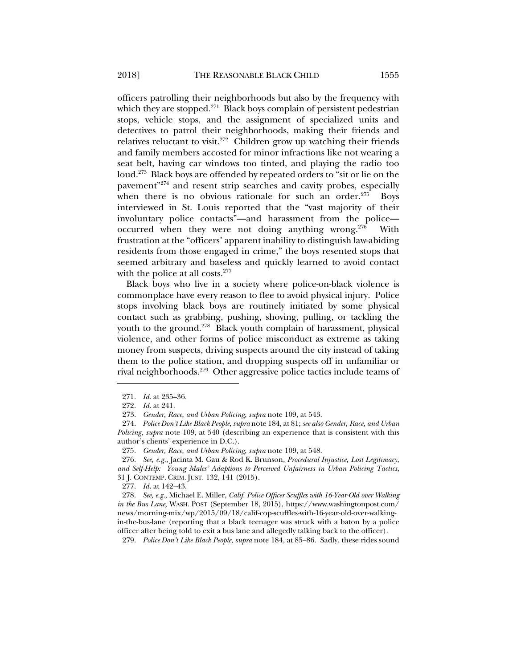officers patrolling their neighborhoods but also by the frequency with which they are stopped.<sup>271</sup> Black boys complain of persistent pedestrian stops, vehicle stops, and the assignment of specialized units and detectives to patrol their neighborhoods, making their friends and relatives reluctant to visit. $272$  Children grow up watching their friends and family members accosted for minor infractions like not wearing a seat belt, having car windows too tinted, and playing the radio too loud.<sup>273</sup> Black boys are offended by repeated orders to "sit or lie on the pavement"274 and resent strip searches and cavity probes, especially when there is no obvious rationale for such an order.<sup>275</sup> Boys interviewed in St. Louis reported that the "vast majority of their involuntary police contacts"—and harassment from the police occurred when they were not doing anything wrong.<sup>276</sup> With frustration at the "officers' apparent inability to distinguish law-abiding residents from those engaged in crime," the boys resented stops that seemed arbitrary and baseless and quickly learned to avoid contact with the police at all costs. $277$ 

Black boys who live in a society where police-on-black violence is commonplace have every reason to flee to avoid physical injury. Police stops involving black boys are routinely initiated by some physical contact such as grabbing, pushing, shoving, pulling, or tackling the youth to the ground.<sup>278</sup> Black youth complain of harassment, physical violence, and other forms of police misconduct as extreme as taking money from suspects, driving suspects around the city instead of taking them to the police station, and dropping suspects off in unfamiliar or rival neighborhoods.279 Other aggressive police tactics include teams of

-

277*. Id.* at 142–43.

278*. See, e.g.*, Michael E. Miller, *Calif. Police Officer Scuffles with 16-Year-Old over Walking in the Bus Lane*, WASH. POST (September 18, 2015), https://www.washingtonpost.com/ news/morning-mix/wp/2015/09/18/calif-cop-scuffles-with-16-year-old-over-walkingin-the-bus-lane (reporting that a black teenager was struck with a baton by a police officer after being told to exit a bus lane and allegedly talking back to the officer).

279. *Police Don't Like Black People*, *supra* note 184, at 85–86. Sadly, these rides sound

<sup>271</sup>*. Id.* at 235–36.

<sup>272</sup>*. Id.* at 241.

 <sup>273.</sup> *Gender, Race, and Urban Policing*, *supra* note 109, at 543.

 <sup>274.</sup> *Police Don't Like Black People*, *supra* note 184, at 81; *see also Gender, Race, and Urban Policing*, *supra* note 109, at 540 (describing an experience that is consistent with this author's clients' experience in D.C.).

<sup>275</sup>*. Gender, Race, and Urban Policing*, *supra* note 109, at 548.

<sup>276</sup>*. See, e.g.*, Jacinta M. Gau & Rod K. Brunson, *Procedural Injustice, Lost Legitimacy, and Self-Help: Young Males' Adaptions to Perceived Unfairness in Urban Policing Tactics*, 31 J. CONTEMP. CRIM. JUST. 132, 141 (2015).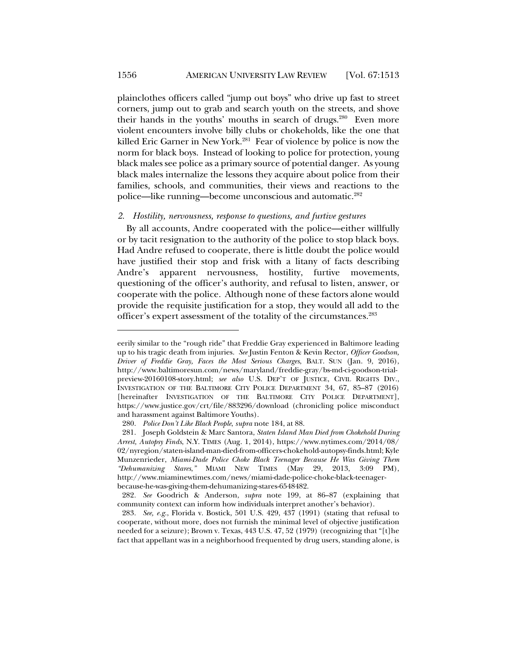plainclothes officers called "jump out boys" who drive up fast to street corners, jump out to grab and search youth on the streets, and shove their hands in the youths' mouths in search of drugs.<sup>280</sup> Even more violent encounters involve billy clubs or chokeholds, like the one that killed Eric Garner in New York.<sup>281</sup> Fear of violence by police is now the norm for black boys. Instead of looking to police for protection, young black males see police as a primary source of potential danger. As young black males internalize the lessons they acquire about police from their families, schools, and communities, their views and reactions to the police—like running—become unconscious and automatic.<sup>282</sup>

### *2. Hostility, nervousness, response to questions, and furtive gestures*

By all accounts, Andre cooperated with the police—either willfully or by tacit resignation to the authority of the police to stop black boys. Had Andre refused to cooperate, there is little doubt the police would have justified their stop and frisk with a litany of facts describing Andre's apparent nervousness, hostility, furtive movements, questioning of the officer's authority, and refusal to listen, answer, or cooperate with the police. Although none of these factors alone would provide the requisite justification for a stop, they would all add to the officer's expert assessment of the totality of the circumstances.283

eerily similar to the "rough ride" that Freddie Gray experienced in Baltimore leading up to his tragic death from injuries. *See* Justin Fenton & Kevin Rector, *Officer Goodson, Driver of Freddie Gray, Faces the Most Serious Charges*, BALT. SUN (Jan. 9, 2016), http://www.baltimoresun.com/news/maryland/freddie-gray/bs-md-ci-goodson-trialpreview-20160108-story.html; *see also* U.S. DEP'T OF JUSTICE, CIVIL RIGHTS DIV., INVESTIGATION OF THE BALTIMORE CITY POLICE DEPARTMENT 34, 67, 85–87 (2016) [hereinafter INVESTIGATION OF THE BALTIMORE CITY POLICE DEPARTMENT], https://www.justice.gov/crt/file/883296/download (chronicling police misconduct and harassment against Baltimore Youths).

 <sup>280.</sup> *Police Don't Like Black People*, *supra* note 184, at 88.

 <sup>281.</sup> Joseph Goldstein & Marc Santora, *Staten Island Man Died from Chokehold During Arrest, Autopsy Finds*, N.Y. TIMES (Aug. 1, 2014), https://www.nytimes.com/2014/08/ 02/nyregion/staten-island-man-died-from-officers-chokehold-autopsy-finds.html; Kyle Munzenrieder, *Miami-Dade Police Choke Black Teenager Because He Was Giving Them "Dehumanizing Stares*,*"* MIAMI NEW TIMES (May 29, 2013, 3:09 PM), http://www.miaminewtimes.com/news/miami-dade-police-choke-black-teenagerbecause-he-was-giving-them-dehumanizing-stares-6548482.

<sup>282</sup>*. See* Goodrich & Anderson, *supra* note 199, at 86–87 (explaining that community context can inform how individuals interpret another's behavior).

<sup>283</sup>*. See, e.g.*, Florida v. Bostick, 501 U.S. 429, 437 (1991) (stating that refusal to cooperate, without more, does not furnish the minimal level of objective justification needed for a seizure); Brown v. Texas, 443 U.S. 47, 52 (1979) (recognizing that "[t]he fact that appellant was in a neighborhood frequented by drug users, standing alone, is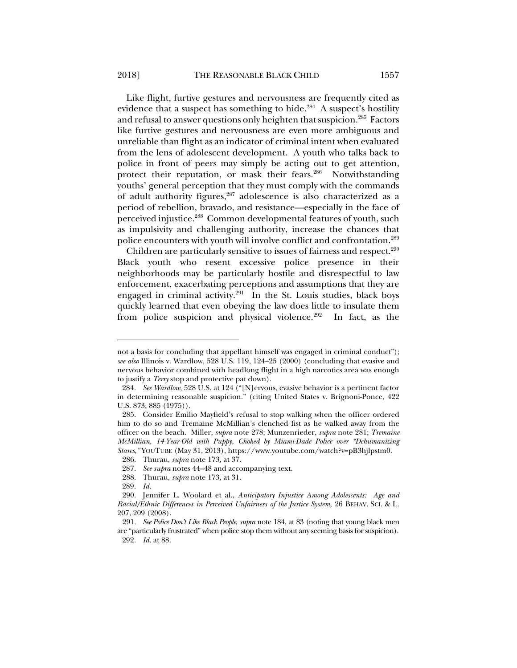Like flight, furtive gestures and nervousness are frequently cited as evidence that a suspect has something to hide.<sup>284</sup> A suspect's hostility and refusal to answer questions only heighten that suspicion.<sup>285</sup> Factors like furtive gestures and nervousness are even more ambiguous and unreliable than flight as an indicator of criminal intent when evaluated from the lens of adolescent development. A youth who talks back to police in front of peers may simply be acting out to get attention, protect their reputation, or mask their fears.<sup>286</sup> Notwithstanding youths' general perception that they must comply with the commands of adult authority figures,<sup>287</sup> adolescence is also characterized as a period of rebellion, bravado, and resistance—especially in the face of perceived injustice.<sup>288</sup> Common developmental features of youth, such as impulsivity and challenging authority, increase the chances that police encounters with youth will involve conflict and confrontation.289

Children are particularly sensitive to issues of fairness and respect.<sup>290</sup> Black youth who resent excessive police presence in their neighborhoods may be particularly hostile and disrespectful to law enforcement, exacerbating perceptions and assumptions that they are engaged in criminal activity. $291$  In the St. Louis studies, black boys quickly learned that even obeying the law does little to insulate them from police suspicion and physical violence.<sup>292</sup> In fact, as the

not a basis for concluding that appellant himself was engaged in criminal conduct"); *see also* Illinois v. Wardlow, 528 U.S. 119, 124–25 (2000) (concluding that evasive and nervous behavior combined with headlong flight in a high narcotics area was enough to justify a *Terry* stop and protective pat down).

<sup>284</sup>*. See Wardlow*, 528 U.S. at 124 ("[N]ervous, evasive behavior is a pertinent factor in determining reasonable suspicion." (citing United States v. Brignoni-Ponce, 422 U.S. 873, 885 (1975)).

 <sup>285.</sup> Consider Emilio Mayfield's refusal to stop walking when the officer ordered him to do so and Tremaine McMillian's clenched fist as he walked away from the officer on the beach. Miller, *supra* note 278; Munzenrieder, *supra* note 281; *Tremaine McMillian, 14-Year-Old with Puppy, Choked by Miami-Dade Police over "Dehumanizing Stares*,*"* YOUTUBE (May 31, 2013), https://www.youtube.com/watch?v=pB3hjlpstm0.

 <sup>286.</sup> Thurau, *supra* note 173, at 37.

<sup>287</sup>*. See supra* notes 44–48 and accompanying text.

 <sup>288.</sup> Thurau, *supra* note 173, at 31.

<sup>289</sup>*. Id.*

 <sup>290.</sup> Jennifer L. Woolard et al., *Anticipatory Injustice Among Adolescents: Age and Racial/Ethnic Differences in Perceived Unfairness of the Justice System*, 26 BEHAV. SCI. & L. 207, 209 (2008).

<sup>291</sup>*. See Police Don't Like Black People*, *supra* note 184, at 83 (noting that young black men are "particularly frustrated" when police stop them without any seeming basis for suspicion). 292*. Id.* at 88.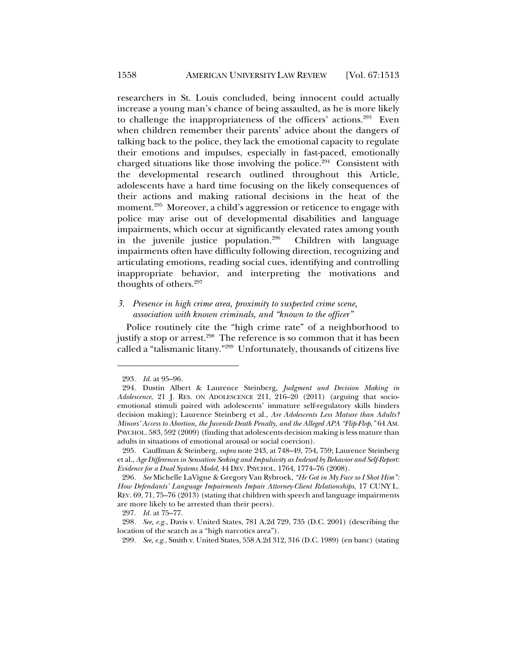researchers in St. Louis concluded, being innocent could actually increase a young man's chance of being assaulted, as he is more likely to challenge the inappropriateness of the officers' actions.<sup>293</sup> Even when children remember their parents' advice about the dangers of talking back to the police, they lack the emotional capacity to regulate their emotions and impulses, especially in fast-paced, emotionally charged situations like those involving the police.<sup>294</sup> Consistent with the developmental research outlined throughout this Article, adolescents have a hard time focusing on the likely consequences of their actions and making rational decisions in the heat of the moment.<sup>295</sup> Moreover, a child's aggression or reticence to engage with police may arise out of developmental disabilities and language impairments, which occur at significantly elevated rates among youth in the juvenile justice population.<sup>296</sup> Children with language impairments often have difficulty following direction, recognizing and articulating emotions, reading social cues, identifying and controlling inappropriate behavior, and interpreting the motivations and thoughts of others.<sup>297</sup>

## *3. Presence in high crime area, proximity to suspected crime scene, association with known criminals, and "known to the officer"*

Police routinely cite the "high crime rate" of a neighborhood to justify a stop or arrest.<sup>298</sup> The reference is so common that it has been called a "talismanic litany."299 Unfortunately, thousands of citizens live

<sup>293</sup>*. Id.* at 95–96.

 <sup>294.</sup> Dustin Albert & Laurence Steinberg, *Judgment and Decision Making in Adolescence*, 21 J. RES. ON ADOLESCENCE 211, 216–20 (2011) (arguing that socioemotional stimuli paired with adolescents' immature self-regulatory skills hinders decision making); Laurence Steinberg et al., *Are Adolescents Less Mature than Adults? Minors' Access to Abortion, the Juvenile Death Penalty, and the Alleged APA "Flip-Flop*,*"* 64 AM. PSYCHOL. 583, 592 (2009) (finding that adolescents decision making is less mature than adults in situations of emotional arousal or social coercion).

 <sup>295.</sup> Cauffman & Steinberg, *supra* note 243, at 748–49, 754, 759; Laurence Steinberg et al., *Age Differences in Sensation Seeking and Impulsivity as Indexed by Behavior and Self-Report: Evidence for a Dual Systems Model*, 44 DEV. PSYCHOL. 1764, 1774–76 (2008).

<sup>296</sup>*. See* Michelle LaVigne & Gregory Van Rybroek, *"He Got in My Face so I Shot Him": How Defendants' Language Impairments Impair Attorney-Client Relationships*, 17 CUNY L. REV. 69, 71, 75–76 (2013) (stating that children with speech and language impairments are more likely to be arrested than their peers).

<sup>297</sup>*. Id.* at 75–77.

<sup>298</sup>*. See, e.g.*, Davis v. United States, 781 A.2d 729, 735 (D.C. 2001) (describing the location of the search as a "high narcotics area").

<sup>299</sup>*. See, e.g.*, Smith v. United States, 558 A.2d 312, 316 (D.C. 1989) (en banc) (stating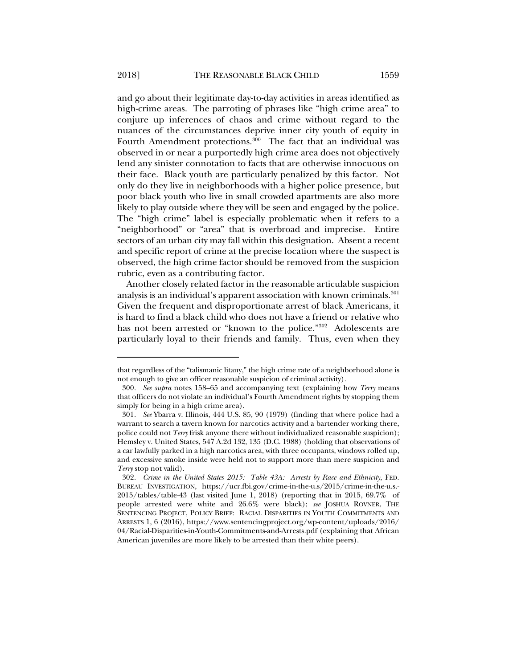and go about their legitimate day-to-day activities in areas identified as high-crime areas. The parroting of phrases like "high crime area" to conjure up inferences of chaos and crime without regard to the nuances of the circumstances deprive inner city youth of equity in Fourth Amendment protections.<sup>300</sup> The fact that an individual was observed in or near a purportedly high crime area does not objectively lend any sinister connotation to facts that are otherwise innocuous on their face. Black youth are particularly penalized by this factor. Not only do they live in neighborhoods with a higher police presence, but poor black youth who live in small crowded apartments are also more likely to play outside where they will be seen and engaged by the police. The "high crime" label is especially problematic when it refers to a "neighborhood" or "area" that is overbroad and imprecise. Entire sectors of an urban city may fall within this designation. Absent a recent and specific report of crime at the precise location where the suspect is observed, the high crime factor should be removed from the suspicion rubric, even as a contributing factor.

Another closely related factor in the reasonable articulable suspicion analysis is an individual's apparent association with known criminals.<sup>301</sup> Given the frequent and disproportionate arrest of black Americans, it is hard to find a black child who does not have a friend or relative who has not been arrested or "known to the police."<sup>302</sup> Adolescents are particularly loyal to their friends and family. Thus, even when they

that regardless of the "talismanic litany," the high crime rate of a neighborhood alone is not enough to give an officer reasonable suspicion of criminal activity).

<sup>300</sup>*. See supra* notes 158–65 and accompanying text (explaining how *Terry* means that officers do not violate an individual's Fourth Amendment rights by stopping them simply for being in a high crime area).

<sup>301</sup>*. See* Ybarra v. Illinois, 444 U.S. 85, 90 (1979) (finding that where police had a warrant to search a tavern known for narcotics activity and a bartender working there, police could not *Terry* frisk anyone there without individualized reasonable suspicion); Hemsley v. United States, 547 A.2d 132, 135 (D.C. 1988) (holding that observations of a car lawfully parked in a high narcotics area, with three occupants, windows rolled up, and excessive smoke inside were held not to support more than mere suspicion and *Terry* stop not valid).

<sup>302</sup>*. Crime in the United States 2015: Table 43A: Arrests by Race and Ethnicity*, FED. BUREAU INVESTIGATION, https://ucr.fbi.gov/crime-in-the-u.s/2015/crime-in-the-u.s.- 2015/tables/table-43 (last visited June 1, 2018) (reporting that in 2015, 69.7% of people arrested were white and 26.6% were black); *see* JOSHUA ROVNER, THE SENTENCING PROJECT, POLICY BRIEF: RACIAL DISPARITIES IN YOUTH COMMITMENTS AND ARRESTS 1, 6 (2016), https://www.sentencingproject.org/wp-content/uploads/2016/ 04/Racial-Disparities-in-Youth-Commitments-and-Arrests.pdf (explaining that African American juveniles are more likely to be arrested than their white peers).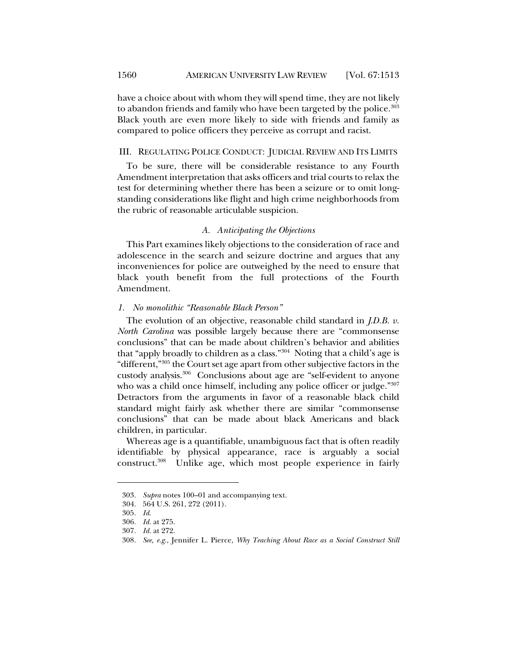have a choice about with whom they will spend time, they are not likely to abandon friends and family who have been targeted by the police.<sup>303</sup> Black youth are even more likely to side with friends and family as compared to police officers they perceive as corrupt and racist.

### III. REGULATING POLICE CONDUCT: JUDICIAL REVIEW AND ITS LIMITS

To be sure, there will be considerable resistance to any Fourth Amendment interpretation that asks officers and trial courts to relax the test for determining whether there has been a seizure or to omit longstanding considerations like flight and high crime neighborhoods from the rubric of reasonable articulable suspicion.

## *A. Anticipating the Objections*

This Part examines likely objections to the consideration of race and adolescence in the search and seizure doctrine and argues that any inconveniences for police are outweighed by the need to ensure that black youth benefit from the full protections of the Fourth Amendment.

## *1. No monolithic "Reasonable Black Person"*

The evolution of an objective, reasonable child standard in *J.D.B. v. North Carolina* was possible largely because there are "commonsense conclusions" that can be made about children's behavior and abilities that "apply broadly to children as a class."304 Noting that a child's age is "different,"305 the Court set age apart from other subjective factors in the custody analysis.306 Conclusions about age are "self-evident to anyone who was a child once himself, including any police officer or judge."307 Detractors from the arguments in favor of a reasonable black child standard might fairly ask whether there are similar "commonsense conclusions" that can be made about black Americans and black children, in particular.

Whereas age is a quantifiable, unambiguous fact that is often readily identifiable by physical appearance, race is arguably a social construct.308 Unlike age, which most people experience in fairly

<sup>303</sup>*. Supra* notes 100–01 and accompanying text.

 <sup>304. 564</sup> U.S. 261, 272 (2011).

<sup>305</sup>*. Id*.

<sup>306</sup>*. Id.* at 275.

<sup>307</sup>*. Id.* at 272.

<sup>308</sup>*. See, e.g.*, Jennifer L. Pierce, *Why Teaching About Race as a Social Construct Still*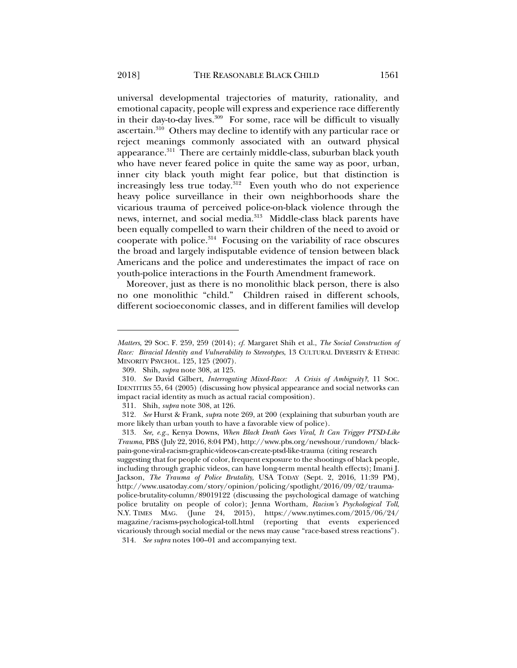universal developmental trajectories of maturity, rationality, and emotional capacity, people will express and experience race differently in their day-to-day lives. $309$  For some, race will be difficult to visually ascertain.310 Others may decline to identify with any particular race or reject meanings commonly associated with an outward physical appearance.<sup>311</sup> There are certainly middle-class, suburban black youth who have never feared police in quite the same way as poor, urban, inner city black youth might fear police, but that distinction is increasingly less true today.<sup>312</sup> Even youth who do not experience heavy police surveillance in their own neighborhoods share the vicarious trauma of perceived police-on-black violence through the news, internet, and social media.<sup>313</sup> Middle-class black parents have been equally compelled to warn their children of the need to avoid or cooperate with police. $314$  Focusing on the variability of race obscures the broad and largely indisputable evidence of tension between black Americans and the police and underestimates the impact of race on youth-police interactions in the Fourth Amendment framework.

Moreover, just as there is no monolithic black person, there is also no one monolithic "child." Children raised in different schools, different socioeconomic classes, and in different families will develop

-

suggesting that for people of color, frequent exposure to the shootings of black people, including through graphic videos, can have long-term mental health effects); Imani J. Jackson, *The Trauma of Police Brutality*, USA TODAY (Sept. 2, 2016, 11:39 PM), http://www.usatoday.com/story/opinion/policing/spotlight/2016/09/02/traumapolice-brutality-column/89019122 (discussing the psychological damage of watching police brutality on people of color); Jenna Wortham, *Racism's Psychological Toll*, N.Y. TIMES MAG. (June 24, 2015), https://www.nytimes.com/2015/06/24/ magazine/racisms-psychological-toll.html (reporting that events experienced vicariously through social medial or the news may cause "race-based stress reactions")*.*

314*. See supra* notes 100–01 and accompanying text.

*Matters*, 29 SOC. F. 259, 259 (2014); *cf.* Margaret Shih et al., *The Social Construction of Race: Biracial Identity and Vulnerability to Stereotypes*, 13 CULTURAL DIVERSITY & ETHNIC MINORITY PSYCHOL. 125, 125 (2007).

 <sup>309.</sup> Shih, *supra* note 308, at 125.

<sup>310</sup>*. See* David Gilbert, *Interrogating Mixed-Race: A Crisis of Ambiguity?*, 11 SOC. IDENTITIES 55, 64 (2005) (discussing how physical appearance and social networks can impact racial identity as much as actual racial composition).

 <sup>311.</sup> Shih, *supra* note 308, at 126.

<sup>312</sup>*. See* Hurst & Frank, *supr*a note 269, at 200 (explaining that suburban youth are more likely than urban youth to have a favorable view of police).

<sup>313</sup>*. See, e.g.*, Kenya Downs, *When Black Death Goes Viral, It Can Trigger PTSD-Like Trauma*, PBS (July 22, 2016, 8:04 PM), http://www.pbs.org/newshour/rundown/ blackpain-gone-viral-racism-graphic-videos-can-create-ptsd-like-trauma (citing research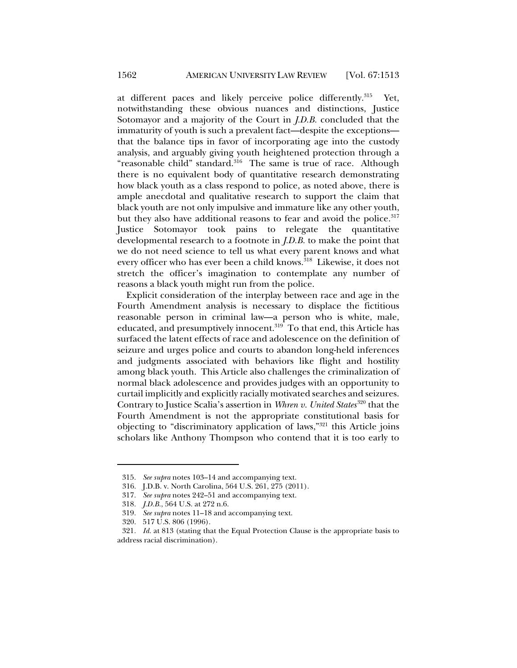at different paces and likely perceive police differently.315 Yet, notwithstanding these obvious nuances and distinctions, Justice Sotomayor and a majority of the Court in *J.D.B.* concluded that the immaturity of youth is such a prevalent fact—despite the exceptions that the balance tips in favor of incorporating age into the custody analysis, and arguably giving youth heightened protection through a "reasonable child" standard.<sup>316</sup> The same is true of race. Although there is no equivalent body of quantitative research demonstrating how black youth as a class respond to police, as noted above, there is ample anecdotal and qualitative research to support the claim that black youth are not only impulsive and immature like any other youth, but they also have additional reasons to fear and avoid the police.<sup>317</sup> Justice Sotomayor took pains to relegate the quantitative developmental research to a footnote in *J.D.B.* to make the point that we do not need science to tell us what every parent knows and what every officer who has ever been a child knows.<sup>318</sup> Likewise, it does not stretch the officer's imagination to contemplate any number of reasons a black youth might run from the police.

Explicit consideration of the interplay between race and age in the Fourth Amendment analysis is necessary to displace the fictitious reasonable person in criminal law—a person who is white, male, educated, and presumptively innocent.<sup>319</sup> To that end, this Article has surfaced the latent effects of race and adolescence on the definition of seizure and urges police and courts to abandon long-held inferences and judgments associated with behaviors like flight and hostility among black youth. This Article also challenges the criminalization of normal black adolescence and provides judges with an opportunity to curtail implicitly and explicitly racially motivated searches and seizures. Contrary to Justice Scalia's assertion in *Whren v. United States*<sup>320</sup> that the Fourth Amendment is not the appropriate constitutional basis for objecting to "discriminatory application of laws,"321 this Article joins scholars like Anthony Thompson who contend that it is too early to

<sup>315</sup>*. See supra* notes 103–14 and accompanying text.

 <sup>316.</sup> J.D.B. v. North Carolina, 564 U.S. 261, 275 (2011).

<sup>317</sup>*. See supra* notes 242–51 and accompanying text.

<sup>318</sup>*. J.D.B.*, 564 U.S. at 272 n.6.

<sup>319</sup>*. See supra* notes 11–18 and accompanying text.

 <sup>320. 517</sup> U.S. 806 (1996).

<sup>321</sup>*. Id.* at 813 (stating that the Equal Protection Clause is the appropriate basis to address racial discrimination).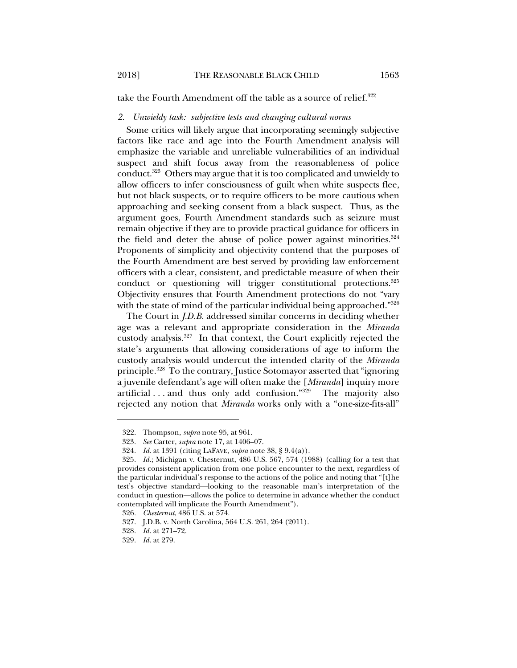take the Fourth Amendment off the table as a source of relief.<sup>322</sup>

### *2. Unwieldy task: subjective tests and changing cultural norms*

Some critics will likely argue that incorporating seemingly subjective factors like race and age into the Fourth Amendment analysis will emphasize the variable and unreliable vulnerabilities of an individual suspect and shift focus away from the reasonableness of police conduct.323 Others may argue that it is too complicated and unwieldy to allow officers to infer consciousness of guilt when white suspects flee, but not black suspects, or to require officers to be more cautious when approaching and seeking consent from a black suspect. Thus, as the argument goes, Fourth Amendment standards such as seizure must remain objective if they are to provide practical guidance for officers in the field and deter the abuse of police power against minorities.<sup>324</sup> Proponents of simplicity and objectivity contend that the purposes of the Fourth Amendment are best served by providing law enforcement officers with a clear, consistent, and predictable measure of when their conduct or questioning will trigger constitutional protections.<sup>325</sup> Objectivity ensures that Fourth Amendment protections do not "vary with the state of mind of the particular individual being approached."<sup>326</sup>

The Court in *J.D.B.* addressed similar concerns in deciding whether age was a relevant and appropriate consideration in the *Miranda* custody analysis.327 In that context, the Court explicitly rejected the state's arguments that allowing considerations of age to inform the custody analysis would undercut the intended clarity of the *Miranda* principle.328 To the contrary, Justice Sotomayor asserted that "ignoring a juvenile defendant's age will often make the [*Miranda*] inquiry more artificial ... and thus only add confusion." $329$  The majority also rejected any notion that *Miranda* works only with a "one-size-fits-all"

 <sup>322.</sup> Thompson, *supra* note 95, at 961.

<sup>323</sup>*. See* Carter, *supra* note 17, at 1406–07.

<sup>324</sup>*. Id.* at 1391 (citing LAFAVE, *supra* note 38, § 9.4(a)).

<sup>325</sup>*. Id.*; Michigan v. Chesternut, 486 U.S. 567, 574 (1988) (calling for a test that provides consistent application from one police encounter to the next, regardless of the particular individual's response to the actions of the police and noting that "[t]he test's objective standard—looking to the reasonable man's interpretation of the conduct in question—allows the police to determine in advance whether the conduct contemplated will implicate the Fourth Amendment").

<sup>326</sup>*. Chesternut*, 486 U.S. at 574.

 <sup>327.</sup> J.D.B. v. North Carolina, 564 U.S. 261, 264 (2011).

<sup>328</sup>*. Id.* at 271–72.

<sup>329</sup>*. Id.* at 279.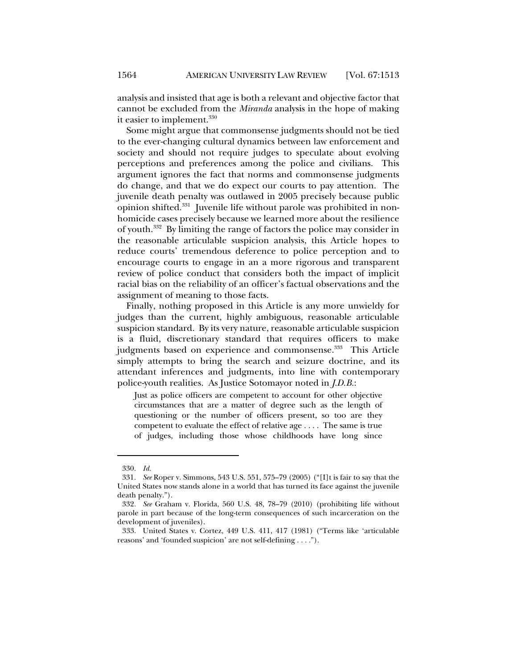analysis and insisted that age is both a relevant and objective factor that cannot be excluded from the *Miranda* analysis in the hope of making it easier to implement.<sup>330</sup>

Some might argue that commonsense judgments should not be tied to the ever-changing cultural dynamics between law enforcement and society and should not require judges to speculate about evolving perceptions and preferences among the police and civilians. This argument ignores the fact that norms and commonsense judgments do change, and that we do expect our courts to pay attention. The juvenile death penalty was outlawed in 2005 precisely because public opinion shifted.331 Juvenile life without parole was prohibited in nonhomicide cases precisely because we learned more about the resilience of youth.332 By limiting the range of factors the police may consider in the reasonable articulable suspicion analysis, this Article hopes to reduce courts' tremendous deference to police perception and to encourage courts to engage in an a more rigorous and transparent review of police conduct that considers both the impact of implicit racial bias on the reliability of an officer's factual observations and the assignment of meaning to those facts.

Finally, nothing proposed in this Article is any more unwieldy for judges than the current, highly ambiguous, reasonable articulable suspicion standard. By its very nature, reasonable articulable suspicion is a fluid, discretionary standard that requires officers to make judgments based on experience and commonsense.<sup>333</sup> This Article simply attempts to bring the search and seizure doctrine, and its attendant inferences and judgments, into line with contemporary police-youth realities. As Justice Sotomayor noted in *J.D.B.*:

Just as police officers are competent to account for other objective circumstances that are a matter of degree such as the length of questioning or the number of officers present, so too are they competent to evaluate the effect of relative age . . . . The same is true of judges, including those whose childhoods have long since

<sup>330</sup>*. Id.*

<sup>331</sup>*. See* Roper v. Simmons, 543 U.S. 551, 575–79 (2005) ("[I]t is fair to say that the United States now stands alone in a world that has turned its face against the juvenile death penalty.").

<sup>332</sup>*. See* Graham v. Florida, 560 U.S. 48, 78–79 (2010) (prohibiting life without parole in part because of the long-term consequences of such incarceration on the development of juveniles).

 <sup>333.</sup> United States v. Cortez, 449 U.S. 411, 417 (1981) ("Terms like 'articulable reasons' and 'founded suspicion' are not self-defining . . . .").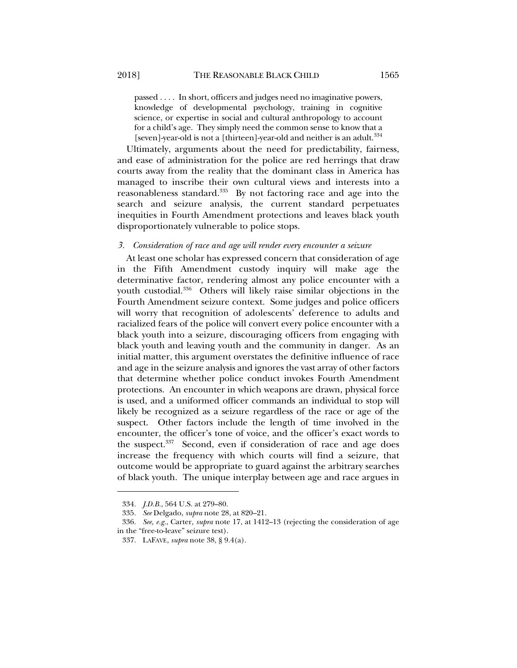passed . . . . In short, officers and judges need no imaginative powers, knowledge of developmental psychology, training in cognitive science, or expertise in social and cultural anthropology to account for a child's age. They simply need the common sense to know that a [seven]-year-old is not a [thirteen]-year-old and neither is an adult.<sup>334</sup>

Ultimately, arguments about the need for predictability, fairness, and ease of administration for the police are red herrings that draw courts away from the reality that the dominant class in America has managed to inscribe their own cultural views and interests into a reasonableness standard.<sup>335</sup> By not factoring race and age into the search and seizure analysis, the current standard perpetuates inequities in Fourth Amendment protections and leaves black youth disproportionately vulnerable to police stops.

## *3. Consideration of race and age will render every encounter a seizure*

At least one scholar has expressed concern that consideration of age in the Fifth Amendment custody inquiry will make age the determinative factor, rendering almost any police encounter with a youth custodial.336 Others will likely raise similar objections in the Fourth Amendment seizure context. Some judges and police officers will worry that recognition of adolescents' deference to adults and racialized fears of the police will convert every police encounter with a black youth into a seizure, discouraging officers from engaging with black youth and leaving youth and the community in danger. As an initial matter, this argument overstates the definitive influence of race and age in the seizure analysis and ignores the vast array of other factors that determine whether police conduct invokes Fourth Amendment protections. An encounter in which weapons are drawn, physical force is used, and a uniformed officer commands an individual to stop will likely be recognized as a seizure regardless of the race or age of the suspect. Other factors include the length of time involved in the encounter, the officer's tone of voice, and the officer's exact words to the suspect.<sup>337</sup> Second, even if consideration of race and age does increase the frequency with which courts will find a seizure, that outcome would be appropriate to guard against the arbitrary searches of black youth. The unique interplay between age and race argues in

<sup>334</sup>*. J.D.B.*, 564 U.S. at 279–80.

<sup>335</sup>*. See* Delgado, *supra* note 28, at 820–21.

<sup>336</sup>*. See, e.g.*, Carter, *supra* note 17, at 1412–13 (rejecting the consideration of age in the "free-to-leave" seizure test).

 <sup>337.</sup> LAFAVE, *supra* note 38, § 9.4(a).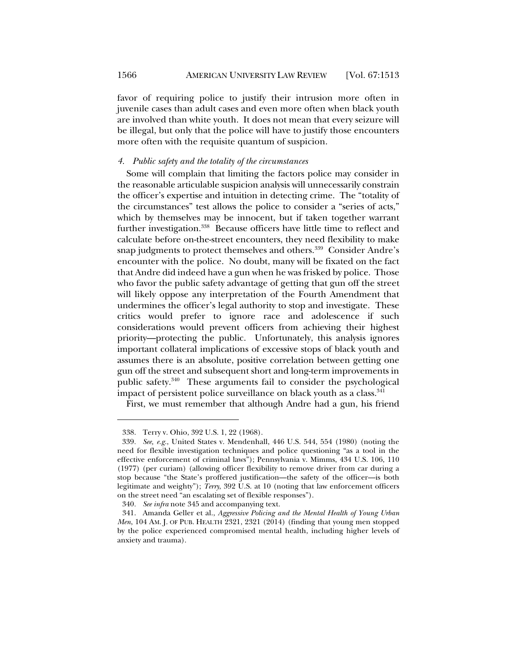1566 AMERICAN UNIVERSITY LAW REVIEW [Vol. 67:1513

favor of requiring police to justify their intrusion more often in juvenile cases than adult cases and even more often when black youth are involved than white youth. It does not mean that every seizure will be illegal, but only that the police will have to justify those encounters more often with the requisite quantum of suspicion.

## *4. Public safety and the totality of the circumstances*

Some will complain that limiting the factors police may consider in the reasonable articulable suspicion analysis will unnecessarily constrain the officer's expertise and intuition in detecting crime. The "totality of the circumstances" test allows the police to consider a "series of acts," which by themselves may be innocent, but if taken together warrant further investigation.<sup>338</sup> Because officers have little time to reflect and calculate before on-the-street encounters, they need flexibility to make snap judgments to protect themselves and others.<sup>339</sup> Consider Andre's encounter with the police. No doubt, many will be fixated on the fact that Andre did indeed have a gun when he was frisked by police. Those who favor the public safety advantage of getting that gun off the street will likely oppose any interpretation of the Fourth Amendment that undermines the officer's legal authority to stop and investigate. These critics would prefer to ignore race and adolescence if such considerations would prevent officers from achieving their highest priority—protecting the public. Unfortunately, this analysis ignores important collateral implications of excessive stops of black youth and assumes there is an absolute, positive correlation between getting one gun off the street and subsequent short and long-term improvements in public safety.340 These arguments fail to consider the psychological impact of persistent police surveillance on black youth as a class.<sup>341</sup>

First, we must remember that although Andre had a gun, his friend

 <sup>338.</sup> Terry v. Ohio, 392 U.S. 1, 22 (1968).

<sup>339</sup>*. See, e.g.*, United States v. Mendenhall, 446 U.S. 544, 554 (1980) (noting the need for flexible investigation techniques and police questioning "as a tool in the effective enforcement of criminal laws"); Pennsylvania v. Mimms, 434 U.S. 106, 110 (1977) (per curiam) (allowing officer flexibility to remove driver from car during a stop because "the State's proffered justification—the safety of the officer—is both legitimate and weighty"); *Terry*, 392 U.S. at 10 (noting that law enforcement officers on the street need "an escalating set of flexible responses").

<sup>340</sup>*. See infra* note 345 and accompanying text.

 <sup>341.</sup> Amanda Geller et al., *Aggressive Policing and the Mental Health of Young Urban Men*, 104 AM. J. OF PUB. HEALTH 2321, 2321 (2014) (finding that young men stopped by the police experienced compromised mental health, including higher levels of anxiety and trauma).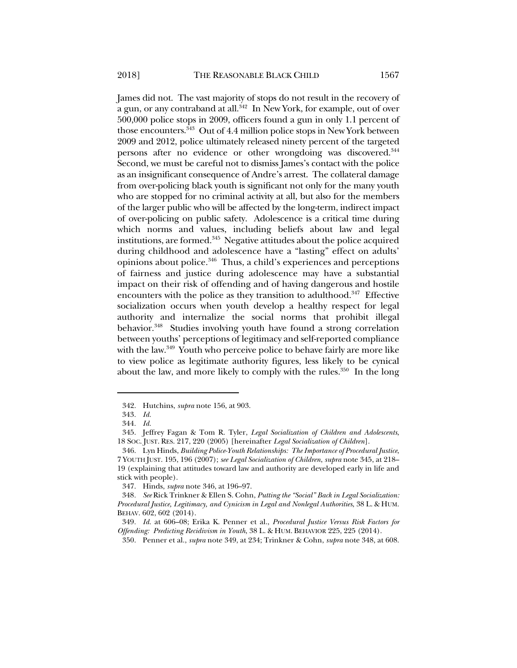James did not. The vast majority of stops do not result in the recovery of a gun, or any contraband at all.<sup>342</sup> In New York, for example, out of over 500,000 police stops in 2009, officers found a gun in only 1.1 percent of those encounters.<sup>343</sup> Out of 4.4 million police stops in New York between 2009 and 2012, police ultimately released ninety percent of the targeted persons after no evidence or other wrongdoing was discovered.<sup>344</sup> Second, we must be careful not to dismiss James's contact with the police as an insignificant consequence of Andre's arrest. The collateral damage from over-policing black youth is significant not only for the many youth who are stopped for no criminal activity at all, but also for the members of the larger public who will be affected by the long-term, indirect impact of over-policing on public safety. Adolescence is a critical time during which norms and values, including beliefs about law and legal institutions, are formed.<sup>345</sup> Negative attitudes about the police acquired during childhood and adolescence have a "lasting" effect on adults' opinions about police.346 Thus, a child's experiences and perceptions of fairness and justice during adolescence may have a substantial impact on their risk of offending and of having dangerous and hostile encounters with the police as they transition to adulthood.<sup>347</sup> Effective socialization occurs when youth develop a healthy respect for legal authority and internalize the social norms that prohibit illegal behavior.<sup>348</sup> Studies involving youth have found a strong correlation between youths' perceptions of legitimacy and self-reported compliance with the law.<sup>349</sup> Youth who perceive police to behave fairly are more like to view police as legitimate authority figures, less likely to be cynical about the law, and more likely to comply with the rules. $350$  In the long

 <sup>342.</sup> Hutchins, *supra* note 156, at 903.

<sup>343</sup>*. Id.*

<sup>344</sup>*. Id.*

 <sup>345.</sup> Jeffrey Fagan & Tom R. Tyler, *Legal Socialization of Children and Adolescents*, 18 SOC. JUST. RES. 217, 220 (2005) [hereinafter *Legal Socialization of Children*].

 <sup>346.</sup> Lyn Hinds, *Building Police-Youth Relationships: The Importance of Procedural Justice*, 7 YOUTH JUST. 195, 196 (2007); *see Legal Socialization of Children*, *supra* note 345, at 218– 19 (explaining that attitudes toward law and authority are developed early in life and stick with people).

 <sup>347.</sup> Hinds, *supra* note 346, at 196–97.

<sup>348</sup>*. See* Rick Trinkner & Ellen S. Cohn, *Putting the "Social" Back in Legal Socialization: Procedural Justice, Legitimacy, and Cynicism in Legal and Nonlegal Authorities*, 38 L. & HUM. BEHAV. 602, 602 (2014).

<sup>349</sup>*. Id.* at 606–08; Erika K. Penner et al., *Procedural Justice Versus Risk Factors for Offending: Predicting Recidivism in Youth*, 38 L. & HUM. BEHAVIOR 225, 225 (2014).

 <sup>350.</sup> Penner et al., *supra* note 349, at 234; Trinkner & Cohn, *supra* note 348, at 608.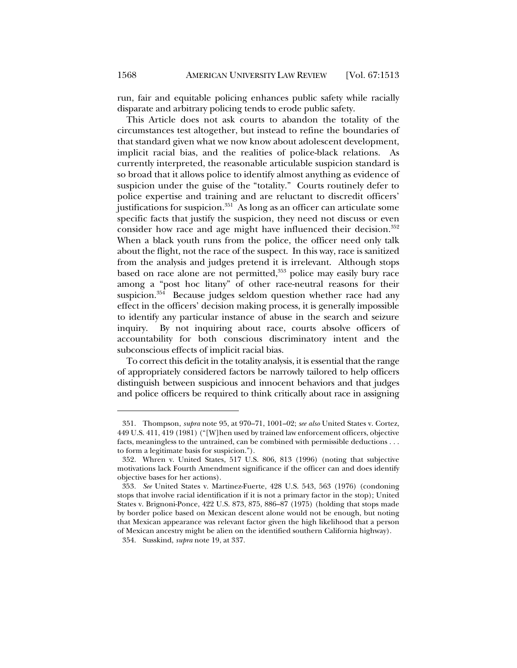run, fair and equitable policing enhances public safety while racially disparate and arbitrary policing tends to erode public safety.

This Article does not ask courts to abandon the totality of the circumstances test altogether, but instead to refine the boundaries of that standard given what we now know about adolescent development, implicit racial bias, and the realities of police-black relations. As currently interpreted, the reasonable articulable suspicion standard is so broad that it allows police to identify almost anything as evidence of suspicion under the guise of the "totality." Courts routinely defer to police expertise and training and are reluctant to discredit officers' justifications for suspicion.<sup>351</sup> As long as an officer can articulate some specific facts that justify the suspicion, they need not discuss or even consider how race and age might have influenced their decision.<sup>352</sup> When a black youth runs from the police, the officer need only talk about the flight, not the race of the suspect. In this way, race is sanitized from the analysis and judges pretend it is irrelevant. Although stops based on race alone are not permitted,<sup>353</sup> police may easily bury race among a "post hoc litany" of other race-neutral reasons for their suspicion.354 Because judges seldom question whether race had any effect in the officers' decision making process, it is generally impossible to identify any particular instance of abuse in the search and seizure inquiry. By not inquiring about race, courts absolve officers of accountability for both conscious discriminatory intent and the subconscious effects of implicit racial bias.

To correct this deficit in the totality analysis, it is essential that the range of appropriately considered factors be narrowly tailored to help officers distinguish between suspicious and innocent behaviors and that judges and police officers be required to think critically about race in assigning

 <sup>351.</sup> Thompson, *supra* note 95, at 970–71, 1001–02; *see also* United States v. Cortez, 449 U.S. 411, 419 (1981) ("[W]hen used by trained law enforcement officers, objective facts, meaningless to the untrained, can be combined with permissible deductions . . . to form a legitimate basis for suspicion.").

 <sup>352.</sup> Whren v. United States, 517 U.S. 806, 813 (1996) (noting that subjective motivations lack Fourth Amendment significance if the officer can and does identify objective bases for her actions).

<sup>353</sup>*. See* United States v. Martinez-Fuerte, 428 U.S. 543, 563 (1976) (condoning stops that involve racial identification if it is not a primary factor in the stop); United States v. Brignoni-Ponce, 422 U.S. 873, 875, 886–87 (1975) (holding that stops made by border police based on Mexican descent alone would not be enough, but noting that Mexican appearance was relevant factor given the high likelihood that a person of Mexican ancestry might be alien on the identified southern California highway).

 <sup>354.</sup> Susskind, *supra* note 19, at 337.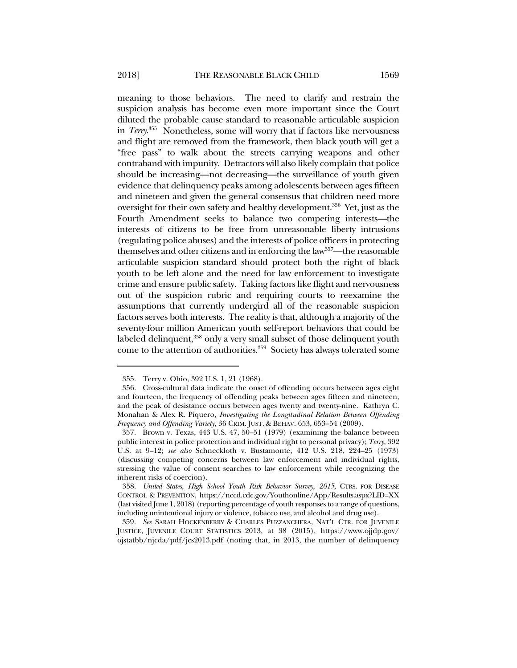-

meaning to those behaviors. The need to clarify and restrain the suspicion analysis has become even more important since the Court diluted the probable cause standard to reasonable articulable suspicion in *Terry*. 355 Nonetheless, some will worry that if factors like nervousness and flight are removed from the framework, then black youth will get a "free pass" to walk about the streets carrying weapons and other contraband with impunity. Detractors will also likely complain that police should be increasing—not decreasing—the surveillance of youth given evidence that delinquency peaks among adolescents between ages fifteen and nineteen and given the general consensus that children need more oversight for their own safety and healthy development.<sup>356</sup> Yet, just as the Fourth Amendment seeks to balance two competing interests—the interests of citizens to be free from unreasonable liberty intrusions (regulating police abuses) and the interests of police officers in protecting themselves and other citizens and in enforcing the law<sup>357</sup>—the reasonable articulable suspicion standard should protect both the right of black youth to be left alone and the need for law enforcement to investigate crime and ensure public safety. Taking factors like flight and nervousness out of the suspicion rubric and requiring courts to reexamine the assumptions that currently undergird all of the reasonable suspicion factors serves both interests. The reality is that, although a majority of the seventy-four million American youth self-report behaviors that could be labeled delinquent,<sup>358</sup> only a very small subset of those delinquent youth come to the attention of authorities.<sup>359</sup> Society has always tolerated some

359*. See* SARAH HOCKENBERRY & CHARLES PUZZANCHERA, NAT'L CTR. FOR JUVENILE JUSTICE, JUVENILE COURT STATISTICS 2013, at 38 (2015), https://www.ojjdp.gov/ ojstatbb/njcda/pdf/jcs2013.pdf (noting that, in 2013, the number of delinquency

 <sup>355.</sup> Terry v. Ohio, 392 U.S. 1, 21 (1968).

 <sup>356.</sup> Cross-cultural data indicate the onset of offending occurs between ages eight and fourteen, the frequency of offending peaks between ages fifteen and nineteen, and the peak of desistance occurs between ages twenty and twenty-nine. Kathryn C. Monahan & Alex R. Piquero, *Investigating the Longitudinal Relation Between Offending Frequency and Offending Variety*, 36 CRIM. JUST. & BEHAV. 653, 653–54 (2009).

<sup>357</sup>*.* Brown v. Texas, 443 U.S. 47, 50–51 (1979) (examining the balance between public interest in police protection and individual right to personal privacy); *Terry*, 392 U.S. at 9–12; *see also* Schneckloth v. Bustamonte, 412 U.S. 218, 224–25 (1973) (discussing competing concerns between law enforcement and individual rights, stressing the value of consent searches to law enforcement while recognizing the inherent risks of coercion).

 <sup>358.</sup> *United States, High School Youth Risk Behavior Survey, 2015*, CTRS. FOR DISEASE CONTROL & PREVENTION, https://nccd.cdc.gov/Youthonline/App/Results.aspx?LID=XX (last visited June 1, 2018) (reporting percentage of youth responses to a range of questions, including unintentional injury or violence, tobacco use, and alcohol and drug use).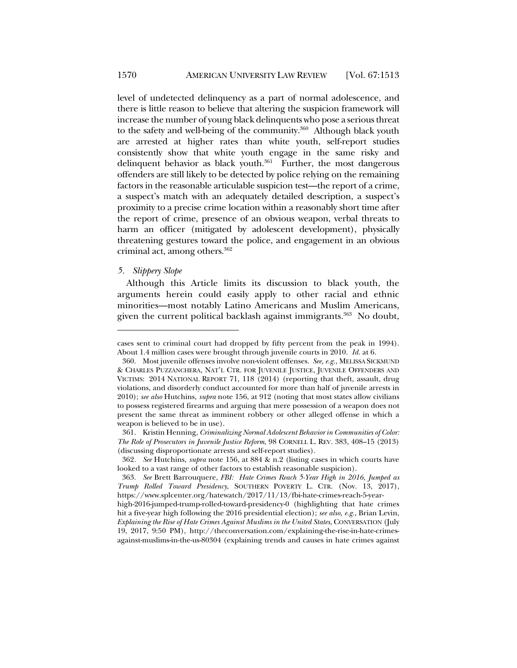level of undetected delinquency as a part of normal adolescence, and there is little reason to believe that altering the suspicion framework will increase the number of young black delinquents who pose a serious threat to the safety and well-being of the community.360 Although black youth are arrested at higher rates than white youth, self-report studies consistently show that white youth engage in the same risky and delinquent behavior as black youth. $361$  Further, the most dangerous offenders are still likely to be detected by police relying on the remaining factors in the reasonable articulable suspicion test—the report of a crime, a suspect's match with an adequately detailed description, a suspect's proximity to a precise crime location within a reasonably short time after the report of crime, presence of an obvious weapon, verbal threats to harm an officer (mitigated by adolescent development), physically threatening gestures toward the police, and engagement in an obvious criminal act, among others. $362$ 

## *5. Slippery Slope*

-

Although this Article limits its discussion to black youth, the arguments herein could easily apply to other racial and ethnic minorities—most notably Latino Americans and Muslim Americans, given the current political backlash against immigrants.<sup>363</sup> No doubt,

cases sent to criminal court had dropped by fifty percent from the peak in 1994). About 1.4 million cases were brought through juvenile courts in 2010. *Id.* at 6.

 <sup>360.</sup> Most juvenile offenses involve non-violent offenses. *See, e.g.*, MELISSA SICKMUND & CHARLES PUZZANCHERA, NAT'L CTR. FOR JUVENILE JUSTICE, JUVENILE OFFENDERS AND VICTIMS: 2014 NATIONAL REPORT 71, 118 (2014) (reporting that theft, assault, drug violations, and disorderly conduct accounted for more than half of juvenile arrests in 2010); *see also* Hutchins, *supra* note 156, at 912 (noting that most states allow civilians to possess registered firearms and arguing that mere possession of a weapon does not present the same threat as imminent robbery or other alleged offense in which a weapon is believed to be in use).

 <sup>361.</sup> Kristin Henning, *Criminalizing Normal Adolescent Behavior in Communities of Color: The Role of Prosecutors in Juvenile Justice Reform*, 98 CORNELL L. REV. 383, 408–15 (2013) (discussing disproportionate arrests and self-report studies).

<sup>362</sup>*. See* Hutchins, *supra* note 156, at 884 & n.2 (listing cases in which courts have looked to a vast range of other factors to establish reasonable suspicion).

<sup>363</sup>*. See* Brett Barrouquere, *FBI: Hate Crimes Reach 5-Year High in 2016, Jumped as Trump Rolled Toward Presidency*, SOUTHERN POVERTY L. CTR. (Nov. 13, 2017), https://www.splcenter.org/hatewatch/2017/11/13/fbi-hate-crimes-reach-5-year-

high-2016-jumped-trump-rolled-toward-presidency-0 (highlighting that hate crimes hit a five-year high following the 2016 presidential election); *see also, e.g.*, Brian Levin, *Explaining the Rise of Hate Crimes Against Muslims in the United States*, CONVERSATION (July 19, 2017, 9:50 PM), http://theconversation.com/explaining-the-rise-in-hate-crimesagainst-muslims-in-the-us-80304 (explaining trends and causes in hate crimes against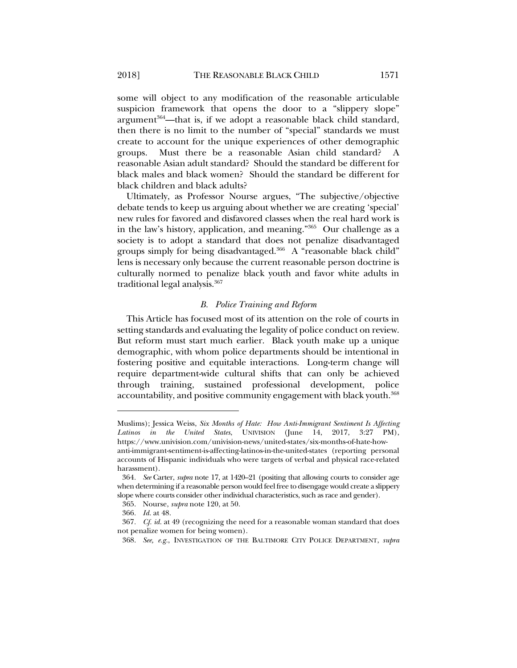some will object to any modification of the reasonable articulable suspicion framework that opens the door to a "slippery slope" argument $364$ —that is, if we adopt a reasonable black child standard, then there is no limit to the number of "special" standards we must create to account for the unique experiences of other demographic groups. Must there be a reasonable Asian child standard? A reasonable Asian adult standard? Should the standard be different for black males and black women? Should the standard be different for black children and black adults?

Ultimately, as Professor Nourse argues, "The subjective/objective debate tends to keep us arguing about whether we are creating 'special' new rules for favored and disfavored classes when the real hard work is in the law's history, application, and meaning."365 Our challenge as a society is to adopt a standard that does not penalize disadvantaged groups simply for being disadvantaged.<sup>366</sup> A "reasonable black child" lens is necessary only because the current reasonable person doctrine is culturally normed to penalize black youth and favor white adults in traditional legal analysis.367

#### *B. Police Training and Reform*

This Article has focused most of its attention on the role of courts in setting standards and evaluating the legality of police conduct on review. But reform must start much earlier. Black youth make up a unique demographic, with whom police departments should be intentional in fostering positive and equitable interactions. Long-term change will require department-wide cultural shifts that can only be achieved through training, sustained professional development, police accountability, and positive community engagement with black youth.<sup>368</sup>

Muslims); Jessica Weiss, *Six Months of Hate: How Anti-Immigrant Sentiment Is Affecting Latinos in the United States*, UNIVISION (June 14, 2017, 3:27 PM), https://www.univision.com/univision-news/united-states/six-months-of-hate-howanti-immigrant-sentiment-is-affecting-latinos-in-the-united-states (reporting personal accounts of Hispanic individuals who were targets of verbal and physical race-related harassment).

<sup>364</sup>*. See* Carter, *supra* note 17, at 1420–21 (positing that allowing courts to consider age when determining if a reasonable person would feel free to disengage would create a slippery slope where courts consider other individual characteristics, such as race and gender).

 <sup>365.</sup> Nourse, *supra* note 120, at 50.

<sup>366</sup>*. Id.* at 48.

<sup>367</sup>*. Cf. id.* at 49 (recognizing the need for a reasonable woman standard that does not penalize women for being women).

 <sup>368.</sup> *See, e.g.*, INVESTIGATION OF THE BALTIMORE CITY POLICE DEPARTMENT, *supra*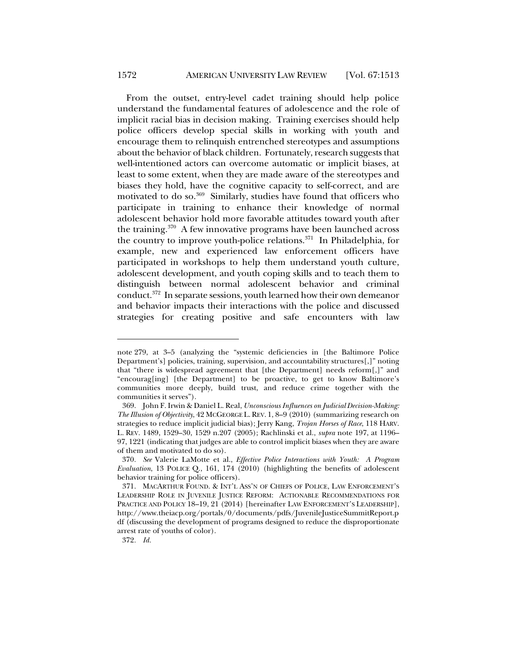From the outset, entry-level cadet training should help police understand the fundamental features of adolescence and the role of implicit racial bias in decision making. Training exercises should help police officers develop special skills in working with youth and encourage them to relinquish entrenched stereotypes and assumptions about the behavior of black children. Fortunately, research suggests that well-intentioned actors can overcome automatic or implicit biases, at least to some extent, when they are made aware of the stereotypes and biases they hold, have the cognitive capacity to self-correct, and are motivated to do so.<sup>369</sup> Similarly, studies have found that officers who participate in training to enhance their knowledge of normal adolescent behavior hold more favorable attitudes toward youth after the training.370 A few innovative programs have been launched across the country to improve youth-police relations.<sup>371</sup> In Philadelphia, for example, new and experienced law enforcement officers have participated in workshops to help them understand youth culture, adolescent development, and youth coping skills and to teach them to distinguish between normal adolescent behavior and criminal conduct.372 In separate sessions, youth learned how their own demeanor and behavior impacts their interactions with the police and discussed strategies for creating positive and safe encounters with law

note 279, at 3–5 (analyzing the "systemic deficiencies in [the Baltimore Police Department's] policies, training, supervision, and accountability structures[,]" noting that "there is widespread agreement that [the Department] needs reform[,]" and "encourag[ing] [the Department] to be proactive, to get to know Baltimore's communities more deeply, build trust, and reduce crime together with the communities it serves").

 <sup>369.</sup> John F. Irwin & Daniel L. Real, *Unconscious Influences on Judicial Decision-Making: The Illusion of Objectivity*, 42 MCGEORGE L. REV. 1, 8–9 (2010) (summarizing research on strategies to reduce implicit judicial bias); Jerry Kang, *Trojan Horses of Race*, 118 HARV. L. REV. 1489, 1529–30, 1529 n.207 (2005); Rachlinski et al., *supra* note 197, at 1196– 97, 1221 (indicating that judges are able to control implicit biases when they are aware of them and motivated to do so).

<sup>370</sup>*. See* Valerie LaMotte et al., *Effective Police Interactions with Youth: A Program Evaluation*, 13 POLICE Q., 161, 174 (2010) (highlighting the benefits of adolescent behavior training for police officers).

 <sup>371.</sup> MACARTHUR FOUND. & INT'L ASS'N OF CHIEFS OF POLICE, LAW ENFORCEMENT'S LEADERSHIP ROLE IN JUVENILE JUSTICE REFORM: ACTIONABLE RECOMMENDATIONS FOR PRACTICE AND POLICY 18–19, 21 (2014) [hereinafter LAW ENFORCEMENT'S LEADERSHIP], http://www.theiacp.org/portals/0/documents/pdfs/JuvenileJusticeSummitReport.p df (discussing the development of programs designed to reduce the disproportionate arrest rate of youths of color).

<sup>372</sup>*. Id.*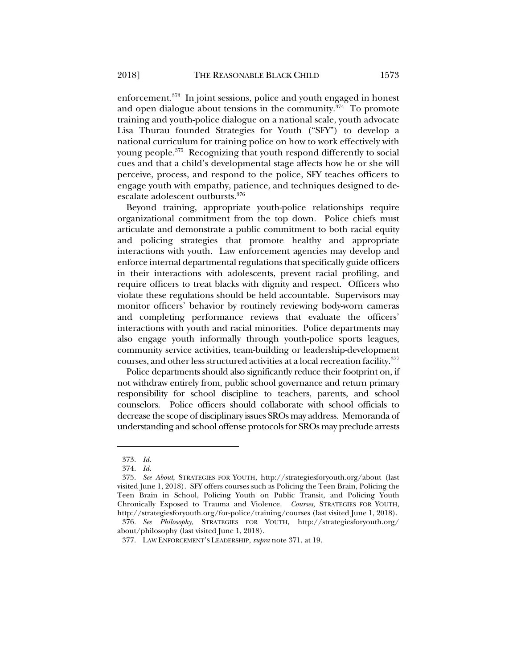enforcement.373 In joint sessions, police and youth engaged in honest and open dialogue about tensions in the community. $374$  To promote training and youth-police dialogue on a national scale, youth advocate Lisa Thurau founded Strategies for Youth ("SFY") to develop a national curriculum for training police on how to work effectively with young people.<sup>375</sup> Recognizing that youth respond differently to social cues and that a child's developmental stage affects how he or she will perceive, process, and respond to the police, SFY teaches officers to engage youth with empathy, patience, and techniques designed to de-

Beyond training, appropriate youth-police relationships require organizational commitment from the top down. Police chiefs must articulate and demonstrate a public commitment to both racial equity and policing strategies that promote healthy and appropriate interactions with youth. Law enforcement agencies may develop and enforce internal departmental regulations that specifically guide officers in their interactions with adolescents, prevent racial profiling, and require officers to treat blacks with dignity and respect. Officers who violate these regulations should be held accountable. Supervisors may monitor officers' behavior by routinely reviewing body-worn cameras and completing performance reviews that evaluate the officers' interactions with youth and racial minorities. Police departments may also engage youth informally through youth-police sports leagues, community service activities, team-building or leadership-development courses, and other less structured activities at a local recreation facility.<sup>377</sup>

Police departments should also significantly reduce their footprint on, if not withdraw entirely from, public school governance and return primary responsibility for school discipline to teachers, parents, and school counselors. Police officers should collaborate with school officials to decrease the scope of disciplinary issues SROs may address. Memoranda of understanding and school offense protocols for SROs may preclude arrests

-

escalate adolescent outbursts.376

<sup>373</sup>*. Id.* 

<sup>374</sup>*. Id.* 

<sup>375</sup>*. See About*, STRATEGIES FOR YOUTH, http://strategiesforyouth.org/about (last visited June 1, 2018). SFY offers courses such as Policing the Teen Brain, Policing the Teen Brain in School, Policing Youth on Public Transit, and Policing Youth Chronically Exposed to Trauma and Violence. *Courses*, STRATEGIES FOR YOUTH, http://strategiesforyouth.org/for-police/training/courses (last visited June 1, 2018). 376*. See Philosophy*, STRATEGIES FOR YOUTH, http://strategiesforyouth.org/ about/philosophy (last visited June 1, 2018).

<sup>377</sup>*.* LAW ENFORCEMENT'S LEADERSHIP, *supra* note 371, at 19.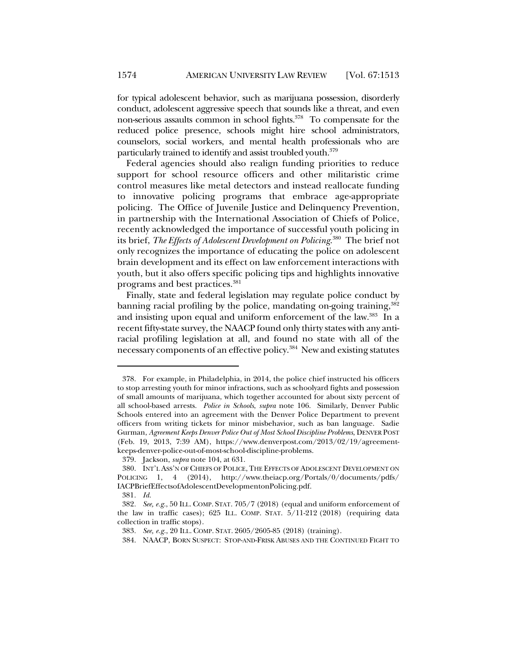for typical adolescent behavior, such as marijuana possession, disorderly conduct, adolescent aggressive speech that sounds like a threat, and even non-serious assaults common in school fights.378 To compensate for the reduced police presence, schools might hire school administrators, counselors, social workers, and mental health professionals who are particularly trained to identify and assist troubled youth.<sup>379</sup>

Federal agencies should also realign funding priorities to reduce support for school resource officers and other militaristic crime control measures like metal detectors and instead reallocate funding to innovative policing programs that embrace age-appropriate policing. The Office of Juvenile Justice and Delinquency Prevention, in partnership with the International Association of Chiefs of Police, recently acknowledged the importance of successful youth policing in its brief, *The Effects of Adolescent Development on Policing*. 380 The brief not only recognizes the importance of educating the police on adolescent brain development and its effect on law enforcement interactions with youth, but it also offers specific policing tips and highlights innovative programs and best practices.<sup>381</sup>

Finally, state and federal legislation may regulate police conduct by banning racial profiling by the police, mandating on-going training,<sup>382</sup> and insisting upon equal and uniform enforcement of the law.<sup>383</sup> In a recent fifty-state survey, the NAACP found only thirty states with any antiracial profiling legislation at all, and found no state with all of the necessary components of an effective policy.<sup>384</sup> New and existing statutes

 <sup>378.</sup> For example, in Philadelphia, in 2014, the police chief instructed his officers to stop arresting youth for minor infractions, such as schoolyard fights and possession of small amounts of marijuana, which together accounted for about sixty percent of all school-based arrests. *Police in Schools*, *supra* note 106. Similarly, Denver Public Schools entered into an agreement with the Denver Police Department to prevent officers from writing tickets for minor misbehavior, such as ban language. Sadie Gurman, *Agreement Keeps Denver Police Out of Most School Discipline Problems*, DENVER POST (Feb. 19, 2013, 7:39 AM), https://www.denverpost.com/2013/02/19/agreementkeeps-denver-police-out-of-most-school-discipline-problems.

 <sup>379.</sup> Jackson, *supra* note 104, at 631.

 <sup>380.</sup> INT'L ASS'N OF CHIEFS OF POLICE, THE EFFECTS OF ADOLESCENT DEVELOPMENT ON POLICING 1, 4 (2014), http://www.theiacp.org/Portals/0/documents/pdfs/ IACPBriefEffectsofAdolescentDevelopmentonPolicing.pdf.

<sup>381</sup>*. Id.* 

<sup>382</sup>*. See, e.g.*, 50 ILL. COMP. STAT. 705/7 (2018) (equal and uniform enforcement of the law in traffic cases); 625 ILL. COMP. STAT. 5/11-212 (2018) (requiring data collection in traffic stops).

<sup>383</sup>*. See, e.g.*, 20 ILL. COMP. STAT. 2605/2605-85 (2018) (training).

 <sup>384.</sup> NAACP, BORN SUSPECT: STOP-AND-FRISK ABUSES AND THE CONTINUED FIGHT TO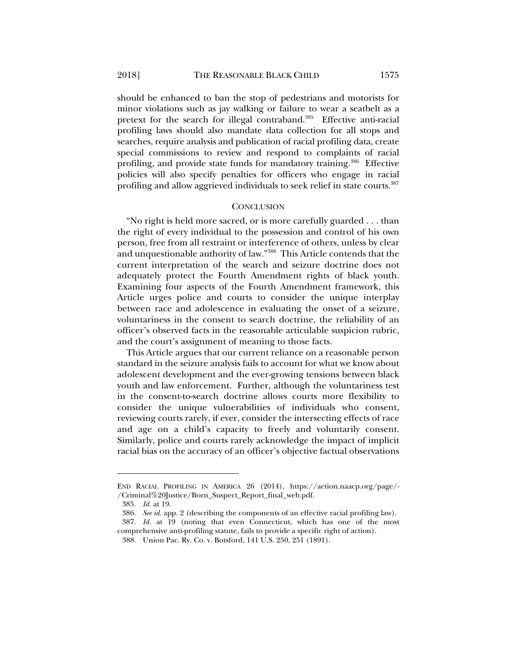should be enhanced to ban the stop of pedestrians and motorists for minor violations such as jay walking or failure to wear a seatbelt as a pretext for the search for illegal contraband.<sup>385</sup> Effective anti-racial profiling laws should also mandate data collection for all stops and searches, require analysis and publication of racial profiling data, create special commissions to review and respond to complaints of racial profiling, and provide state funds for mandatory training.386 Effective policies will also specify penalties for officers who engage in racial profiling and allow aggrieved individuals to seek relief in state courts.<sup>387</sup>

#### **CONCLUSION**

"No right is held more sacred, or is more carefully guarded . . . than the right of every individual to the possession and control of his own person, free from all restraint or interference of others, unless by clear and unquestionable authority of law."388 This Article contends that the current interpretation of the search and seizure doctrine does not adequately protect the Fourth Amendment rights of black youth. Examining four aspects of the Fourth Amendment framework, this Article urges police and courts to consider the unique interplay between race and adolescence in evaluating the onset of a seizure, voluntariness in the consent to search doctrine, the reliability of an officer's observed facts in the reasonable articulable suspicion rubric, and the court's assignment of meaning to those facts.

This Article argues that our current reliance on a reasonable person standard in the seizure analysis fails to account for what we know about adolescent development and the ever-growing tensions between black youth and law enforcement. Further, although the voluntariness test in the consent-to-search doctrine allows courts more flexibility to consider the unique vulnerabilities of individuals who consent, reviewing courts rarely, if ever, consider the intersecting effects of race and age on a child's capacity to freely and voluntarily consent. Similarly, police and courts rarely acknowledge the impact of implicit racial bias on the accuracy of an officer's objective factual observations

END RACIAL PROFILING IN AMERICA 26 (2014), https://action.naacp.org/page/- /Criminal%20Justice/Born\_Suspect\_Report\_final\_web.pdf.

<sup>385</sup>*. Id.* at 19.

<sup>386</sup>*. See id.* app. 2 (describing the components of an effective racial profiling law).

<sup>387</sup>*. Id.* at 19 (noting that even Connecticut, which has one of the most comprehensive anti-profiling statute, fails to provide a specific right of action).

 <sup>388.</sup> Union Pac. Ry. Co. v. Botsford, 141 U.S. 250, 251 (1891).